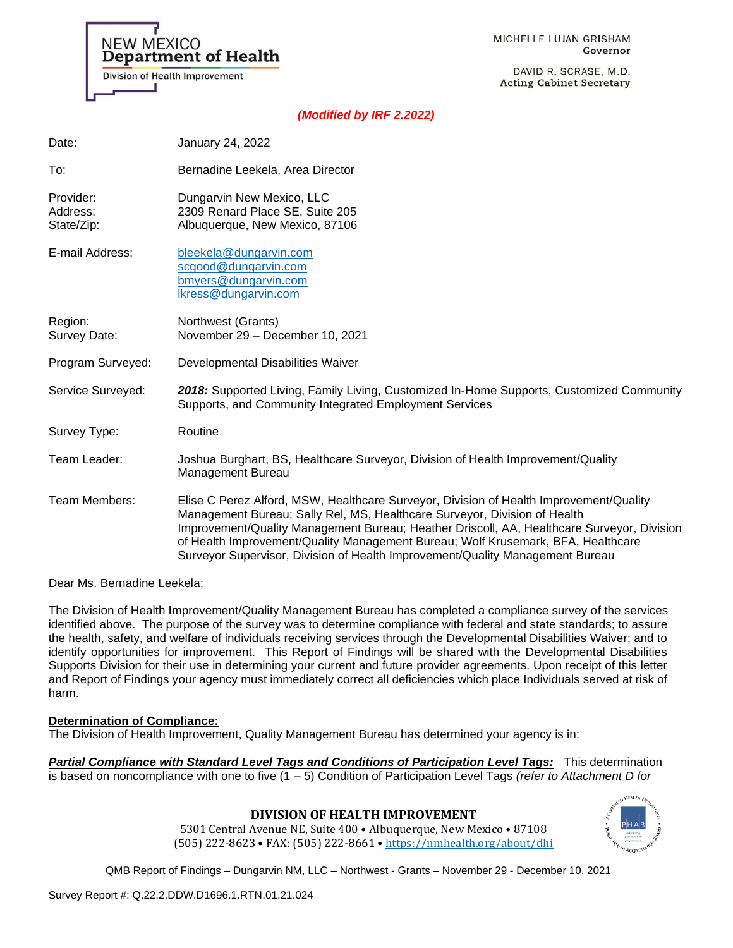

DAVID R. SCRASE, M.D. **Acting Cabinet Secretary** 

### *(Modified by IRF 2.2022)*

| Date:                               | January 24, 2022                                                                                                                                                                                                                                                                                                                                                                                                                       |
|-------------------------------------|----------------------------------------------------------------------------------------------------------------------------------------------------------------------------------------------------------------------------------------------------------------------------------------------------------------------------------------------------------------------------------------------------------------------------------------|
| To:                                 | Bernadine Leekela, Area Director                                                                                                                                                                                                                                                                                                                                                                                                       |
| Provider:<br>Address:<br>State/Zip: | Dungarvin New Mexico, LLC<br>2309 Renard Place SE, Suite 205<br>Albuquerque, New Mexico, 87106                                                                                                                                                                                                                                                                                                                                         |
| E-mail Address:                     | bleekela@dungarvin.com<br>scgood@dungarvin.com<br>bmyers@dungarvin.com<br>Ikress@dungarvin.com                                                                                                                                                                                                                                                                                                                                         |
| Region:<br>Survey Date:             | Northwest (Grants)<br>November 29 - December 10, 2021                                                                                                                                                                                                                                                                                                                                                                                  |
| Program Surveyed:                   | Developmental Disabilities Waiver                                                                                                                                                                                                                                                                                                                                                                                                      |
| Service Surveyed:                   | 2018: Supported Living, Family Living, Customized In-Home Supports, Customized Community<br>Supports, and Community Integrated Employment Services                                                                                                                                                                                                                                                                                     |
| Survey Type:                        | Routine                                                                                                                                                                                                                                                                                                                                                                                                                                |
| Team Leader:                        | Joshua Burghart, BS, Healthcare Surveyor, Division of Health Improvement/Quality<br>Management Bureau                                                                                                                                                                                                                                                                                                                                  |
| Team Members:                       | Elise C Perez Alford, MSW, Healthcare Surveyor, Division of Health Improvement/Quality<br>Management Bureau; Sally Rel, MS, Healthcare Surveyor, Division of Health<br>Improvement/Quality Management Bureau; Heather Driscoll, AA, Healthcare Surveyor, Division<br>of Health Improvement/Quality Management Bureau; Wolf Krusemark, BFA, Healthcare<br>Surveyor Supervisor, Division of Health Improvement/Quality Management Bureau |

Dear Ms. Bernadine Leekela;

NEW MEXICO

**Department of Health** 

Division of Health Improvement

The Division of Health Improvement/Quality Management Bureau has completed a compliance survey of the services identified above. The purpose of the survey was to determine compliance with federal and state standards; to assure the health, safety, and welfare of individuals receiving services through the Developmental Disabilities Waiver; and to identify opportunities for improvement. This Report of Findings will be shared with the Developmental Disabilities Supports Division for their use in determining your current and future provider agreements. Upon receipt of this letter and Report of Findings your agency must immediately correct all deficiencies which place Individuals served at risk of harm.

#### **Determination of Compliance:**

The Division of Health Improvement, Quality Management Bureau has determined your agency is in:

*Partial Compliance with Standard Level Tags and Conditions of Participation Level Tags:* This determination is based on noncompliance with one to five (1 – 5) Condition of Participation Level Tags *(refer to Attachment D for* 

### **DIVISION OF HEALTH IMPROVEMENT**

5301 Central Avenue NE, Suite 400 • Albuquerque, New Mexico • 87108 (505) 222-8623 • FAX: (505) 222-8661 • <https://nmhealth.org/about/dhi>

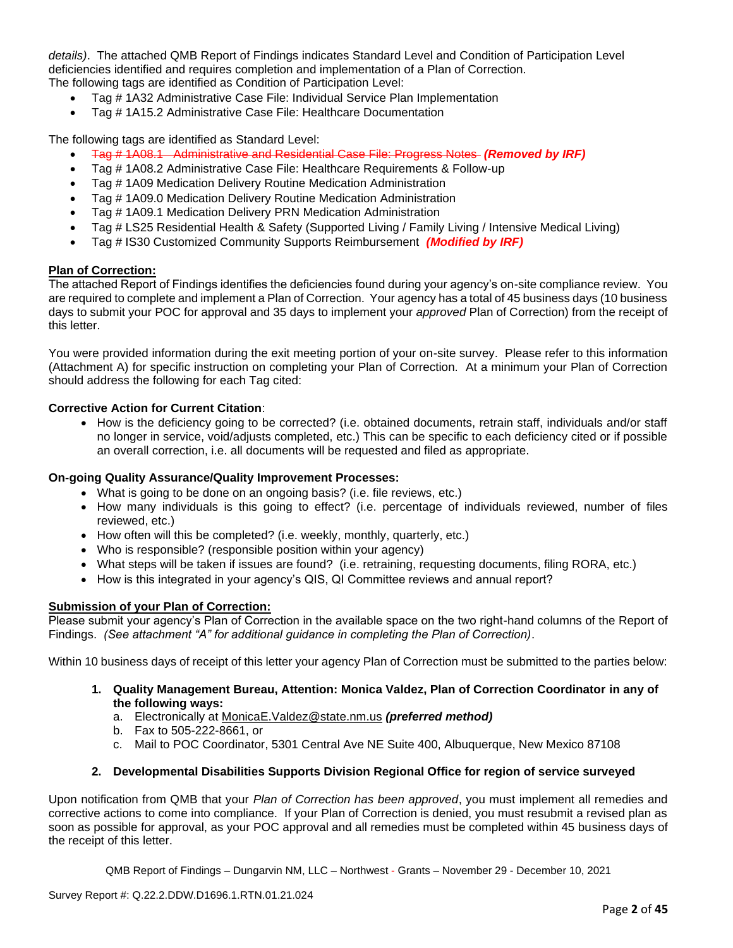*details)*. The attached QMB Report of Findings indicates Standard Level and Condition of Participation Level deficiencies identified and requires completion and implementation of a Plan of Correction. The following tags are identified as Condition of Participation Level:

- Tag # 1A32 Administrative Case File: Individual Service Plan Implementation
- Tag # 1A15.2 Administrative Case File: Healthcare Documentation

The following tags are identified as Standard Level:

- Tag # 1A08.1 Administrative and Residential Case File: Progress Notes *(Removed by IRF)*
- Tag # 1A08.2 Administrative Case File: Healthcare Requirements & Follow-up
- Tag # 1A09 Medication Delivery Routine Medication Administration
- Tag # 1A09.0 Medication Delivery Routine Medication Administration
- Tag # 1A09.1 Medication Delivery PRN Medication Administration
- Tag # LS25 Residential Health & Safety (Supported Living / Family Living / Intensive Medical Living)
- Tag # IS30 Customized Community Supports Reimbursement *(Modified by IRF)*

### **Plan of Correction:**

The attached Report of Findings identifies the deficiencies found during your agency's on-site compliance review. You are required to complete and implement a Plan of Correction. Your agency has a total of 45 business days (10 business days to submit your POC for approval and 35 days to implement your *approved* Plan of Correction) from the receipt of this letter.

You were provided information during the exit meeting portion of your on-site survey. Please refer to this information (Attachment A) for specific instruction on completing your Plan of Correction. At a minimum your Plan of Correction should address the following for each Tag cited:

# **Corrective Action for Current Citation**:

• How is the deficiency going to be corrected? (i.e. obtained documents, retrain staff, individuals and/or staff no longer in service, void/adjusts completed, etc.) This can be specific to each deficiency cited or if possible an overall correction, i.e. all documents will be requested and filed as appropriate.

### **On-going Quality Assurance/Quality Improvement Processes:**

- What is going to be done on an ongoing basis? (i.e. file reviews, etc.)
- How many individuals is this going to effect? (i.e. percentage of individuals reviewed, number of files reviewed, etc.)
- How often will this be completed? (i.e. weekly, monthly, quarterly, etc.)
- Who is responsible? (responsible position within your agency)
- What steps will be taken if issues are found? (i.e. retraining, requesting documents, filing RORA, etc.)
- How is this integrated in your agency's QIS, QI Committee reviews and annual report?

### **Submission of your Plan of Correction:**

Please submit your agency's Plan of Correction in the available space on the two right-hand columns of the Report of Findings. *(See attachment "A" for additional guidance in completing the Plan of Correction)*.

Within 10 business days of receipt of this letter your agency Plan of Correction must be submitted to the parties below:

- **1. Quality Management Bureau, Attention: Monica Valdez, Plan of Correction Coordinator in any of the following ways:**
	- a. Electronically at [MonicaE.Valdez@state.nm.us](mailto:MonicaE.Valdez@state.nm.us) *(preferred method)*
	- b. Fax to 505-222-8661, or
	- c. Mail to POC Coordinator, 5301 Central Ave NE Suite 400, Albuquerque, New Mexico 87108

# **2. Developmental Disabilities Supports Division Regional Office for region of service surveyed**

Upon notification from QMB that your *Plan of Correction has been approved*, you must implement all remedies and corrective actions to come into compliance. If your Plan of Correction is denied, you must resubmit a revised plan as soon as possible for approval, as your POC approval and all remedies must be completed within 45 business days of the receipt of this letter.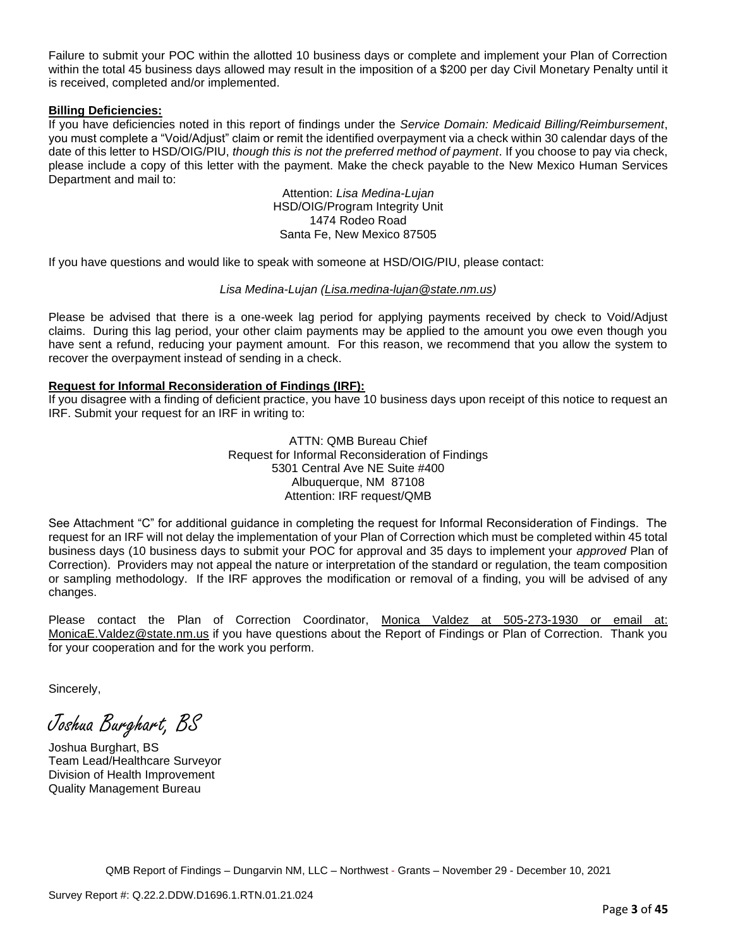Failure to submit your POC within the allotted 10 business days or complete and implement your Plan of Correction within the total 45 business days allowed may result in the imposition of a \$200 per day Civil Monetary Penalty until it is received, completed and/or implemented.

### **Billing Deficiencies:**

If you have deficiencies noted in this report of findings under the *Service Domain: Medicaid Billing/Reimbursement*, you must complete a "Void/Adjust" claim or remit the identified overpayment via a check within 30 calendar days of the date of this letter to HSD/OIG/PIU, *though this is not the preferred method of payment*. If you choose to pay via check, please include a copy of this letter with the payment. Make the check payable to the New Mexico Human Services Department and mail to:

> Attention: *Lisa Medina-Lujan* HSD/OIG/Program Integrity Unit 1474 Rodeo Road Santa Fe, New Mexico 87505

If you have questions and would like to speak with someone at HSD/OIG/PIU, please contact:

### *Lisa Medina-Lujan [\(Lisa.medina-lujan@state.nm.us\)](mailto:Lisa.medina-lujan@state.nm.us)*

Please be advised that there is a one-week lag period for applying payments received by check to Void/Adjust claims. During this lag period, your other claim payments may be applied to the amount you owe even though you have sent a refund, reducing your payment amount. For this reason, we recommend that you allow the system to recover the overpayment instead of sending in a check.

# **Request for Informal Reconsideration of Findings (IRF):**

If you disagree with a finding of deficient practice, you have 10 business days upon receipt of this notice to request an IRF. Submit your request for an IRF in writing to:

> ATTN: QMB Bureau Chief Request for Informal Reconsideration of Findings 5301 Central Ave NE Suite #400 Albuquerque, NM 87108 Attention: IRF request/QMB

See Attachment "C" for additional guidance in completing the request for Informal Reconsideration of Findings. The request for an IRF will not delay the implementation of your Plan of Correction which must be completed within 45 total business days (10 business days to submit your POC for approval and 35 days to implement your *approved* Plan of Correction). Providers may not appeal the nature or interpretation of the standard or regulation, the team composition or sampling methodology. If the IRF approves the modification or removal of a finding, you will be advised of any changes.

Please contact the Plan of Correction Coordinator, Monica Valdez at 505-273-1930 or email at: [MonicaE.Valdez@state.nm.us](mailto:MonicaE.Valdez@state.nm.us) if you have questions about the Report of Findings or Plan of Correction. Thank you for your cooperation and for the work you perform.

Sincerely,

Joshua Burghart, BS

Joshua Burghart, BS Team Lead/Healthcare Surveyor Division of Health Improvement Quality Management Bureau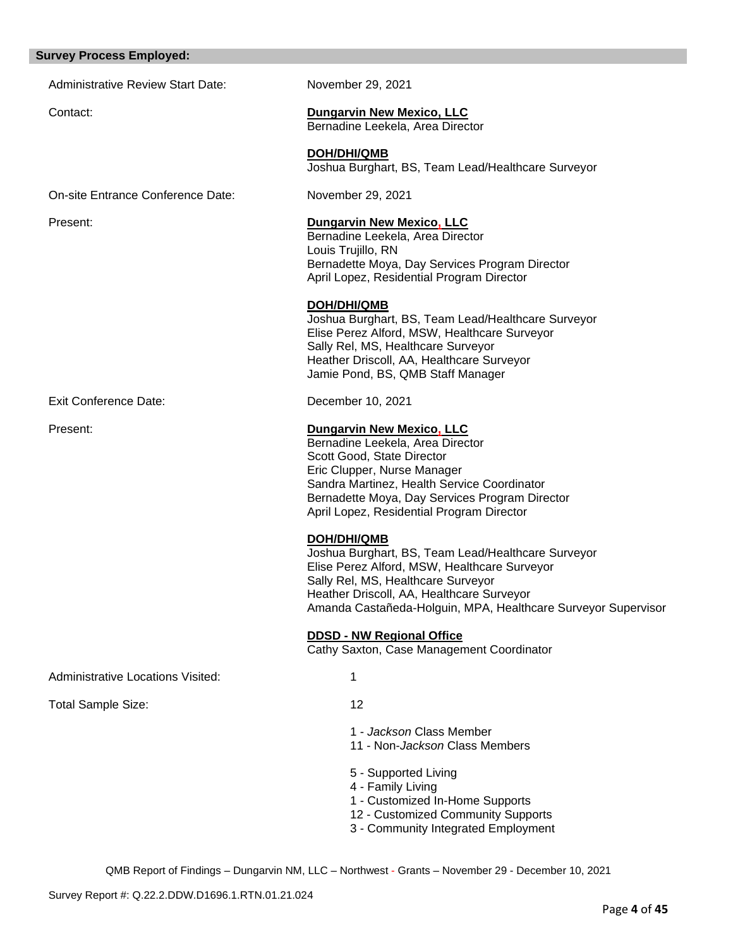#### **Survey Process Employed:**

Administrative Review Start Date: November 29, 2021

# Contact: **Dungarvin New Mexico, LLC**

Bernadine Leekela, Area Director

**DOH/DHI/QMB** Joshua Burghart, BS, Team Lead/Healthcare Surveyor

On-site Entrance Conference Date: November 29, 2021

## Present: **Dungarvin New Mexico, LLC**

Bernadine Leekela, Area Director Louis Trujillo, RN Bernadette Moya, Day Services Program Director April Lopez, Residential Program Director

### **DOH/DHI/QMB**

Joshua Burghart, BS, Team Lead/Healthcare Surveyor Elise Perez Alford, MSW, Healthcare Surveyor Sally Rel, MS, Healthcare Surveyor Heather Driscoll, AA, Healthcare Surveyor Jamie Pond, BS, QMB Staff Manager

Exit Conference Date: December 10, 2021

#### Present: **Dungarvin New Mexico, LLC**

Bernadine Leekela, Area Director Scott Good, State Director Eric Clupper, Nurse Manager Sandra Martinez, Health Service Coordinator Bernadette Moya, Day Services Program Director April Lopez, Residential Program Director

### **DOH/DHI/QMB**

Joshua Burghart, BS, Team Lead/Healthcare Surveyor Elise Perez Alford, MSW, Healthcare Surveyor Sally Rel, MS, Healthcare Surveyor Heather Driscoll, AA, Healthcare Surveyor Amanda Castañeda-Holguin, MPA, Healthcare Surveyor Supervisor

### **DDSD - NW Regional Office**

Cathy Saxton, Case Management Coordinator

Administrative Locations Visited: 1

Total Sample Size: 12

1 - *Jackson* Class Member

11 - Non-*Jackson* Class Members

- 5 Supported Living
- 4 Family Living
- 1 Customized In-Home Supports
- 12 Customized Community Supports
- 3 Community Integrated Employment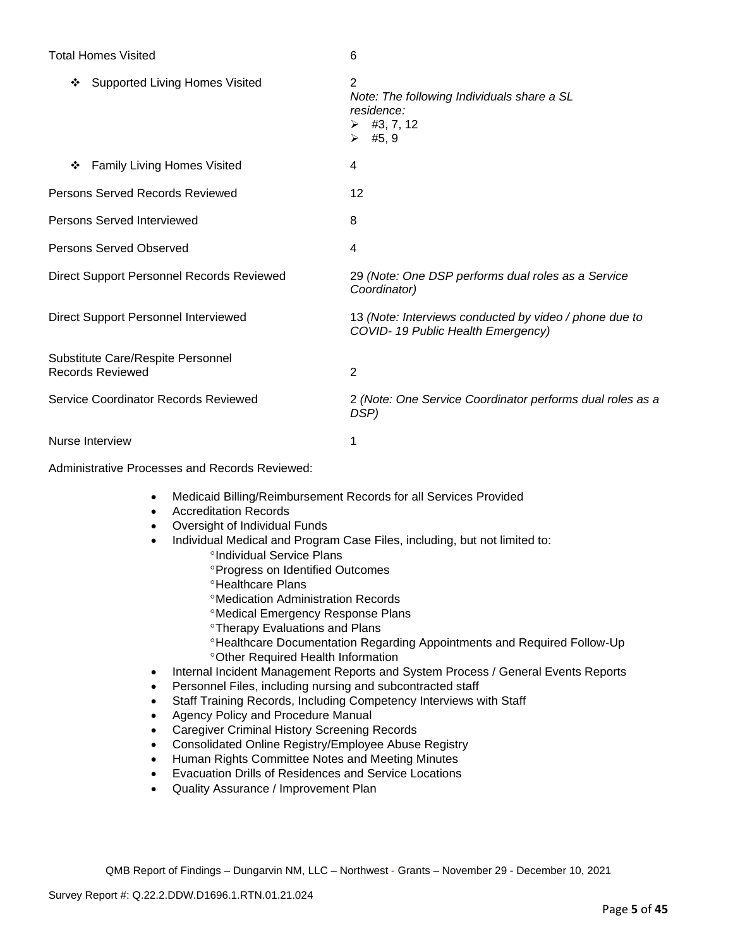# Total Homes Visited 6

| <b>Supported Living Homes Visited</b><br>❖            | 2<br>Note: The following Individuals share a SL<br>residence:<br>$\triangleright$ #3, 7, 12<br>$\triangleright$ #5, 9 |
|-------------------------------------------------------|-----------------------------------------------------------------------------------------------------------------------|
| <b>Family Living Homes Visited</b><br>❖               | 4                                                                                                                     |
| Persons Served Records Reviewed                       | 12                                                                                                                    |
| <b>Persons Served Interviewed</b>                     | 8                                                                                                                     |
| Persons Served Observed                               | 4                                                                                                                     |
| Direct Support Personnel Records Reviewed             | 29 (Note: One DSP performs dual roles as a Service<br>Coordinator)                                                    |
| Direct Support Personnel Interviewed                  | 13 (Note: Interviews conducted by video / phone due to<br>COVID-19 Public Health Emergency)                           |
| Substitute Care/Respite Personnel<br>Records Reviewed | $\overline{2}$                                                                                                        |
| Service Coordinator Records Reviewed                  | 2 (Note: One Service Coordinator performs dual roles as a<br>DSP)                                                     |
| Nurse Interview                                       |                                                                                                                       |

Administrative Processes and Records Reviewed:

- Medicaid Billing/Reimbursement Records for all Services Provided
- Accreditation Records
- Oversight of Individual Funds
- Individual Medical and Program Case Files, including, but not limited to:
	- °Individual Service Plans
	- Progress on Identified Outcomes
	- **<sup>o</sup>Healthcare Plans**
	- Medication Administration Records
	- Medical Emergency Response Plans
	- Therapy Evaluations and Plans
	- Healthcare Documentation Regarding Appointments and Required Follow-Up Other Required Health Information
- Internal Incident Management Reports and System Process / General Events Reports
- Personnel Files, including nursing and subcontracted staff
- Staff Training Records, Including Competency Interviews with Staff
- Agency Policy and Procedure Manual
- Caregiver Criminal History Screening Records
- Consolidated Online Registry/Employee Abuse Registry
- Human Rights Committee Notes and Meeting Minutes
- Evacuation Drills of Residences and Service Locations
- Quality Assurance / Improvement Plan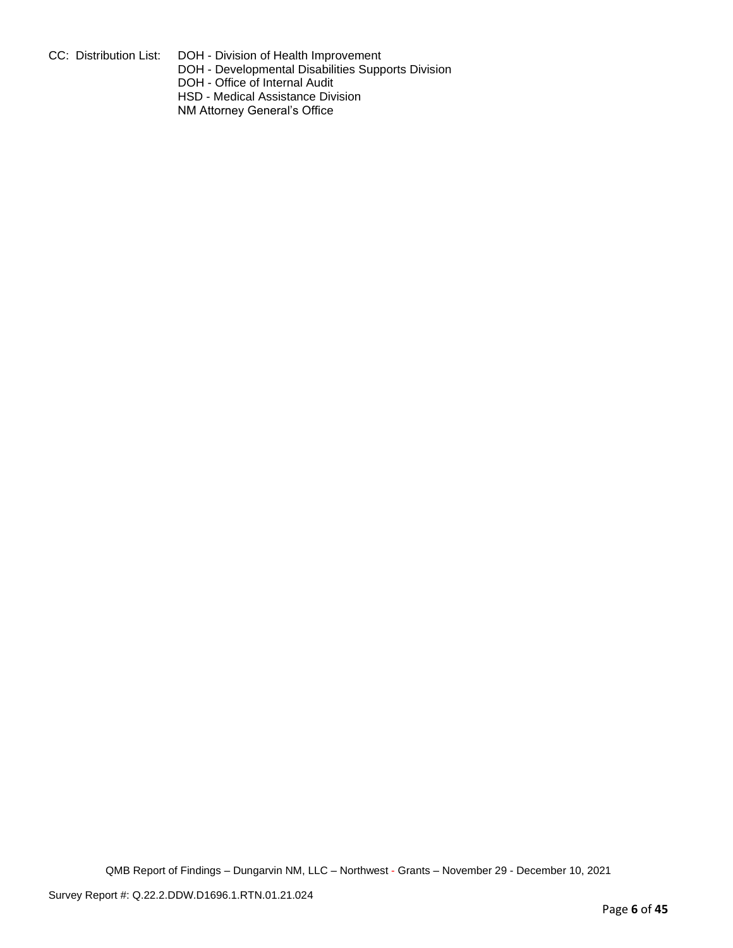CC: Distribution List: DOH - Division of Health Improvement

DOH - Developmental Disabilities Supports Division

DOH - Office of Internal Audit

HSD - Medical Assistance Division

NM Attorney General's Office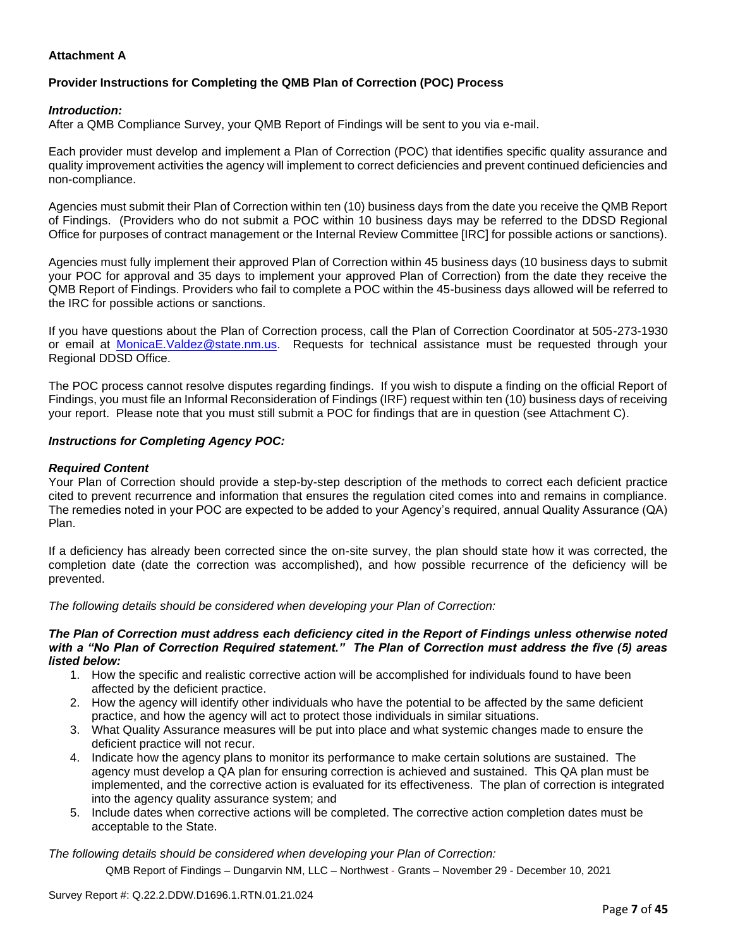# **Attachment A**

# **Provider Instructions for Completing the QMB Plan of Correction (POC) Process**

### *Introduction:*

After a QMB Compliance Survey, your QMB Report of Findings will be sent to you via e-mail.

Each provider must develop and implement a Plan of Correction (POC) that identifies specific quality assurance and quality improvement activities the agency will implement to correct deficiencies and prevent continued deficiencies and non-compliance.

Agencies must submit their Plan of Correction within ten (10) business days from the date you receive the QMB Report of Findings. (Providers who do not submit a POC within 10 business days may be referred to the DDSD Regional Office for purposes of contract management or the Internal Review Committee [IRC] for possible actions or sanctions).

Agencies must fully implement their approved Plan of Correction within 45 business days (10 business days to submit your POC for approval and 35 days to implement your approved Plan of Correction) from the date they receive the QMB Report of Findings. Providers who fail to complete a POC within the 45-business days allowed will be referred to the IRC for possible actions or sanctions.

If you have questions about the Plan of Correction process, call the Plan of Correction Coordinator at 505-273-1930 or email at [MonicaE.Valdez@state.nm.us.](mailto:MonicaE.Valdez@state.nm.us) Requests for technical assistance must be requested through your Regional DDSD Office.

The POC process cannot resolve disputes regarding findings. If you wish to dispute a finding on the official Report of Findings, you must file an Informal Reconsideration of Findings (IRF) request within ten (10) business days of receiving your report. Please note that you must still submit a POC for findings that are in question (see Attachment C).

### *Instructions for Completing Agency POC:*

### *Required Content*

Your Plan of Correction should provide a step-by-step description of the methods to correct each deficient practice cited to prevent recurrence and information that ensures the regulation cited comes into and remains in compliance. The remedies noted in your POC are expected to be added to your Agency's required, annual Quality Assurance (QA) Plan.

If a deficiency has already been corrected since the on-site survey, the plan should state how it was corrected, the completion date (date the correction was accomplished), and how possible recurrence of the deficiency will be prevented.

*The following details should be considered when developing your Plan of Correction:*

#### *The Plan of Correction must address each deficiency cited in the Report of Findings unless otherwise noted with a "No Plan of Correction Required statement." The Plan of Correction must address the five (5) areas listed below:*

- 1. How the specific and realistic corrective action will be accomplished for individuals found to have been affected by the deficient practice.
- 2. How the agency will identify other individuals who have the potential to be affected by the same deficient practice, and how the agency will act to protect those individuals in similar situations.
- 3. What Quality Assurance measures will be put into place and what systemic changes made to ensure the deficient practice will not recur.
- 4. Indicate how the agency plans to monitor its performance to make certain solutions are sustained. The agency must develop a QA plan for ensuring correction is achieved and sustained. This QA plan must be implemented, and the corrective action is evaluated for its effectiveness. The plan of correction is integrated into the agency quality assurance system; and
- 5. Include dates when corrective actions will be completed. The corrective action completion dates must be acceptable to the State.

*The following details should be considered when developing your Plan of Correction:*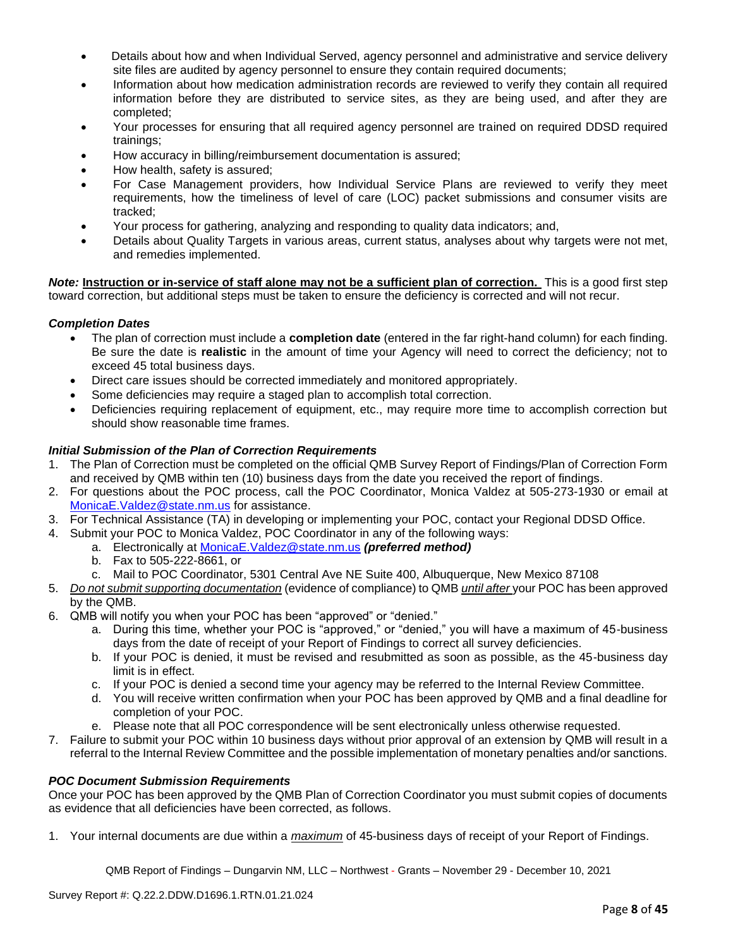- Details about how and when Individual Served, agency personnel and administrative and service delivery site files are audited by agency personnel to ensure they contain required documents;
- Information about how medication administration records are reviewed to verify they contain all required information before they are distributed to service sites, as they are being used, and after they are completed;
- Your processes for ensuring that all required agency personnel are trained on required DDSD required trainings;
- How accuracy in billing/reimbursement documentation is assured;
- How health, safety is assured;
- For Case Management providers, how Individual Service Plans are reviewed to verify they meet requirements, how the timeliness of level of care (LOC) packet submissions and consumer visits are tracked;
- Your process for gathering, analyzing and responding to quality data indicators; and,
- Details about Quality Targets in various areas, current status, analyses about why targets were not met, and remedies implemented.

*Note:* **Instruction or in-service of staff alone may not be a sufficient plan of correction.** This is a good first step toward correction, but additional steps must be taken to ensure the deficiency is corrected and will not recur.

# *Completion Dates*

- The plan of correction must include a **completion date** (entered in the far right-hand column) for each finding. Be sure the date is **realistic** in the amount of time your Agency will need to correct the deficiency; not to exceed 45 total business days.
- Direct care issues should be corrected immediately and monitored appropriately.
- Some deficiencies may require a staged plan to accomplish total correction.
- Deficiencies requiring replacement of equipment, etc., may require more time to accomplish correction but should show reasonable time frames.

# *Initial Submission of the Plan of Correction Requirements*

- 1. The Plan of Correction must be completed on the official QMB Survey Report of Findings/Plan of Correction Form and received by QMB within ten (10) business days from the date you received the report of findings.
- 2. For questions about the POC process, call the POC Coordinator, Monica Valdez at 505-273-1930 or email at [MonicaE.Valdez@state.nm.us](mailto:MonicaE.Valdez@state.nm.us) for assistance.
- 3. For Technical Assistance (TA) in developing or implementing your POC, contact your Regional DDSD Office.
- 4. Submit your POC to Monica Valdez, POC Coordinator in any of the following ways:
	- a. Electronically at [MonicaE.Valdez@state.nm.us](mailto:MonicaE.Valdez@state.nm.us) *(preferred method)*
		- b. Fax to 505-222-8661, or
		- c. Mail to POC Coordinator, 5301 Central Ave NE Suite 400, Albuquerque, New Mexico 87108
- 5. *Do not submit supporting documentation* (evidence of compliance) to QMB *until after* your POC has been approved by the QMB.
- 6. QMB will notify you when your POC has been "approved" or "denied."
	- a. During this time, whether your POC is "approved," or "denied," you will have a maximum of 45-business days from the date of receipt of your Report of Findings to correct all survey deficiencies.
	- b. If your POC is denied, it must be revised and resubmitted as soon as possible, as the 45-business day limit is in effect.
	- c. If your POC is denied a second time your agency may be referred to the Internal Review Committee.
	- d. You will receive written confirmation when your POC has been approved by QMB and a final deadline for completion of your POC.
	- e. Please note that all POC correspondence will be sent electronically unless otherwise requested.
- 7. Failure to submit your POC within 10 business days without prior approval of an extension by QMB will result in a referral to the Internal Review Committee and the possible implementation of monetary penalties and/or sanctions.

### *POC Document Submission Requirements*

Once your POC has been approved by the QMB Plan of Correction Coordinator you must submit copies of documents as evidence that all deficiencies have been corrected, as follows.

1. Your internal documents are due within a *maximum* of 45-business days of receipt of your Report of Findings.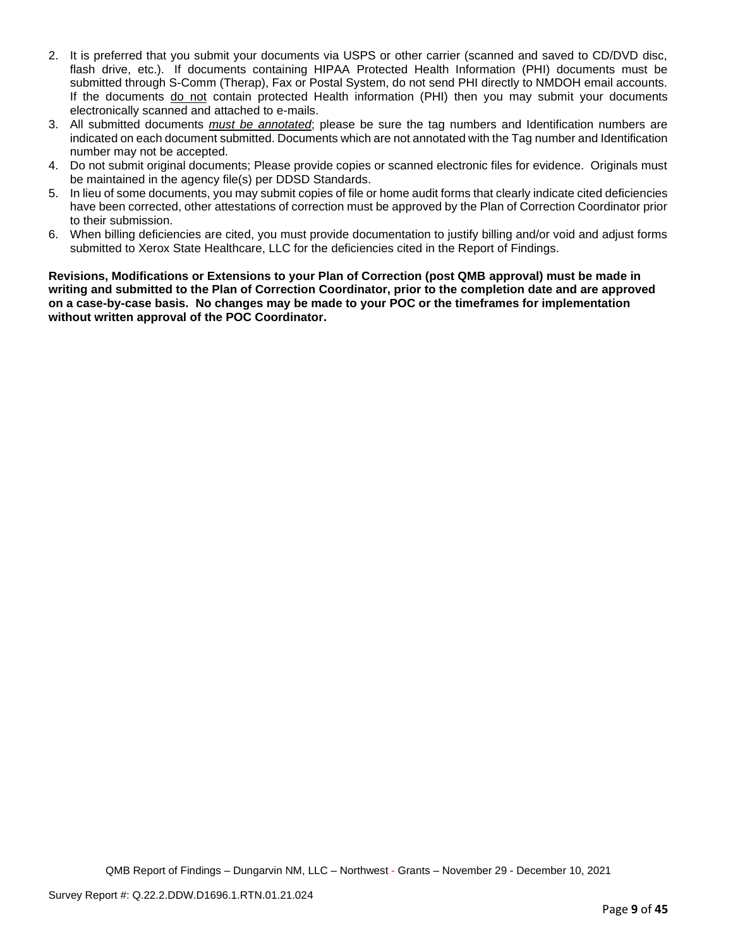- 2. It is preferred that you submit your documents via USPS or other carrier (scanned and saved to CD/DVD disc, flash drive, etc.). If documents containing HIPAA Protected Health Information (PHI) documents must be submitted through S-Comm (Therap), Fax or Postal System, do not send PHI directly to NMDOH email accounts. If the documents do not contain protected Health information (PHI) then you may submit your documents electronically scanned and attached to e-mails.
- 3. All submitted documents *must be annotated*; please be sure the tag numbers and Identification numbers are indicated on each document submitted. Documents which are not annotated with the Tag number and Identification number may not be accepted.
- 4. Do not submit original documents; Please provide copies or scanned electronic files for evidence. Originals must be maintained in the agency file(s) per DDSD Standards.
- 5. In lieu of some documents, you may submit copies of file or home audit forms that clearly indicate cited deficiencies have been corrected, other attestations of correction must be approved by the Plan of Correction Coordinator prior to their submission.
- 6. When billing deficiencies are cited, you must provide documentation to justify billing and/or void and adjust forms submitted to Xerox State Healthcare, LLC for the deficiencies cited in the Report of Findings.

**Revisions, Modifications or Extensions to your Plan of Correction (post QMB approval) must be made in writing and submitted to the Plan of Correction Coordinator, prior to the completion date and are approved on a case-by-case basis. No changes may be made to your POC or the timeframes for implementation without written approval of the POC Coordinator.**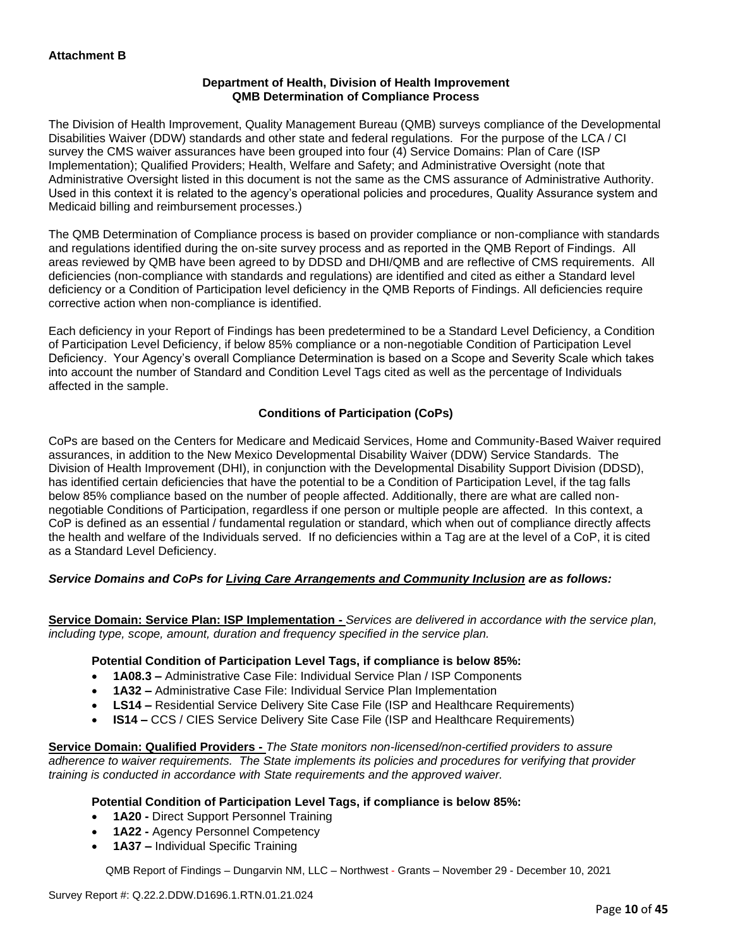# **Department of Health, Division of Health Improvement QMB Determination of Compliance Process**

The Division of Health Improvement, Quality Management Bureau (QMB) surveys compliance of the Developmental Disabilities Waiver (DDW) standards and other state and federal regulations. For the purpose of the LCA / CI survey the CMS waiver assurances have been grouped into four (4) Service Domains: Plan of Care (ISP Implementation); Qualified Providers; Health, Welfare and Safety; and Administrative Oversight (note that Administrative Oversight listed in this document is not the same as the CMS assurance of Administrative Authority. Used in this context it is related to the agency's operational policies and procedures, Quality Assurance system and Medicaid billing and reimbursement processes.)

The QMB Determination of Compliance process is based on provider compliance or non-compliance with standards and regulations identified during the on-site survey process and as reported in the QMB Report of Findings. All areas reviewed by QMB have been agreed to by DDSD and DHI/QMB and are reflective of CMS requirements. All deficiencies (non-compliance with standards and regulations) are identified and cited as either a Standard level deficiency or a Condition of Participation level deficiency in the QMB Reports of Findings. All deficiencies require corrective action when non-compliance is identified.

Each deficiency in your Report of Findings has been predetermined to be a Standard Level Deficiency, a Condition of Participation Level Deficiency, if below 85% compliance or a non-negotiable Condition of Participation Level Deficiency. Your Agency's overall Compliance Determination is based on a Scope and Severity Scale which takes into account the number of Standard and Condition Level Tags cited as well as the percentage of Individuals affected in the sample.

# **Conditions of Participation (CoPs)**

CoPs are based on the Centers for Medicare and Medicaid Services, Home and Community-Based Waiver required assurances, in addition to the New Mexico Developmental Disability Waiver (DDW) Service Standards. The Division of Health Improvement (DHI), in conjunction with the Developmental Disability Support Division (DDSD), has identified certain deficiencies that have the potential to be a Condition of Participation Level, if the tag falls below 85% compliance based on the number of people affected. Additionally, there are what are called nonnegotiable Conditions of Participation, regardless if one person or multiple people are affected. In this context, a CoP is defined as an essential / fundamental regulation or standard, which when out of compliance directly affects the health and welfare of the Individuals served. If no deficiencies within a Tag are at the level of a CoP, it is cited as a Standard Level Deficiency.

# *Service Domains and CoPs for Living Care Arrangements and Community Inclusion are as follows:*

**Service Domain: Service Plan: ISP Implementation -** *Services are delivered in accordance with the service plan, including type, scope, amount, duration and frequency specified in the service plan.*

### **Potential Condition of Participation Level Tags, if compliance is below 85%:**

- **1A08.3 –** Administrative Case File: Individual Service Plan / ISP Components
- **1A32 –** Administrative Case File: Individual Service Plan Implementation
- **LS14 –** Residential Service Delivery Site Case File (ISP and Healthcare Requirements)
- **IS14 –** CCS / CIES Service Delivery Site Case File (ISP and Healthcare Requirements)

**Service Domain: Qualified Providers -** *The State monitors non-licensed/non-certified providers to assure adherence to waiver requirements. The State implements its policies and procedures for verifying that provider training is conducted in accordance with State requirements and the approved waiver.*

### **Potential Condition of Participation Level Tags, if compliance is below 85%:**

- **1A20 -** Direct Support Personnel Training
- **1A22 -** Agency Personnel Competency
- **1A37 –** Individual Specific Training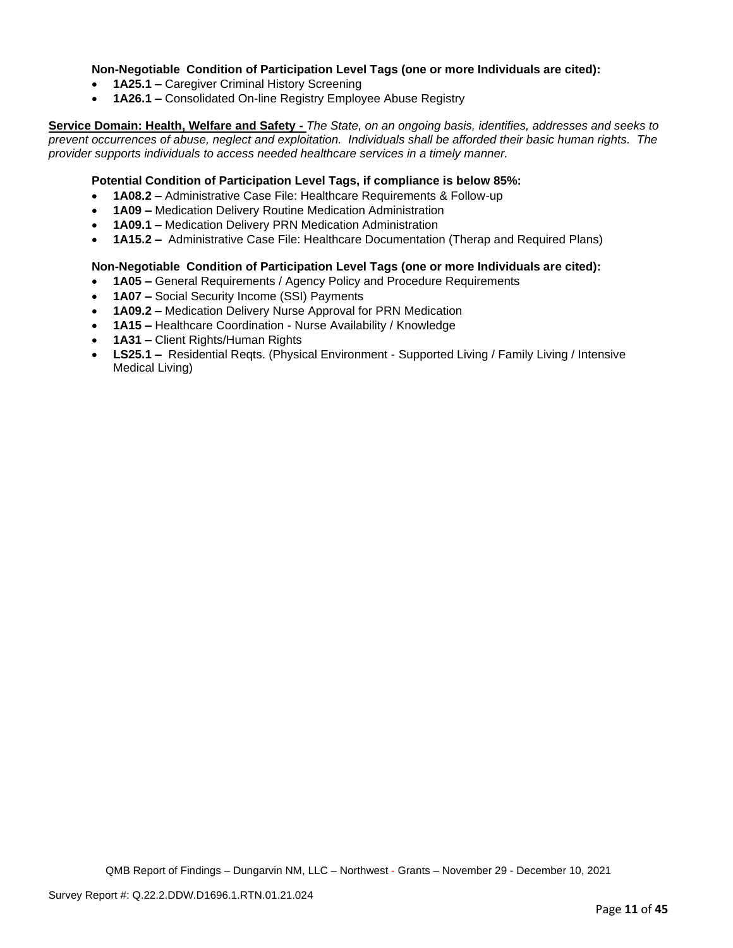## **Non-Negotiable Condition of Participation Level Tags (one or more Individuals are cited):**

- **1A25.1 –** Caregiver Criminal History Screening
- **1A26.1 –** Consolidated On-line Registry Employee Abuse Registry

**Service Domain: Health, Welfare and Safety -** *The State, on an ongoing basis, identifies, addresses and seeks to prevent occurrences of abuse, neglect and exploitation. Individuals shall be afforded their basic human rights. The provider supports individuals to access needed healthcare services in a timely manner.*

## **Potential Condition of Participation Level Tags, if compliance is below 85%:**

- **1A08.2 –** Administrative Case File: Healthcare Requirements & Follow-up
- **1A09 –** Medication Delivery Routine Medication Administration
- **1A09.1 –** Medication Delivery PRN Medication Administration
- **1A15.2 –** Administrative Case File: Healthcare Documentation (Therap and Required Plans)

# **Non-Negotiable Condition of Participation Level Tags (one or more Individuals are cited):**

- **1A05 –** General Requirements / Agency Policy and Procedure Requirements
- **1A07 –** Social Security Income (SSI) Payments
- **1A09.2 –** Medication Delivery Nurse Approval for PRN Medication
- **1A15 –** Healthcare Coordination Nurse Availability / Knowledge
- **1A31 –** Client Rights/Human Rights
- **LS25.1 –** Residential Reqts. (Physical Environment Supported Living / Family Living / Intensive Medical Living)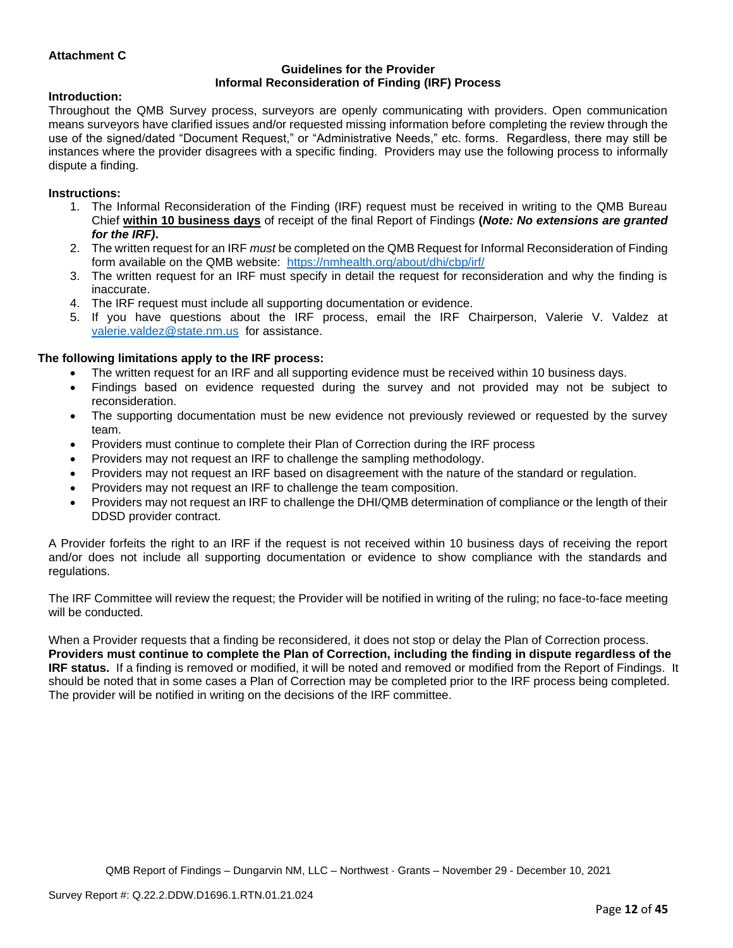# **Attachment C**

#### **Guidelines for the Provider Informal Reconsideration of Finding (IRF) Process**

#### **Introduction:**

Throughout the QMB Survey process, surveyors are openly communicating with providers. Open communication means surveyors have clarified issues and/or requested missing information before completing the review through the use of the signed/dated "Document Request," or "Administrative Needs," etc. forms. Regardless, there may still be instances where the provider disagrees with a specific finding. Providers may use the following process to informally dispute a finding.

#### **Instructions:**

- 1. The Informal Reconsideration of the Finding (IRF) request must be received in writing to the QMB Bureau Chief **within 10 business days** of receipt of the final Report of Findings **(***Note: No extensions are granted for the IRF)***.**
- 2. The written request for an IRF *must* be completed on the QMB Request for Informal Reconsideration of Finding form available on the QMB website: <https://nmhealth.org/about/dhi/cbp/irf/>
- 3. The written request for an IRF must specify in detail the request for reconsideration and why the finding is inaccurate.
- 4. The IRF request must include all supporting documentation or evidence.
- 5. If you have questions about the IRF process, email the IRF Chairperson, Valerie V. Valdez at [valerie.valdez@state.nm.us](mailto:valerie.valdez@state.nm.us) for assistance.

#### **The following limitations apply to the IRF process:**

- The written request for an IRF and all supporting evidence must be received within 10 business days.
- Findings based on evidence requested during the survey and not provided may not be subject to reconsideration.
- The supporting documentation must be new evidence not previously reviewed or requested by the survey team.
- Providers must continue to complete their Plan of Correction during the IRF process
- Providers may not request an IRF to challenge the sampling methodology.
- Providers may not request an IRF based on disagreement with the nature of the standard or regulation.
- Providers may not request an IRF to challenge the team composition.
- Providers may not request an IRF to challenge the DHI/QMB determination of compliance or the length of their DDSD provider contract.

A Provider forfeits the right to an IRF if the request is not received within 10 business days of receiving the report and/or does not include all supporting documentation or evidence to show compliance with the standards and regulations.

The IRF Committee will review the request; the Provider will be notified in writing of the ruling; no face-to-face meeting will be conducted.

When a Provider requests that a finding be reconsidered, it does not stop or delay the Plan of Correction process. **Providers must continue to complete the Plan of Correction, including the finding in dispute regardless of the IRF status.** If a finding is removed or modified, it will be noted and removed or modified from the Report of Findings. It should be noted that in some cases a Plan of Correction may be completed prior to the IRF process being completed. The provider will be notified in writing on the decisions of the IRF committee.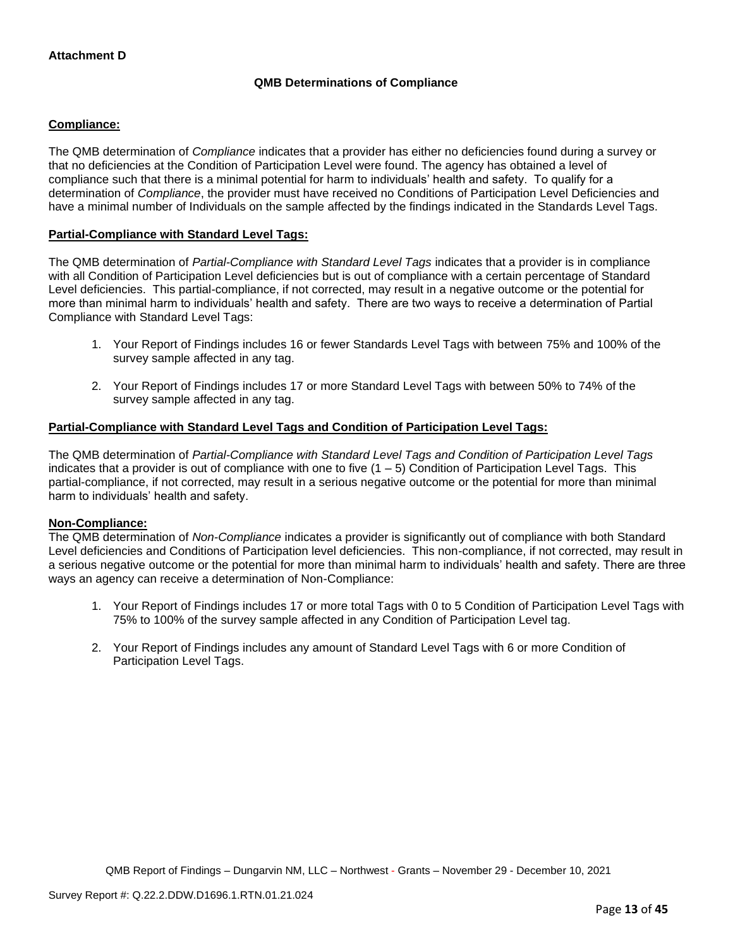# **QMB Determinations of Compliance**

# **Compliance:**

The QMB determination of *Compliance* indicates that a provider has either no deficiencies found during a survey or that no deficiencies at the Condition of Participation Level were found. The agency has obtained a level of compliance such that there is a minimal potential for harm to individuals' health and safety. To qualify for a determination of *Compliance*, the provider must have received no Conditions of Participation Level Deficiencies and have a minimal number of Individuals on the sample affected by the findings indicated in the Standards Level Tags.

# **Partial-Compliance with Standard Level Tags:**

The QMB determination of *Partial-Compliance with Standard Level Tags* indicates that a provider is in compliance with all Condition of Participation Level deficiencies but is out of compliance with a certain percentage of Standard Level deficiencies. This partial-compliance, if not corrected, may result in a negative outcome or the potential for more than minimal harm to individuals' health and safety. There are two ways to receive a determination of Partial Compliance with Standard Level Tags:

- 1. Your Report of Findings includes 16 or fewer Standards Level Tags with between 75% and 100% of the survey sample affected in any tag.
- 2. Your Report of Findings includes 17 or more Standard Level Tags with between 50% to 74% of the survey sample affected in any tag.

# **Partial-Compliance with Standard Level Tags and Condition of Participation Level Tags:**

The QMB determination of *Partial-Compliance with Standard Level Tags and Condition of Participation Level Tags*  indicates that a provider is out of compliance with one to five  $(1 - 5)$  Condition of Participation Level Tags. This partial-compliance, if not corrected, may result in a serious negative outcome or the potential for more than minimal harm to individuals' health and safety.

### **Non-Compliance:**

The QMB determination of *Non-Compliance* indicates a provider is significantly out of compliance with both Standard Level deficiencies and Conditions of Participation level deficiencies. This non-compliance, if not corrected, may result in a serious negative outcome or the potential for more than minimal harm to individuals' health and safety. There are three ways an agency can receive a determination of Non-Compliance:

- 1. Your Report of Findings includes 17 or more total Tags with 0 to 5 Condition of Participation Level Tags with 75% to 100% of the survey sample affected in any Condition of Participation Level tag.
- 2. Your Report of Findings includes any amount of Standard Level Tags with 6 or more Condition of Participation Level Tags.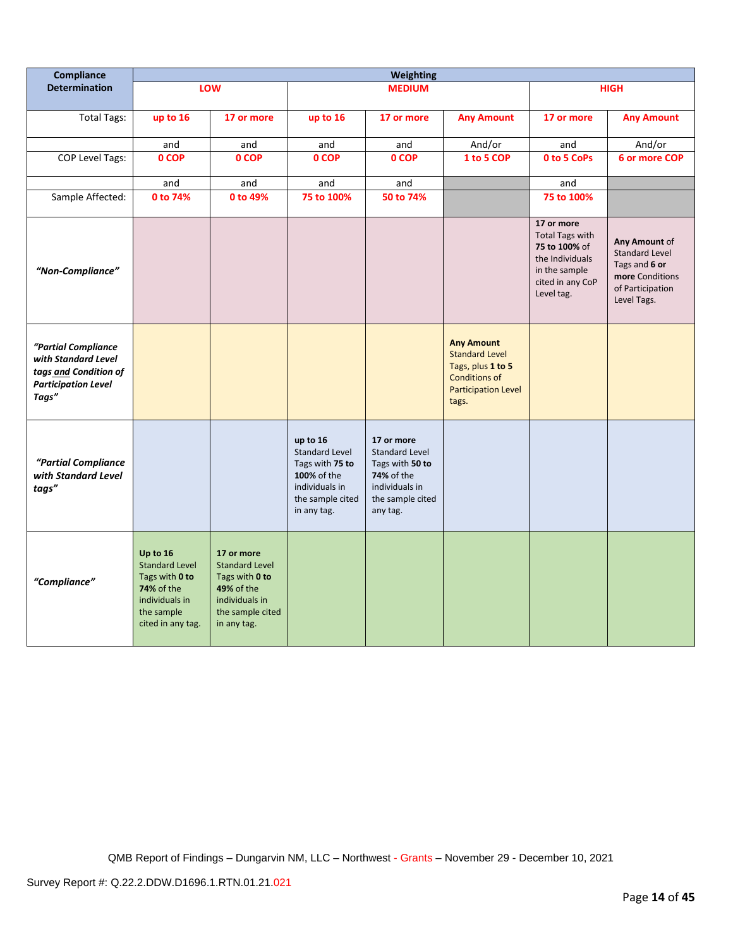| Compliance                                                                                                 | <b>Weighting</b>                                                                                                              |                                                                                                                          |                                                                                                                          |                                                                                                                        |                                                                                                                                |                                                                                                                             |                                                                                                               |
|------------------------------------------------------------------------------------------------------------|-------------------------------------------------------------------------------------------------------------------------------|--------------------------------------------------------------------------------------------------------------------------|--------------------------------------------------------------------------------------------------------------------------|------------------------------------------------------------------------------------------------------------------------|--------------------------------------------------------------------------------------------------------------------------------|-----------------------------------------------------------------------------------------------------------------------------|---------------------------------------------------------------------------------------------------------------|
| <b>Determination</b>                                                                                       |                                                                                                                               | LOW                                                                                                                      |                                                                                                                          | <b>MEDIUM</b>                                                                                                          |                                                                                                                                |                                                                                                                             | <b>HIGH</b>                                                                                                   |
| <b>Total Tags:</b>                                                                                         | up to 16                                                                                                                      | 17 or more                                                                                                               | up to 16                                                                                                                 | 17 or more                                                                                                             | <b>Any Amount</b>                                                                                                              | 17 or more                                                                                                                  | <b>Any Amount</b>                                                                                             |
|                                                                                                            | and                                                                                                                           | and                                                                                                                      | and                                                                                                                      | and                                                                                                                    | And/or                                                                                                                         | and                                                                                                                         | And/or                                                                                                        |
| COP Level Tags:                                                                                            | 0 COP                                                                                                                         | 0 COP                                                                                                                    | 0 COP                                                                                                                    | 0 COP                                                                                                                  | 1 to 5 COP                                                                                                                     | 0 to 5 CoPs                                                                                                                 | 6 or more COP                                                                                                 |
|                                                                                                            | and                                                                                                                           | and                                                                                                                      | and                                                                                                                      | and                                                                                                                    |                                                                                                                                | and                                                                                                                         |                                                                                                               |
| Sample Affected:                                                                                           | 0 to 74%                                                                                                                      | 0 to 49%                                                                                                                 | 75 to 100%                                                                                                               | 50 to 74%                                                                                                              |                                                                                                                                | 75 to 100%                                                                                                                  |                                                                                                               |
| "Non-Compliance"                                                                                           |                                                                                                                               |                                                                                                                          |                                                                                                                          |                                                                                                                        |                                                                                                                                | 17 or more<br><b>Total Tags with</b><br>75 to 100% of<br>the Individuals<br>in the sample<br>cited in any CoP<br>Level tag. | Any Amount of<br><b>Standard Level</b><br>Tags and 6 or<br>more Conditions<br>of Participation<br>Level Tags. |
| "Partial Compliance<br>with Standard Level<br>tags and Condition of<br><b>Participation Level</b><br>Tags" |                                                                                                                               |                                                                                                                          |                                                                                                                          |                                                                                                                        | <b>Any Amount</b><br><b>Standard Level</b><br>Tags, plus 1 to 5<br><b>Conditions of</b><br><b>Participation Level</b><br>tags. |                                                                                                                             |                                                                                                               |
| "Partial Compliance<br>with Standard Level<br>tags"                                                        |                                                                                                                               |                                                                                                                          | up to 16<br><b>Standard Level</b><br>Tags with 75 to<br>100% of the<br>individuals in<br>the sample cited<br>in any tag. | 17 or more<br><b>Standard Level</b><br>Tags with 50 to<br>74% of the<br>individuals in<br>the sample cited<br>any tag. |                                                                                                                                |                                                                                                                             |                                                                                                               |
| "Compliance"                                                                                               | Up to 16<br><b>Standard Level</b><br>Tags with 0 to<br><b>74% of the</b><br>individuals in<br>the sample<br>cited in any tag. | 17 or more<br><b>Standard Level</b><br>Tags with 0 to<br>49% of the<br>individuals in<br>the sample cited<br>in any tag. |                                                                                                                          |                                                                                                                        |                                                                                                                                |                                                                                                                             |                                                                                                               |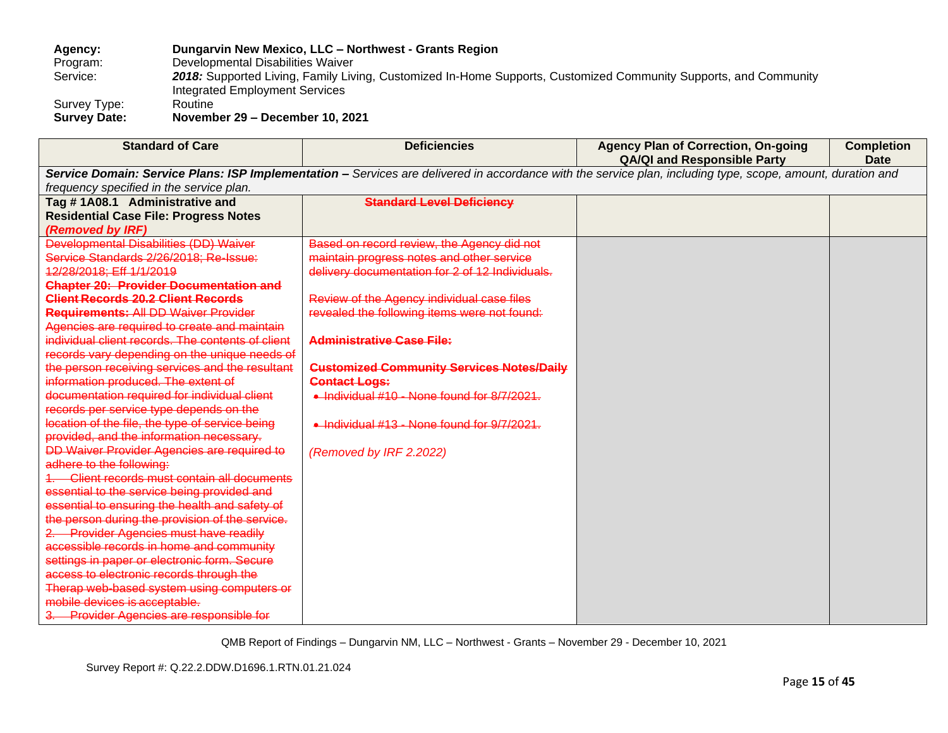# **Agency: Dungarvin New Mexico, LLC – Northwest - Grants Region** Program: Developmental Disabilities Waiver<br>Service: 2018: Supported Living, Family Liv 2018: Supported Living, Family Living, Customized In-Home Supports, Customized Community Supports, and Community Integrated Employment Services Survey Type: Routine<br>
Survey Date: Novemb

**Survey Date: November 29 – December 10, 2021**

| <b>Standard of Care</b>                            | <b>Deficiencies</b>                                                                                                                                         | <b>Agency Plan of Correction, On-going</b> | <b>Completion</b> |
|----------------------------------------------------|-------------------------------------------------------------------------------------------------------------------------------------------------------------|--------------------------------------------|-------------------|
|                                                    |                                                                                                                                                             | <b>QA/QI and Responsible Party</b>         | <b>Date</b>       |
|                                                    | Service Domain: Service Plans: ISP Implementation - Services are delivered in accordance with the service plan, including type, scope, amount, duration and |                                            |                   |
| frequency specified in the service plan.           |                                                                                                                                                             |                                            |                   |
| Tag #1A08.1 Administrative and                     | <b>Standard Level Deficiency</b>                                                                                                                            |                                            |                   |
| <b>Residential Case File: Progress Notes</b>       |                                                                                                                                                             |                                            |                   |
| (Removed by IRF)                                   |                                                                                                                                                             |                                            |                   |
| Developmental Disabilities (DD) Waiver             | Based on record review, the Agency did not                                                                                                                  |                                            |                   |
| Service Standards 2/26/2018: Re-Issue:             | maintain progress notes and other service                                                                                                                   |                                            |                   |
| 12/28/2018: Eff 1/1/2019                           | delivery documentation for 2 of 12 Individuals.                                                                                                             |                                            |                   |
| <b>Chapter 20: Provider Documentation and</b>      |                                                                                                                                                             |                                            |                   |
| <b>Client Records 20.2 Client Records</b>          | Review of the Agency individual case files                                                                                                                  |                                            |                   |
| <b>Requirements: All DD Waiver Provider</b>        | revealed the following items were not found:                                                                                                                |                                            |                   |
| Agencies are required to create and maintain       |                                                                                                                                                             |                                            |                   |
| individual client records. The contents of client  | <b>Administrative Case File:</b>                                                                                                                            |                                            |                   |
| records vary depending on the unique needs of      |                                                                                                                                                             |                                            |                   |
| the person receiving services and the resultant    | <b>Customized Community Services Notes/Daily</b>                                                                                                            |                                            |                   |
| information produced. The extent of                | <b>Contact Logs:</b>                                                                                                                                        |                                            |                   |
| documentation required for individual client       | • Individual #10 - None found for 8/7/2021.                                                                                                                 |                                            |                   |
| records per service type depends on the            |                                                                                                                                                             |                                            |                   |
| location of the file, the type of service being    | • Individual #13 - None found for 9/7/2021.                                                                                                                 |                                            |                   |
| provided, and the information necessary.           |                                                                                                                                                             |                                            |                   |
| <b>DD Waiver Provider Agencies are required to</b> | (Removed by IRF 2.2022)                                                                                                                                     |                                            |                   |
| adhere to the following:                           |                                                                                                                                                             |                                            |                   |
| Client records must contain all documents          |                                                                                                                                                             |                                            |                   |
| essential to the service being provided and        |                                                                                                                                                             |                                            |                   |
| essential to ensuring the health and safety of     |                                                                                                                                                             |                                            |                   |
| the person during the provision of the service.    |                                                                                                                                                             |                                            |                   |
| 2. Provider Agencies must have readily             |                                                                                                                                                             |                                            |                   |
| accessible records in home and community           |                                                                                                                                                             |                                            |                   |
| settings in paper or electronic form. Secure       |                                                                                                                                                             |                                            |                   |
| access to electronic records through the           |                                                                                                                                                             |                                            |                   |
| Therap web-based system using computers or         |                                                                                                                                                             |                                            |                   |
| mobile devices is acceptable.                      |                                                                                                                                                             |                                            |                   |
| 3. Provider Agencies are responsible for           |                                                                                                                                                             |                                            |                   |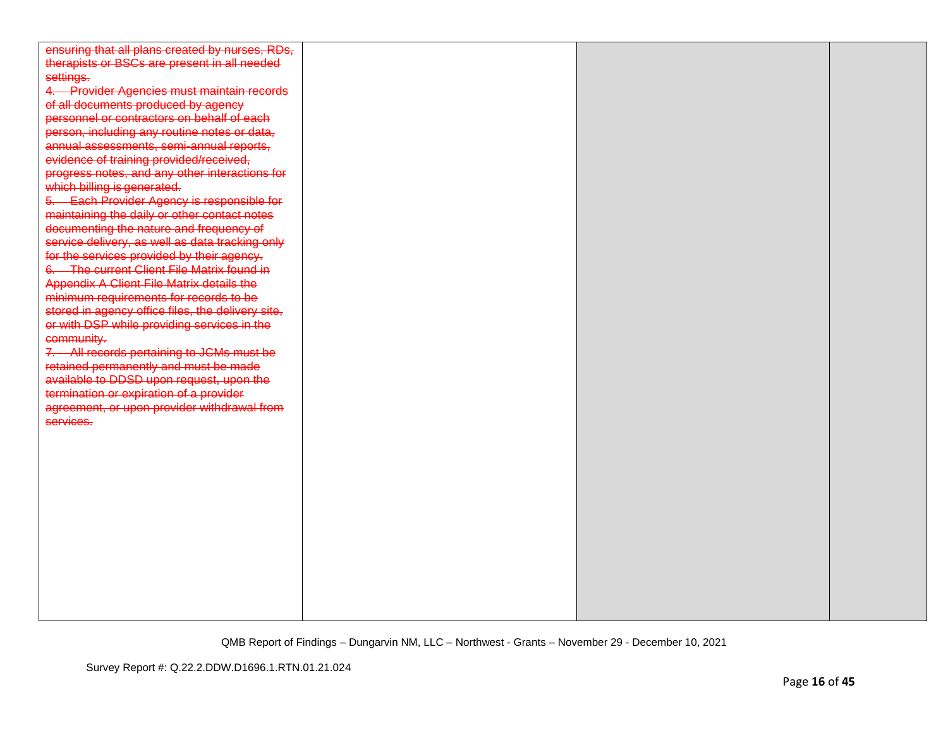| ensuring that all plans created by nurses, RDs,   |  |  |
|---------------------------------------------------|--|--|
| therapists or BSCs are present in all needed      |  |  |
| settings.                                         |  |  |
| 4. Provider Agencies must maintain records        |  |  |
| of all documents produced by agency               |  |  |
| personnel or contractors on behalf of each        |  |  |
| person, including any routine notes or data,      |  |  |
| annual assessments, semi-annual reports,          |  |  |
| evidence of training provided/received,           |  |  |
| progress notes, and any other interactions for    |  |  |
| which billing is generated.                       |  |  |
| 5. Each Provider Agency is responsible for        |  |  |
| maintaining the daily or other contact notes      |  |  |
| documenting the nature and frequency of           |  |  |
| service delivery, as well as data tracking only   |  |  |
| for the services provided by their agency.        |  |  |
| 6. The current Client File Matrix found in        |  |  |
| Appendix A Client File Matrix details the         |  |  |
| minimum requirements for records to be            |  |  |
| stored in agency office files, the delivery site, |  |  |
| or with DSP while providing services in the       |  |  |
| community.                                        |  |  |
| 7. All records pertaining to JCMs must be         |  |  |
| retained permanently and must be made             |  |  |
| available to DDSD upon request, upon the          |  |  |
| termination or expiration of a provider           |  |  |
| agreement, or upon provider withdrawal from       |  |  |
| services.                                         |  |  |
|                                                   |  |  |
|                                                   |  |  |
|                                                   |  |  |
|                                                   |  |  |
|                                                   |  |  |
|                                                   |  |  |
|                                                   |  |  |
|                                                   |  |  |
|                                                   |  |  |
|                                                   |  |  |
|                                                   |  |  |
|                                                   |  |  |
|                                                   |  |  |
|                                                   |  |  |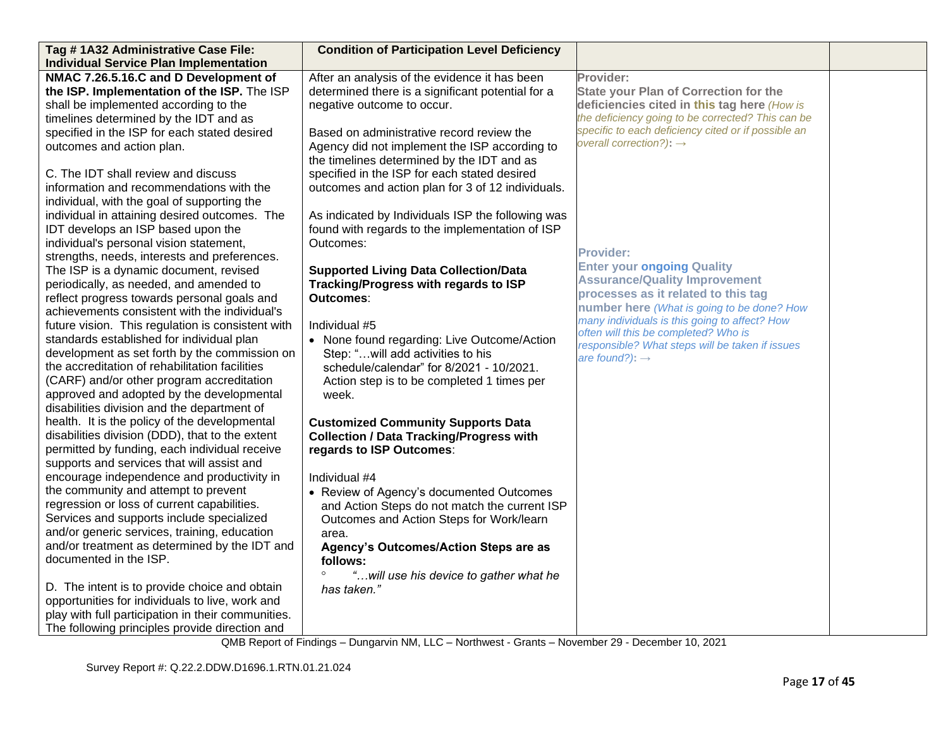| Tag #1A32 Administrative Case File:                | <b>Condition of Participation Level Deficiency</b> |                                                                                         |  |
|----------------------------------------------------|----------------------------------------------------|-----------------------------------------------------------------------------------------|--|
| <b>Individual Service Plan Implementation</b>      |                                                    |                                                                                         |  |
| NMAC 7.26.5.16.C and D Development of              | After an analysis of the evidence it has been      | Provider:                                                                               |  |
| the ISP. Implementation of the ISP. The ISP        | determined there is a significant potential for a  | <b>State your Plan of Correction for the</b>                                            |  |
| shall be implemented according to the              | negative outcome to occur.                         | deficiencies cited in this tag here (How is                                             |  |
| timelines determined by the IDT and as             |                                                    | the deficiency going to be corrected? This can be                                       |  |
| specified in the ISP for each stated desired       | Based on administrative record review the          | specific to each deficiency cited or if possible an                                     |  |
| outcomes and action plan.                          | Agency did not implement the ISP according to      | overall correction?): $\rightarrow$                                                     |  |
|                                                    | the timelines determined by the IDT and as         |                                                                                         |  |
| C. The IDT shall review and discuss                | specified in the ISP for each stated desired       |                                                                                         |  |
| information and recommendations with the           | outcomes and action plan for 3 of 12 individuals.  |                                                                                         |  |
| individual, with the goal of supporting the        |                                                    |                                                                                         |  |
| individual in attaining desired outcomes. The      | As indicated by Individuals ISP the following was  |                                                                                         |  |
| IDT develops an ISP based upon the                 | found with regards to the implementation of ISP    |                                                                                         |  |
| individual's personal vision statement,            | Outcomes:                                          |                                                                                         |  |
| strengths, needs, interests and preferences.       |                                                    | <b>Provider:</b>                                                                        |  |
| The ISP is a dynamic document, revised             | <b>Supported Living Data Collection/Data</b>       | <b>Enter your ongoing Quality</b>                                                       |  |
| periodically, as needed, and amended to            | Tracking/Progress with regards to ISP              | <b>Assurance/Quality Improvement</b>                                                    |  |
| reflect progress towards personal goals and        | Outcomes:                                          | processes as it related to this tag                                                     |  |
| achievements consistent with the individual's      |                                                    | number here (What is going to be done? How                                              |  |
| future vision. This regulation is consistent with  | Individual #5                                      | many individuals is this going to affect? How                                           |  |
| standards established for individual plan          | • None found regarding: Live Outcome/Action        | often will this be completed? Who is<br>responsible? What steps will be taken if issues |  |
| development as set forth by the commission on      | Step: "will add activities to his                  | are found?): $\rightarrow$                                                              |  |
| the accreditation of rehabilitation facilities     | schedule/calendar" for 8/2021 - 10/2021.           |                                                                                         |  |
| (CARF) and/or other program accreditation          | Action step is to be completed 1 times per         |                                                                                         |  |
| approved and adopted by the developmental          | week.                                              |                                                                                         |  |
| disabilities division and the department of        |                                                    |                                                                                         |  |
| health. It is the policy of the developmental      | <b>Customized Community Supports Data</b>          |                                                                                         |  |
| disabilities division (DDD), that to the extent    | <b>Collection / Data Tracking/Progress with</b>    |                                                                                         |  |
| permitted by funding, each individual receive      | regards to ISP Outcomes:                           |                                                                                         |  |
| supports and services that will assist and         |                                                    |                                                                                         |  |
| encourage independence and productivity in         | Individual #4                                      |                                                                                         |  |
| the community and attempt to prevent               | • Review of Agency's documented Outcomes           |                                                                                         |  |
| regression or loss of current capabilities.        | and Action Steps do not match the current ISP      |                                                                                         |  |
| Services and supports include specialized          | Outcomes and Action Steps for Work/learn           |                                                                                         |  |
| and/or generic services, training, education       | area.                                              |                                                                                         |  |
| and/or treatment as determined by the IDT and      | Agency's Outcomes/Action Steps are as              |                                                                                         |  |
| documented in the ISP.                             | follows:                                           |                                                                                         |  |
|                                                    | $\circ$<br>"will use his device to gather what he  |                                                                                         |  |
| D. The intent is to provide choice and obtain      | has taken."                                        |                                                                                         |  |
| opportunities for individuals to live, work and    |                                                    |                                                                                         |  |
| play with full participation in their communities. |                                                    |                                                                                         |  |
| The following principles provide direction and     |                                                    |                                                                                         |  |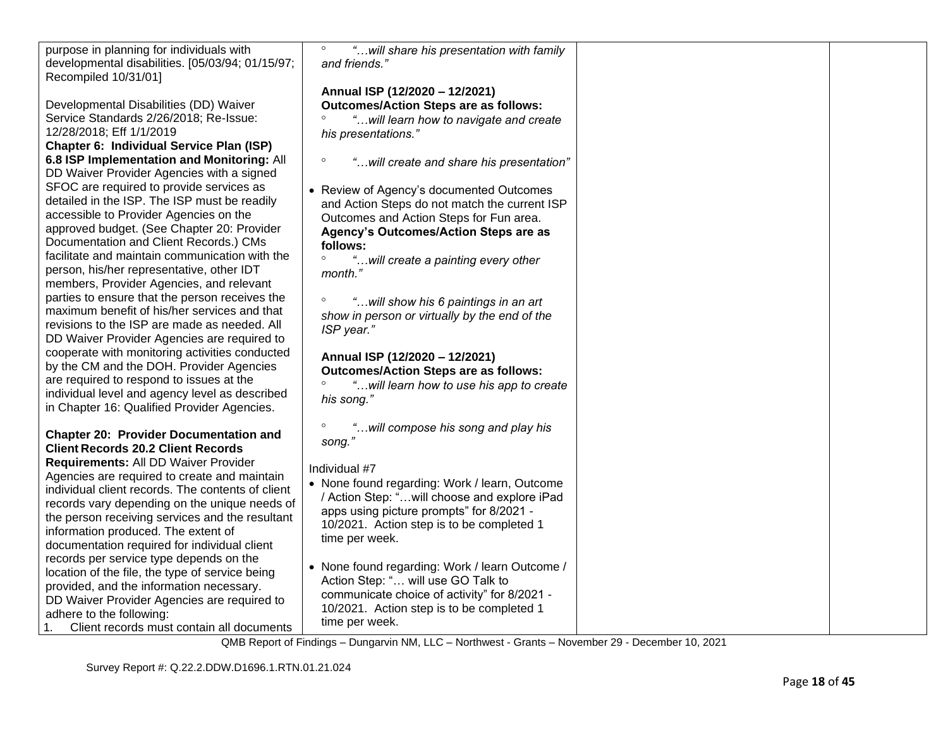| purpose in planning for individuals with<br>developmental disabilities. [05/03/94; 01/15/97;<br>Recompiled 10/31/01]                                                                                                                                                                                                                 | $\circ$<br>"will share his presentation with family<br>and friends."                                                                                                                                                      |  |
|--------------------------------------------------------------------------------------------------------------------------------------------------------------------------------------------------------------------------------------------------------------------------------------------------------------------------------------|---------------------------------------------------------------------------------------------------------------------------------------------------------------------------------------------------------------------------|--|
| Developmental Disabilities (DD) Waiver<br>Service Standards 2/26/2018; Re-Issue:<br>12/28/2018; Eff 1/1/2019<br>Chapter 6: Individual Service Plan (ISP)                                                                                                                                                                             | Annual ISP (12/2020 - 12/2021)<br><b>Outcomes/Action Steps are as follows:</b><br>"will learn how to navigate and create<br>his presentations."                                                                           |  |
| 6.8 ISP Implementation and Monitoring: All<br>DD Waiver Provider Agencies with a signed                                                                                                                                                                                                                                              | $\circ$<br>"will create and share his presentation"                                                                                                                                                                       |  |
| SFOC are required to provide services as<br>detailed in the ISP. The ISP must be readily<br>accessible to Provider Agencies on the<br>approved budget. (See Chapter 20: Provider<br>Documentation and Client Records.) CMs                                                                                                           | • Review of Agency's documented Outcomes<br>and Action Steps do not match the current ISP<br>Outcomes and Action Steps for Fun area.<br>Agency's Outcomes/Action Steps are as<br>follows:                                 |  |
| facilitate and maintain communication with the<br>person, his/her representative, other IDT<br>members, Provider Agencies, and relevant                                                                                                                                                                                              | $\circ$<br>"will create a painting every other<br>month."                                                                                                                                                                 |  |
| parties to ensure that the person receives the<br>maximum benefit of his/her services and that<br>revisions to the ISP are made as needed. All<br>DD Waiver Provider Agencies are required to                                                                                                                                        | $\circ$<br>"will show his 6 paintings in an art<br>show in person or virtually by the end of the<br>ISP year."                                                                                                            |  |
| cooperate with monitoring activities conducted<br>by the CM and the DOH. Provider Agencies<br>are required to respond to issues at the<br>individual level and agency level as described<br>in Chapter 16: Qualified Provider Agencies.                                                                                              | Annual ISP (12/2020 - 12/2021)<br><b>Outcomes/Action Steps are as follows:</b><br>"will learn how to use his app to create<br>his song."                                                                                  |  |
| <b>Chapter 20: Provider Documentation and</b><br><b>Client Records 20.2 Client Records</b>                                                                                                                                                                                                                                           | "will compose his song and play his<br>song."                                                                                                                                                                             |  |
| Requirements: All DD Waiver Provider<br>Agencies are required to create and maintain<br>individual client records. The contents of client<br>records vary depending on the unique needs of<br>the person receiving services and the resultant<br>information produced. The extent of<br>documentation required for individual client | Individual #7<br>• None found regarding: Work / learn, Outcome<br>/ Action Step: "will choose and explore iPad<br>apps using picture prompts" for 8/2021 -<br>10/2021. Action step is to be completed 1<br>time per week. |  |
| records per service type depends on the<br>location of the file, the type of service being<br>provided, and the information necessary.<br>DD Waiver Provider Agencies are required to<br>adhere to the following:<br>Client records must contain all documents<br>1.                                                                 | • None found regarding: Work / learn Outcome /<br>Action Step: " will use GO Talk to<br>communicate choice of activity" for 8/2021 -<br>10/2021. Action step is to be completed 1<br>time per week.                       |  |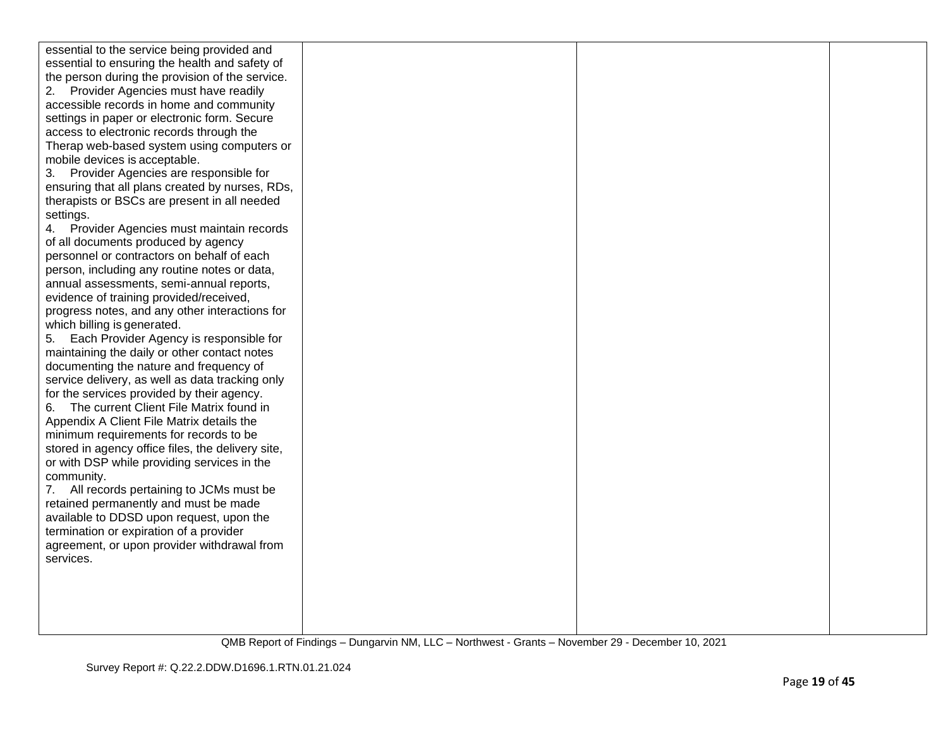| essential to the service being provided and       |  |  |
|---------------------------------------------------|--|--|
| essential to ensuring the health and safety of    |  |  |
| the person during the provision of the service.   |  |  |
| Provider Agencies must have readily<br>2.         |  |  |
| accessible records in home and community          |  |  |
| settings in paper or electronic form. Secure      |  |  |
| access to electronic records through the          |  |  |
| Therap web-based system using computers or        |  |  |
| mobile devices is acceptable.                     |  |  |
| 3. Provider Agencies are responsible for          |  |  |
| ensuring that all plans created by nurses, RDs,   |  |  |
| therapists or BSCs are present in all needed      |  |  |
| settings.                                         |  |  |
| 4. Provider Agencies must maintain records        |  |  |
| of all documents produced by agency               |  |  |
| personnel or contractors on behalf of each        |  |  |
| person, including any routine notes or data,      |  |  |
| annual assessments, semi-annual reports,          |  |  |
| evidence of training provided/received,           |  |  |
| progress notes, and any other interactions for    |  |  |
| which billing is generated.                       |  |  |
| 5. Each Provider Agency is responsible for        |  |  |
| maintaining the daily or other contact notes      |  |  |
| documenting the nature and frequency of           |  |  |
| service delivery, as well as data tracking only   |  |  |
| for the services provided by their agency.        |  |  |
| The current Client File Matrix found in<br>6.     |  |  |
| Appendix A Client File Matrix details the         |  |  |
| minimum requirements for records to be            |  |  |
| stored in agency office files, the delivery site, |  |  |
| or with DSP while providing services in the       |  |  |
| community.                                        |  |  |
| 7. All records pertaining to JCMs must be         |  |  |
| retained permanently and must be made             |  |  |
| available to DDSD upon request, upon the          |  |  |
| termination or expiration of a provider           |  |  |
| agreement, or upon provider withdrawal from       |  |  |
| services.                                         |  |  |
|                                                   |  |  |
|                                                   |  |  |
|                                                   |  |  |
|                                                   |  |  |
|                                                   |  |  |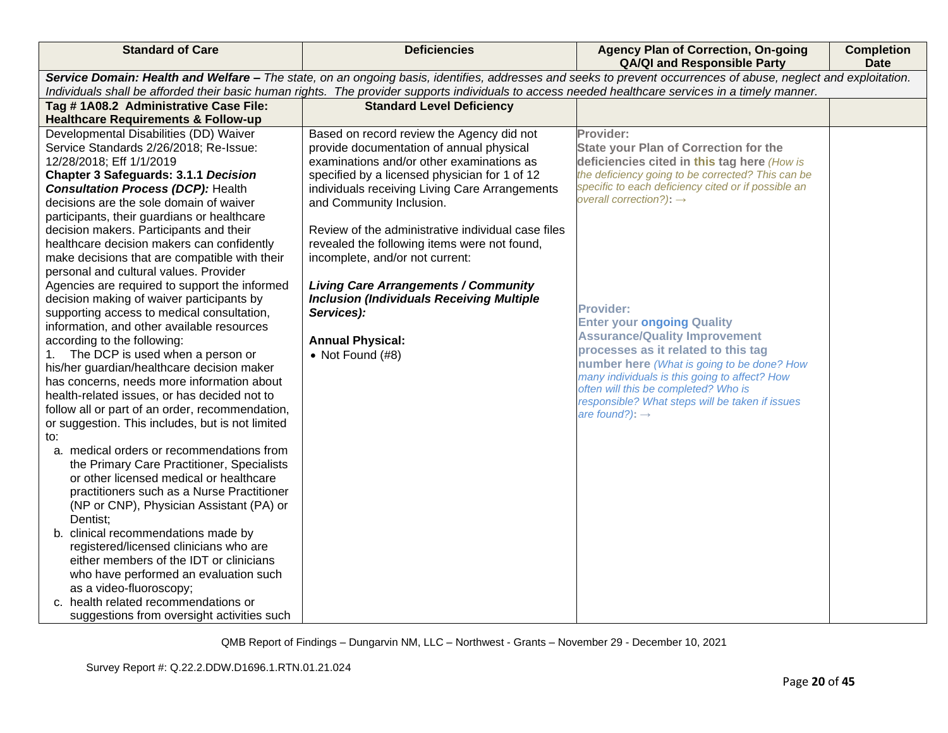| <b>Standard of Care</b>                                                                                                                                                                                                                                                                                                                                                                                                                                                                                                                                                                                                                                                                                                                                                                                                                                                                                                                                                                                                                                                                                                                                                                                                                                                                                                                                                                                                                                                                                                                            | <b>Deficiencies</b>                                                                                                                                                                                                                                                                                                                                                                                                                                                                                                                                                          | <b>Agency Plan of Correction, On-going</b><br><b>QA/QI and Responsible Party</b>                                                                                                                                                                                                                                                                                                                                                                                                                                                                                                                                            | <b>Completion</b><br><b>Date</b> |  |  |
|----------------------------------------------------------------------------------------------------------------------------------------------------------------------------------------------------------------------------------------------------------------------------------------------------------------------------------------------------------------------------------------------------------------------------------------------------------------------------------------------------------------------------------------------------------------------------------------------------------------------------------------------------------------------------------------------------------------------------------------------------------------------------------------------------------------------------------------------------------------------------------------------------------------------------------------------------------------------------------------------------------------------------------------------------------------------------------------------------------------------------------------------------------------------------------------------------------------------------------------------------------------------------------------------------------------------------------------------------------------------------------------------------------------------------------------------------------------------------------------------------------------------------------------------------|------------------------------------------------------------------------------------------------------------------------------------------------------------------------------------------------------------------------------------------------------------------------------------------------------------------------------------------------------------------------------------------------------------------------------------------------------------------------------------------------------------------------------------------------------------------------------|-----------------------------------------------------------------------------------------------------------------------------------------------------------------------------------------------------------------------------------------------------------------------------------------------------------------------------------------------------------------------------------------------------------------------------------------------------------------------------------------------------------------------------------------------------------------------------------------------------------------------------|----------------------------------|--|--|
|                                                                                                                                                                                                                                                                                                                                                                                                                                                                                                                                                                                                                                                                                                                                                                                                                                                                                                                                                                                                                                                                                                                                                                                                                                                                                                                                                                                                                                                                                                                                                    | Service Domain: Health and Welfare - The state, on an ongoing basis, identifies, addresses and seeks to prevent occurrences of abuse, neglect and exploitation.                                                                                                                                                                                                                                                                                                                                                                                                              |                                                                                                                                                                                                                                                                                                                                                                                                                                                                                                                                                                                                                             |                                  |  |  |
|                                                                                                                                                                                                                                                                                                                                                                                                                                                                                                                                                                                                                                                                                                                                                                                                                                                                                                                                                                                                                                                                                                                                                                                                                                                                                                                                                                                                                                                                                                                                                    | Individuals shall be afforded their basic human rights. The provider supports individuals to access needed healthcare services in a timely manner.                                                                                                                                                                                                                                                                                                                                                                                                                           |                                                                                                                                                                                                                                                                                                                                                                                                                                                                                                                                                                                                                             |                                  |  |  |
| Tag #1A08.2 Administrative Case File:                                                                                                                                                                                                                                                                                                                                                                                                                                                                                                                                                                                                                                                                                                                                                                                                                                                                                                                                                                                                                                                                                                                                                                                                                                                                                                                                                                                                                                                                                                              | <b>Standard Level Deficiency</b>                                                                                                                                                                                                                                                                                                                                                                                                                                                                                                                                             |                                                                                                                                                                                                                                                                                                                                                                                                                                                                                                                                                                                                                             |                                  |  |  |
| <b>Healthcare Requirements &amp; Follow-up</b>                                                                                                                                                                                                                                                                                                                                                                                                                                                                                                                                                                                                                                                                                                                                                                                                                                                                                                                                                                                                                                                                                                                                                                                                                                                                                                                                                                                                                                                                                                     |                                                                                                                                                                                                                                                                                                                                                                                                                                                                                                                                                                              |                                                                                                                                                                                                                                                                                                                                                                                                                                                                                                                                                                                                                             |                                  |  |  |
| Developmental Disabilities (DD) Waiver<br>Service Standards 2/26/2018; Re-Issue:<br>12/28/2018; Eff 1/1/2019<br><b>Chapter 3 Safeguards: 3.1.1 Decision</b><br><b>Consultation Process (DCP): Health</b><br>decisions are the sole domain of waiver<br>participants, their guardians or healthcare<br>decision makers. Participants and their<br>healthcare decision makers can confidently<br>make decisions that are compatible with their<br>personal and cultural values. Provider<br>Agencies are required to support the informed<br>decision making of waiver participants by<br>supporting access to medical consultation,<br>information, and other available resources<br>according to the following:<br>1. The DCP is used when a person or<br>his/her guardian/healthcare decision maker<br>has concerns, needs more information about<br>health-related issues, or has decided not to<br>follow all or part of an order, recommendation,<br>or suggestion. This includes, but is not limited<br>to:<br>a. medical orders or recommendations from<br>the Primary Care Practitioner, Specialists<br>or other licensed medical or healthcare<br>practitioners such as a Nurse Practitioner<br>(NP or CNP), Physician Assistant (PA) or<br>Dentist:<br>b. clinical recommendations made by<br>registered/licensed clinicians who are<br>either members of the IDT or clinicians<br>who have performed an evaluation such<br>as a video-fluoroscopy;<br>c. health related recommendations or<br>suggestions from oversight activities such | Based on record review the Agency did not<br>provide documentation of annual physical<br>examinations and/or other examinations as<br>specified by a licensed physician for 1 of 12<br>individuals receiving Living Care Arrangements<br>and Community Inclusion.<br>Review of the administrative individual case files<br>revealed the following items were not found,<br>incomplete, and/or not current:<br><b>Living Care Arrangements / Community</b><br><b>Inclusion (Individuals Receiving Multiple</b><br>Services):<br><b>Annual Physical:</b><br>• Not Found $(H8)$ | Provider:<br><b>State your Plan of Correction for the</b><br>deficiencies cited in this tag here (How is<br>the deficiency going to be corrected? This can be<br>specific to each deficiency cited or if possible an<br>overall correction?): $\rightarrow$<br><b>Provider:</b><br><b>Enter your ongoing Quality</b><br><b>Assurance/Quality Improvement</b><br>processes as it related to this tag<br>number here (What is going to be done? How<br>many individuals is this going to affect? How<br>often will this be completed? Who is<br>responsible? What steps will be taken if issues<br>are found?): $\rightarrow$ |                                  |  |  |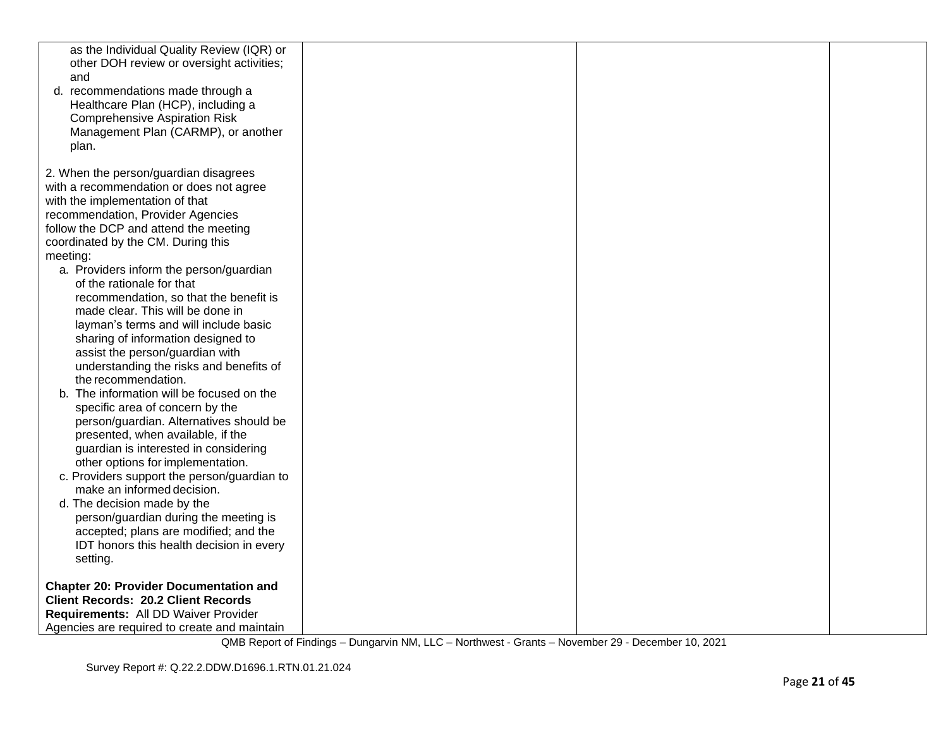| as the Individual Quality Review (IQR) or<br>other DOH review or oversight activities;<br>and<br>d. recommendations made through a<br>Healthcare Plan (HCP), including a<br><b>Comprehensive Aspiration Risk</b><br>Management Plan (CARMP), or another<br>plan. |  |  |
|------------------------------------------------------------------------------------------------------------------------------------------------------------------------------------------------------------------------------------------------------------------|--|--|
| 2. When the person/guardian disagrees                                                                                                                                                                                                                            |  |  |
| with a recommendation or does not agree                                                                                                                                                                                                                          |  |  |
| with the implementation of that                                                                                                                                                                                                                                  |  |  |
| recommendation, Provider Agencies                                                                                                                                                                                                                                |  |  |
| follow the DCP and attend the meeting                                                                                                                                                                                                                            |  |  |
| coordinated by the CM. During this                                                                                                                                                                                                                               |  |  |
| meeting:<br>a. Providers inform the person/guardian                                                                                                                                                                                                              |  |  |
| of the rationale for that                                                                                                                                                                                                                                        |  |  |
| recommendation, so that the benefit is                                                                                                                                                                                                                           |  |  |
| made clear. This will be done in                                                                                                                                                                                                                                 |  |  |
| layman's terms and will include basic                                                                                                                                                                                                                            |  |  |
| sharing of information designed to                                                                                                                                                                                                                               |  |  |
| assist the person/guardian with                                                                                                                                                                                                                                  |  |  |
| understanding the risks and benefits of                                                                                                                                                                                                                          |  |  |
| the recommendation.<br>b. The information will be focused on the                                                                                                                                                                                                 |  |  |
| specific area of concern by the                                                                                                                                                                                                                                  |  |  |
| person/guardian. Alternatives should be                                                                                                                                                                                                                          |  |  |
| presented, when available, if the                                                                                                                                                                                                                                |  |  |
| guardian is interested in considering                                                                                                                                                                                                                            |  |  |
| other options for implementation.                                                                                                                                                                                                                                |  |  |
| c. Providers support the person/guardian to                                                                                                                                                                                                                      |  |  |
| make an informed decision.<br>d. The decision made by the                                                                                                                                                                                                        |  |  |
| person/guardian during the meeting is                                                                                                                                                                                                                            |  |  |
| accepted; plans are modified; and the                                                                                                                                                                                                                            |  |  |
| IDT honors this health decision in every                                                                                                                                                                                                                         |  |  |
| setting.                                                                                                                                                                                                                                                         |  |  |
| <b>Chapter 20: Provider Documentation and</b>                                                                                                                                                                                                                    |  |  |
| <b>Client Records: 20.2 Client Records</b>                                                                                                                                                                                                                       |  |  |
| Requirements: All DD Waiver Provider                                                                                                                                                                                                                             |  |  |
| Agencies are required to create and maintain                                                                                                                                                                                                                     |  |  |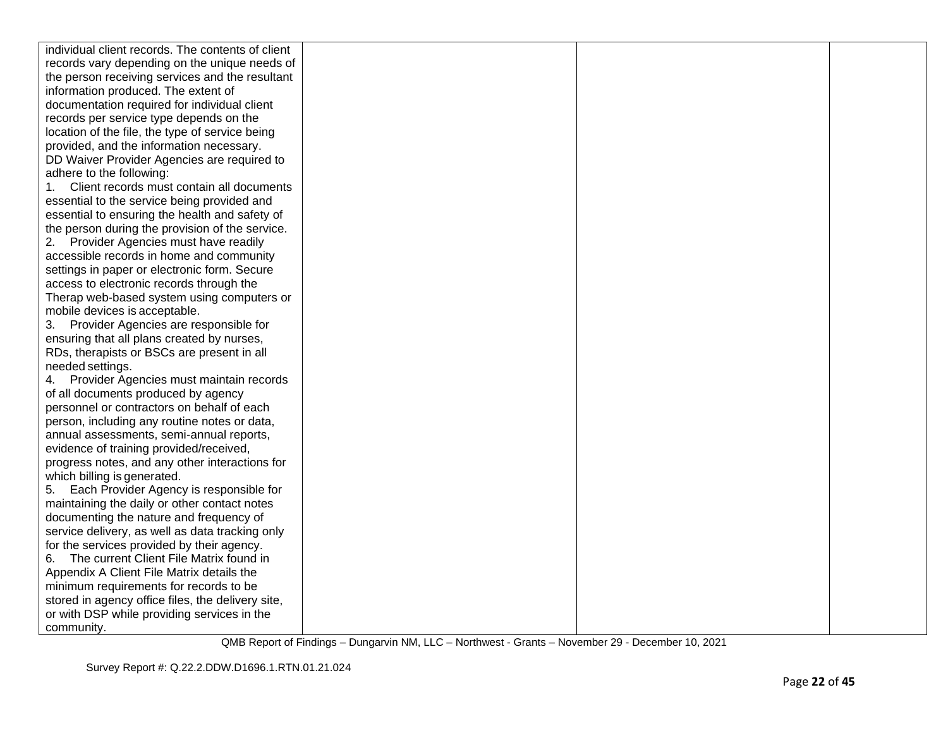| individual client records. The contents of client |  |  |
|---------------------------------------------------|--|--|
| records vary depending on the unique needs of     |  |  |
| the person receiving services and the resultant   |  |  |
| information produced. The extent of               |  |  |
| documentation required for individual client      |  |  |
| records per service type depends on the           |  |  |
| location of the file, the type of service being   |  |  |
| provided, and the information necessary.          |  |  |
| DD Waiver Provider Agencies are required to       |  |  |
| adhere to the following:                          |  |  |
| Client records must contain all documents<br>1.   |  |  |
| essential to the service being provided and       |  |  |
| essential to ensuring the health and safety of    |  |  |
| the person during the provision of the service.   |  |  |
| 2. Provider Agencies must have readily            |  |  |
| accessible records in home and community          |  |  |
| settings in paper or electronic form. Secure      |  |  |
| access to electronic records through the          |  |  |
| Therap web-based system using computers or        |  |  |
| mobile devices is acceptable.                     |  |  |
| 3. Provider Agencies are responsible for          |  |  |
| ensuring that all plans created by nurses,        |  |  |
| RDs, therapists or BSCs are present in all        |  |  |
| needed settings.                                  |  |  |
| 4. Provider Agencies must maintain records        |  |  |
| of all documents produced by agency               |  |  |
| personnel or contractors on behalf of each        |  |  |
| person, including any routine notes or data,      |  |  |
| annual assessments, semi-annual reports,          |  |  |
| evidence of training provided/received,           |  |  |
| progress notes, and any other interactions for    |  |  |
| which billing is generated.                       |  |  |
| 5. Each Provider Agency is responsible for        |  |  |
| maintaining the daily or other contact notes      |  |  |
| documenting the nature and frequency of           |  |  |
| service delivery, as well as data tracking only   |  |  |
| for the services provided by their agency.        |  |  |
| The current Client File Matrix found in<br>6.     |  |  |
| Appendix A Client File Matrix details the         |  |  |
| minimum requirements for records to be            |  |  |
| stored in agency office files, the delivery site, |  |  |
| or with DSP while providing services in the       |  |  |
| community.                                        |  |  |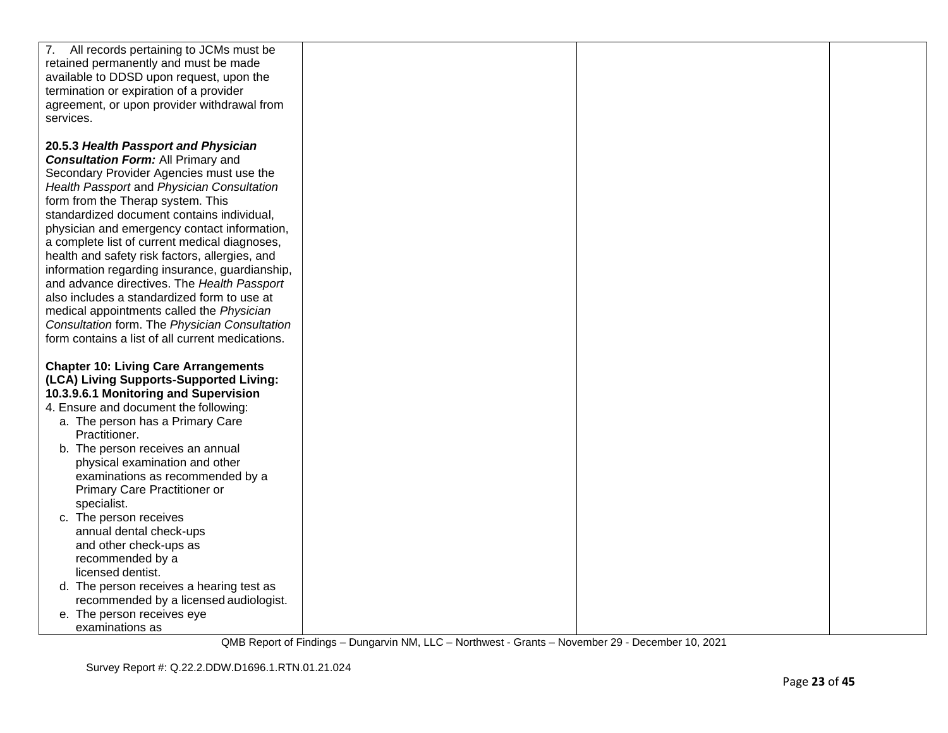| 7. All records pertaining to JCMs must be<br>retained permanently and must be made<br>available to DDSD upon request, upon the<br>termination or expiration of a provider<br>agreement, or upon provider withdrawal from<br>services.                                                                                                                                                                                                                                                                                                                                                                                                                                                                               |  |  |
|---------------------------------------------------------------------------------------------------------------------------------------------------------------------------------------------------------------------------------------------------------------------------------------------------------------------------------------------------------------------------------------------------------------------------------------------------------------------------------------------------------------------------------------------------------------------------------------------------------------------------------------------------------------------------------------------------------------------|--|--|
| 20.5.3 Health Passport and Physician<br><b>Consultation Form: All Primary and</b><br>Secondary Provider Agencies must use the<br>Health Passport and Physician Consultation<br>form from the Therap system. This<br>standardized document contains individual,<br>physician and emergency contact information,<br>a complete list of current medical diagnoses,<br>health and safety risk factors, allergies, and<br>information regarding insurance, guardianship,<br>and advance directives. The Health Passport<br>also includes a standardized form to use at<br>medical appointments called the Physician<br>Consultation form. The Physician Consultation<br>form contains a list of all current medications. |  |  |
| <b>Chapter 10: Living Care Arrangements</b><br>(LCA) Living Supports-Supported Living:<br>10.3.9.6.1 Monitoring and Supervision<br>4. Ensure and document the following:<br>a. The person has a Primary Care<br>Practitioner.<br>b. The person receives an annual<br>physical examination and other<br>examinations as recommended by a<br>Primary Care Practitioner or<br>specialist.<br>c. The person receives<br>annual dental check-ups                                                                                                                                                                                                                                                                         |  |  |
| and other check-ups as<br>recommended by a<br>licensed dentist.<br>d. The person receives a hearing test as<br>recommended by a licensed audiologist.<br>e. The person receives eye<br>examinations as                                                                                                                                                                                                                                                                                                                                                                                                                                                                                                              |  |  |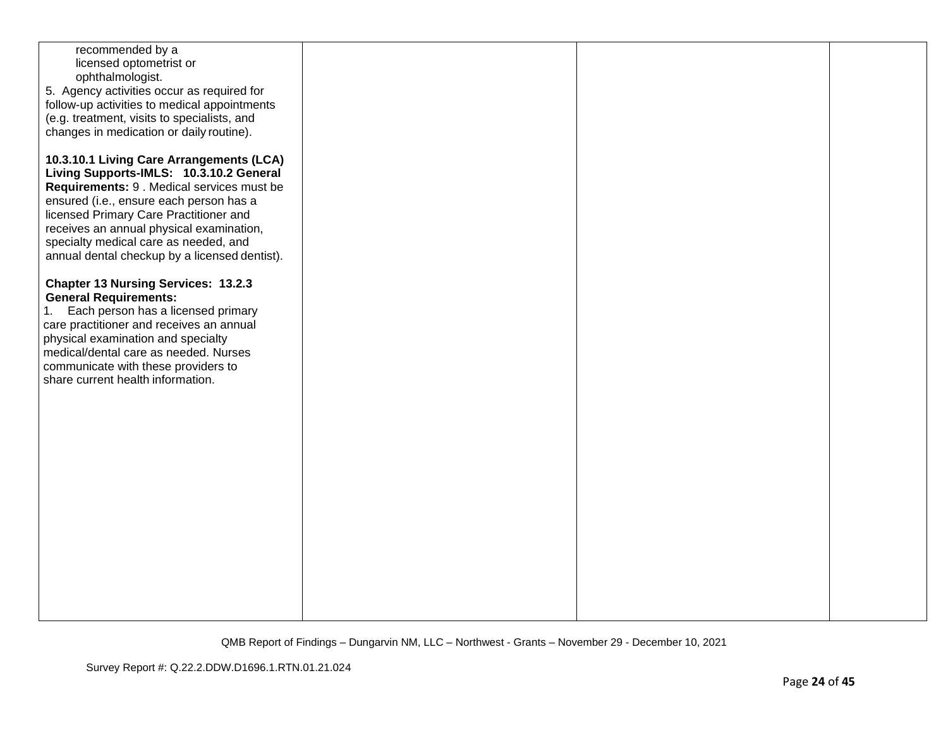| recommended by a<br>licensed optometrist or<br>ophthalmologist.<br>5. Agency activities occur as required for<br>follow-up activities to medical appointments<br>(e.g. treatment, visits to specialists, and<br>changes in medication or daily routine).<br>10.3.10.1 Living Care Arrangements (LCA)<br>Living Supports-IMLS: 10.3.10.2 General<br>Requirements: 9 . Medical services must be<br>ensured (i.e., ensure each person has a<br>licensed Primary Care Practitioner and<br>receives an annual physical examination,<br>specialty medical care as needed, and<br>annual dental checkup by a licensed dentist).<br><b>Chapter 13 Nursing Services: 13.2.3</b><br><b>General Requirements:</b><br>Each person has a licensed primary<br>1.<br>care practitioner and receives an annual<br>physical examination and specialty<br>medical/dental care as needed. Nurses<br>communicate with these providers to<br>share current health information. |  |  |
|-----------------------------------------------------------------------------------------------------------------------------------------------------------------------------------------------------------------------------------------------------------------------------------------------------------------------------------------------------------------------------------------------------------------------------------------------------------------------------------------------------------------------------------------------------------------------------------------------------------------------------------------------------------------------------------------------------------------------------------------------------------------------------------------------------------------------------------------------------------------------------------------------------------------------------------------------------------|--|--|
|                                                                                                                                                                                                                                                                                                                                                                                                                                                                                                                                                                                                                                                                                                                                                                                                                                                                                                                                                           |  |  |
|                                                                                                                                                                                                                                                                                                                                                                                                                                                                                                                                                                                                                                                                                                                                                                                                                                                                                                                                                           |  |  |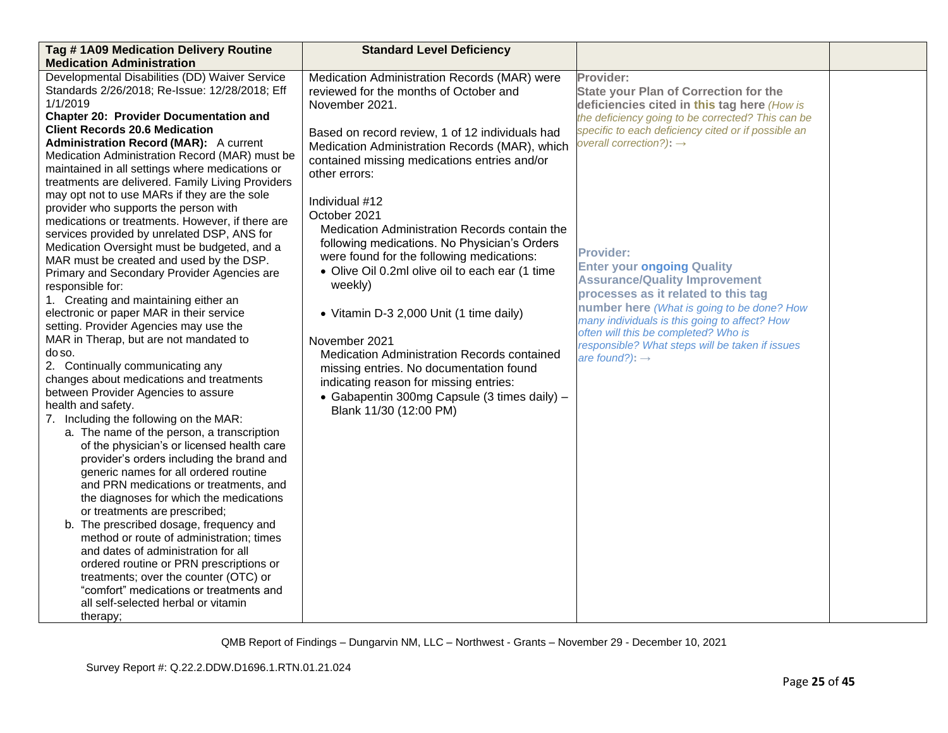| Tag #1A09 Medication Delivery Routine<br><b>Medication Administration</b>                                                                                                                                                                                                                                                                                                                                                                                                                                                                                                                                                                                                                                                                                                                                                                                                                                                                                                                                                                                                                                                                                                                                                                                                                                                                                 | <b>Standard Level Deficiency</b>                                                                                                                                                                                                                                                                                                                                                                                                                                                                                            |                                                                                                                                                                                                                                                                                                                                                              |  |
|-----------------------------------------------------------------------------------------------------------------------------------------------------------------------------------------------------------------------------------------------------------------------------------------------------------------------------------------------------------------------------------------------------------------------------------------------------------------------------------------------------------------------------------------------------------------------------------------------------------------------------------------------------------------------------------------------------------------------------------------------------------------------------------------------------------------------------------------------------------------------------------------------------------------------------------------------------------------------------------------------------------------------------------------------------------------------------------------------------------------------------------------------------------------------------------------------------------------------------------------------------------------------------------------------------------------------------------------------------------|-----------------------------------------------------------------------------------------------------------------------------------------------------------------------------------------------------------------------------------------------------------------------------------------------------------------------------------------------------------------------------------------------------------------------------------------------------------------------------------------------------------------------------|--------------------------------------------------------------------------------------------------------------------------------------------------------------------------------------------------------------------------------------------------------------------------------------------------------------------------------------------------------------|--|
| Developmental Disabilities (DD) Waiver Service<br>Standards 2/26/2018; Re-Issue: 12/28/2018; Eff<br>1/1/2019<br><b>Chapter 20: Provider Documentation and</b><br><b>Client Records 20.6 Medication</b><br><b>Administration Record (MAR):</b> A current<br>Medication Administration Record (MAR) must be<br>maintained in all settings where medications or<br>treatments are delivered. Family Living Providers                                                                                                                                                                                                                                                                                                                                                                                                                                                                                                                                                                                                                                                                                                                                                                                                                                                                                                                                         | Medication Administration Records (MAR) were<br>reviewed for the months of October and<br>November 2021.<br>Based on record review, 1 of 12 individuals had<br>Medication Administration Records (MAR), which<br>contained missing medications entries and/or<br>other errors:                                                                                                                                                                                                                                              | Provider:<br><b>State your Plan of Correction for the</b><br>deficiencies cited in this tag here (How is<br>the deficiency going to be corrected? This can be<br>specific to each deficiency cited or if possible an<br>overall correction?): $\rightarrow$                                                                                                  |  |
| may opt not to use MARs if they are the sole<br>provider who supports the person with<br>medications or treatments. However, if there are<br>services provided by unrelated DSP, ANS for<br>Medication Oversight must be budgeted, and a<br>MAR must be created and used by the DSP.<br>Primary and Secondary Provider Agencies are<br>responsible for:<br>1. Creating and maintaining either an<br>electronic or paper MAR in their service<br>setting. Provider Agencies may use the<br>MAR in Therap, but are not mandated to<br>do so.<br>2. Continually communicating any<br>changes about medications and treatments<br>between Provider Agencies to assure<br>health and safety.<br>7. Including the following on the MAR:<br>a. The name of the person, a transcription<br>of the physician's or licensed health care<br>provider's orders including the brand and<br>generic names for all ordered routine<br>and PRN medications or treatments, and<br>the diagnoses for which the medications<br>or treatments are prescribed;<br>b. The prescribed dosage, frequency and<br>method or route of administration; times<br>and dates of administration for all<br>ordered routine or PRN prescriptions or<br>treatments; over the counter (OTC) or<br>"comfort" medications or treatments and<br>all self-selected herbal or vitamin<br>therapy; | Individual #12<br>October 2021<br>Medication Administration Records contain the<br>following medications. No Physician's Orders<br>were found for the following medications:<br>• Olive Oil 0.2ml olive oil to each ear (1 time<br>weekly)<br>• Vitamin D-3 2,000 Unit (1 time daily)<br>November 2021<br><b>Medication Administration Records contained</b><br>missing entries. No documentation found<br>indicating reason for missing entries:<br>• Gabapentin 300mg Capsule (3 times daily) -<br>Blank 11/30 (12:00 PM) | <b>Provider:</b><br><b>Enter your ongoing Quality</b><br><b>Assurance/Quality Improvement</b><br>processes as it related to this tag<br>number here (What is going to be done? How<br>many individuals is this going to affect? How<br>often will this be completed? Who is<br>responsible? What steps will be taken if issues<br>are found?): $\rightarrow$ |  |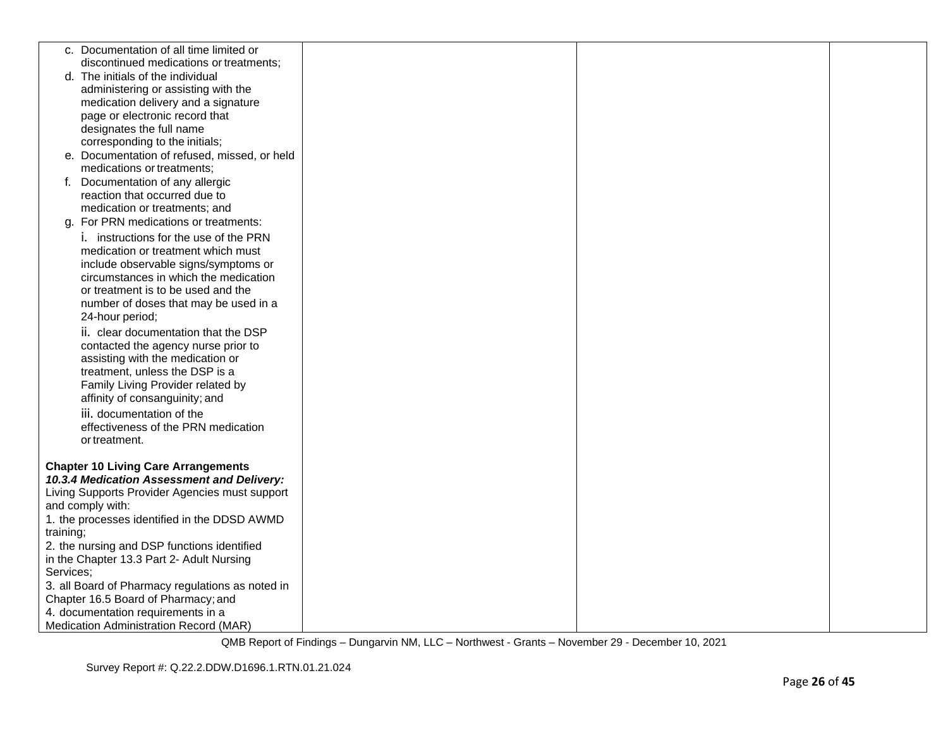| c. Documentation of all time limited or                                      |  |  |
|------------------------------------------------------------------------------|--|--|
| discontinued medications or treatments;<br>d. The initials of the individual |  |  |
| administering or assisting with the                                          |  |  |
| medication delivery and a signature                                          |  |  |
| page or electronic record that                                               |  |  |
| designates the full name                                                     |  |  |
| corresponding to the initials;                                               |  |  |
| e. Documentation of refused, missed, or held                                 |  |  |
| medications or treatments;                                                   |  |  |
| f. Documentation of any allergic                                             |  |  |
| reaction that occurred due to                                                |  |  |
| medication or treatments; and                                                |  |  |
| For PRN medications or treatments:<br>q.                                     |  |  |
| <i>i.</i> instructions for the use of the PRN                                |  |  |
| medication or treatment which must                                           |  |  |
| include observable signs/symptoms or                                         |  |  |
| circumstances in which the medication                                        |  |  |
| or treatment is to be used and the                                           |  |  |
| number of doses that may be used in a<br>24-hour period;                     |  |  |
| ii. clear documentation that the DSP                                         |  |  |
| contacted the agency nurse prior to                                          |  |  |
| assisting with the medication or                                             |  |  |
| treatment, unless the DSP is a                                               |  |  |
| Family Living Provider related by                                            |  |  |
| affinity of consanguinity; and                                               |  |  |
| iii. documentation of the                                                    |  |  |
| effectiveness of the PRN medication                                          |  |  |
| or treatment.                                                                |  |  |
|                                                                              |  |  |
| <b>Chapter 10 Living Care Arrangements</b>                                   |  |  |
| 10.3.4 Medication Assessment and Delivery:                                   |  |  |
| Living Supports Provider Agencies must support                               |  |  |
| and comply with:                                                             |  |  |
| 1. the processes identified in the DDSD AWMD<br>training;                    |  |  |
| 2. the nursing and DSP functions identified                                  |  |  |
| in the Chapter 13.3 Part 2- Adult Nursing                                    |  |  |
| Services;                                                                    |  |  |
| 3. all Board of Pharmacy regulations as noted in                             |  |  |
| Chapter 16.5 Board of Pharmacy; and                                          |  |  |
| 4. documentation requirements in a                                           |  |  |
| Medication Administration Record (MAR)                                       |  |  |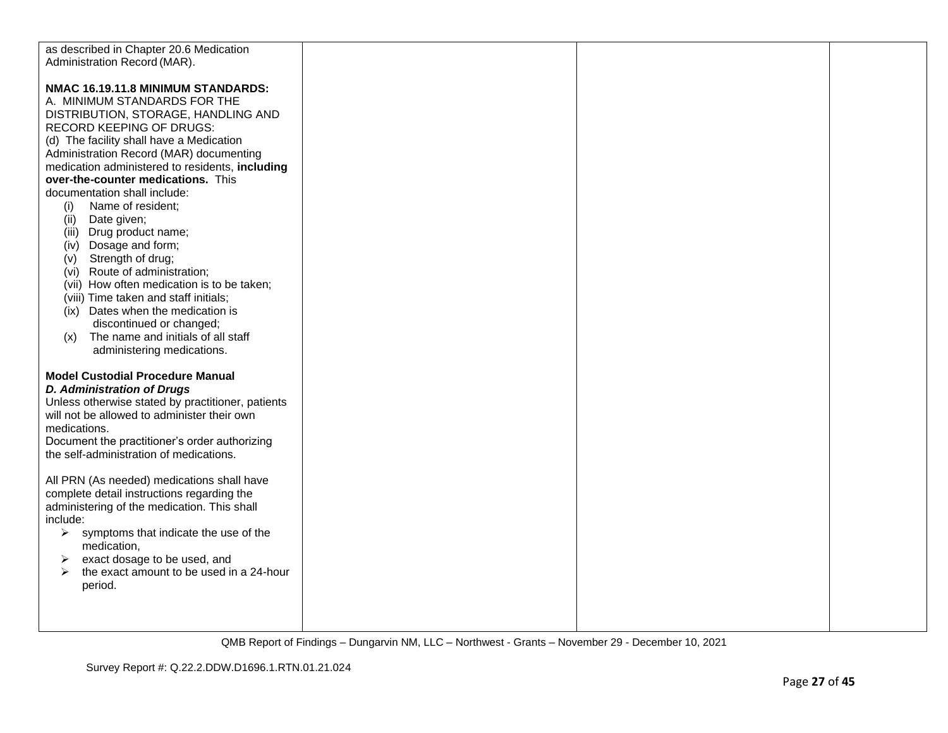| as described in Chapter 20.6 Medication           |  |  |
|---------------------------------------------------|--|--|
| Administration Record (MAR).                      |  |  |
|                                                   |  |  |
| NMAC 16.19.11.8 MINIMUM STANDARDS:                |  |  |
| A. MINIMUM STANDARDS FOR THE                      |  |  |
| DISTRIBUTION, STORAGE, HANDLING AND               |  |  |
| RECORD KEEPING OF DRUGS:                          |  |  |
| (d) The facility shall have a Medication          |  |  |
| Administration Record (MAR) documenting           |  |  |
| medication administered to residents, including   |  |  |
| over-the-counter medications. This                |  |  |
| documentation shall include:                      |  |  |
| Name of resident;                                 |  |  |
| (i)<br>(ii)<br>Date given;                        |  |  |
| (iii) Drug product name;                          |  |  |
|                                                   |  |  |
| (iv) Dosage and form;                             |  |  |
| Strength of drug;<br>(v)                          |  |  |
| (vi) Route of administration;                     |  |  |
| (vii) How often medication is to be taken;        |  |  |
| (viii) Time taken and staff initials;             |  |  |
| (ix) Dates when the medication is                 |  |  |
| discontinued or changed;                          |  |  |
| The name and initials of all staff<br>(x)         |  |  |
| administering medications.                        |  |  |
|                                                   |  |  |
| <b>Model Custodial Procedure Manual</b>           |  |  |
| <b>D. Administration of Drugs</b>                 |  |  |
| Unless otherwise stated by practitioner, patients |  |  |
| will not be allowed to administer their own       |  |  |
| medications.                                      |  |  |
| Document the practitioner's order authorizing     |  |  |
| the self-administration of medications.           |  |  |
|                                                   |  |  |
| All PRN (As needed) medications shall have        |  |  |
| complete detail instructions regarding the        |  |  |
| administering of the medication. This shall       |  |  |
| include:                                          |  |  |
| symptoms that indicate the use of the<br>➤        |  |  |
| medication,                                       |  |  |
| exact dosage to be used, and<br>➤                 |  |  |
| the exact amount to be used in a 24-hour<br>➤     |  |  |
| period.                                           |  |  |
|                                                   |  |  |
|                                                   |  |  |
|                                                   |  |  |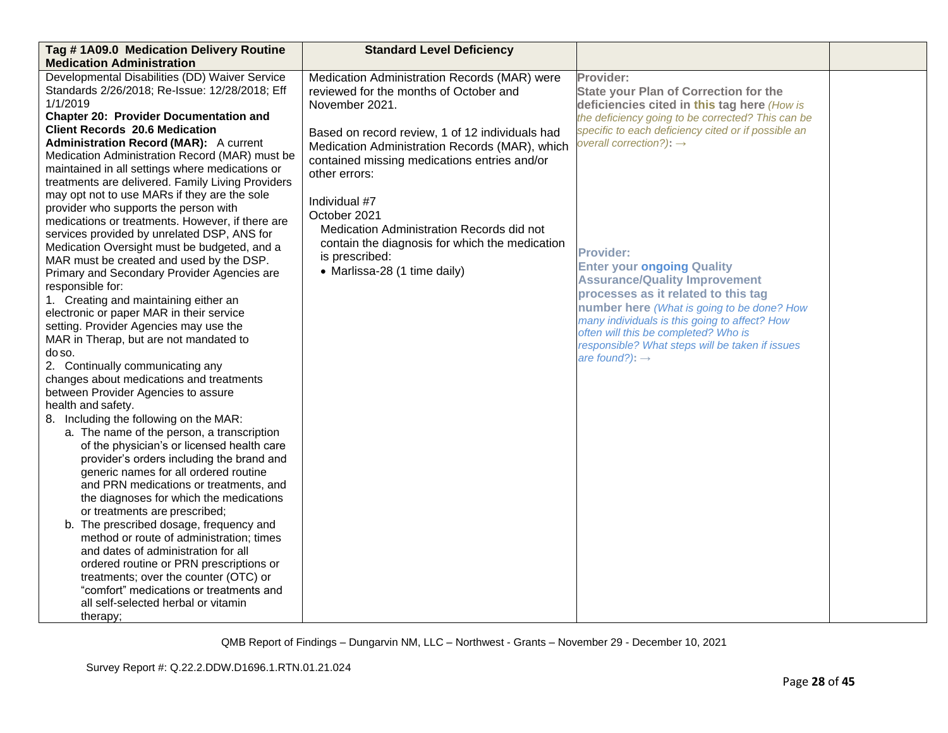| Tag #1A09.0 Medication Delivery Routine<br><b>Medication Administration</b>                                                                                                                                                                                                                                                                                                                                                                                                                                                                                                                                                                                                                                                                                                                                                                                                                                                                                                                                                                                                                                   | <b>Standard Level Deficiency</b>                                                                                                                                                                                                                                                                                                                                                                               |                                                                                                                                                                                                                                                                                                                                                              |  |
|---------------------------------------------------------------------------------------------------------------------------------------------------------------------------------------------------------------------------------------------------------------------------------------------------------------------------------------------------------------------------------------------------------------------------------------------------------------------------------------------------------------------------------------------------------------------------------------------------------------------------------------------------------------------------------------------------------------------------------------------------------------------------------------------------------------------------------------------------------------------------------------------------------------------------------------------------------------------------------------------------------------------------------------------------------------------------------------------------------------|----------------------------------------------------------------------------------------------------------------------------------------------------------------------------------------------------------------------------------------------------------------------------------------------------------------------------------------------------------------------------------------------------------------|--------------------------------------------------------------------------------------------------------------------------------------------------------------------------------------------------------------------------------------------------------------------------------------------------------------------------------------------------------------|--|
| Developmental Disabilities (DD) Waiver Service<br>Standards 2/26/2018; Re-Issue: 12/28/2018; Eff<br>1/1/2019<br><b>Chapter 20: Provider Documentation and</b><br><b>Client Records 20.6 Medication</b><br><b>Administration Record (MAR):</b> A current<br>Medication Administration Record (MAR) must be<br>maintained in all settings where medications or<br>treatments are delivered. Family Living Providers<br>may opt not to use MARs if they are the sole<br>provider who supports the person with<br>medications or treatments. However, if there are<br>services provided by unrelated DSP, ANS for<br>Medication Oversight must be budgeted, and a                                                                                                                                                                                                                                                                                                                                                                                                                                                 | Medication Administration Records (MAR) were<br>reviewed for the months of October and<br>November 2021.<br>Based on record review, 1 of 12 individuals had<br>Medication Administration Records (MAR), which<br>contained missing medications entries and/or<br>other errors:<br>Individual #7<br>October 2021<br>Medication Administration Records did not<br>contain the diagnosis for which the medication | Provider:<br><b>State your Plan of Correction for the</b><br>deficiencies cited in this tag here (How is<br>the deficiency going to be corrected? This can be<br>specific to each deficiency cited or if possible an<br>overall correction?): $\rightarrow$                                                                                                  |  |
| MAR must be created and used by the DSP.<br>Primary and Secondary Provider Agencies are<br>responsible for:<br>1. Creating and maintaining either an<br>electronic or paper MAR in their service<br>setting. Provider Agencies may use the<br>MAR in Therap, but are not mandated to<br>do so.<br>2. Continually communicating any<br>changes about medications and treatments<br>between Provider Agencies to assure<br>health and safety.<br>8. Including the following on the MAR:<br>a. The name of the person, a transcription<br>of the physician's or licensed health care<br>provider's orders including the brand and<br>generic names for all ordered routine<br>and PRN medications or treatments, and<br>the diagnoses for which the medications<br>or treatments are prescribed;<br>b. The prescribed dosage, frequency and<br>method or route of administration; times<br>and dates of administration for all<br>ordered routine or PRN prescriptions or<br>treatments; over the counter (OTC) or<br>"comfort" medications or treatments and<br>all self-selected herbal or vitamin<br>therapy; | is prescribed:<br>• Marlissa-28 (1 time daily)                                                                                                                                                                                                                                                                                                                                                                 | <b>Provider:</b><br><b>Enter your ongoing Quality</b><br><b>Assurance/Quality Improvement</b><br>processes as it related to this tag<br>number here (What is going to be done? How<br>many individuals is this going to affect? How<br>often will this be completed? Who is<br>responsible? What steps will be taken if issues<br>are found?): $\rightarrow$ |  |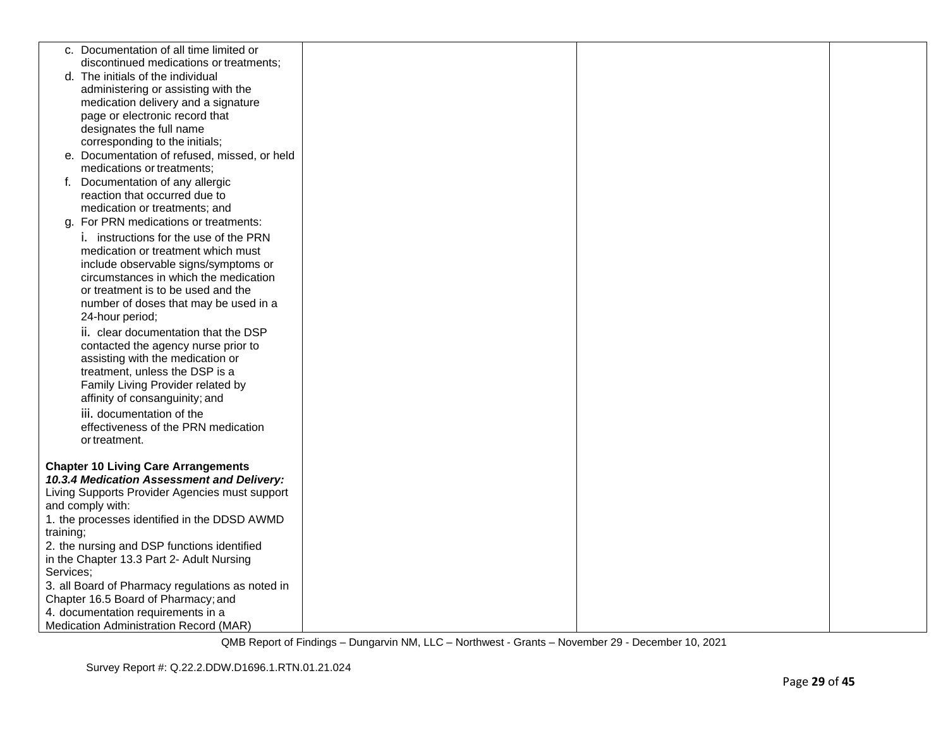| c. Documentation of all time limited or                                      |  |  |
|------------------------------------------------------------------------------|--|--|
| discontinued medications or treatments;<br>d. The initials of the individual |  |  |
| administering or assisting with the                                          |  |  |
| medication delivery and a signature                                          |  |  |
| page or electronic record that                                               |  |  |
| designates the full name                                                     |  |  |
| corresponding to the initials;                                               |  |  |
| e. Documentation of refused, missed, or held                                 |  |  |
| medications or treatments;                                                   |  |  |
| Documentation of any allergic<br>f.                                          |  |  |
| reaction that occurred due to                                                |  |  |
| medication or treatments; and                                                |  |  |
| For PRN medications or treatments:<br>g.                                     |  |  |
| <i>i.</i> instructions for the use of the PRN                                |  |  |
| medication or treatment which must                                           |  |  |
| include observable signs/symptoms or                                         |  |  |
| circumstances in which the medication                                        |  |  |
| or treatment is to be used and the                                           |  |  |
| number of doses that may be used in a<br>24-hour period;                     |  |  |
|                                                                              |  |  |
| ii. clear documentation that the DSP<br>contacted the agency nurse prior to  |  |  |
| assisting with the medication or                                             |  |  |
| treatment, unless the DSP is a                                               |  |  |
| Family Living Provider related by                                            |  |  |
| affinity of consanguinity; and                                               |  |  |
| iii. documentation of the                                                    |  |  |
| effectiveness of the PRN medication                                          |  |  |
| or treatment.                                                                |  |  |
|                                                                              |  |  |
| <b>Chapter 10 Living Care Arrangements</b>                                   |  |  |
| 10.3.4 Medication Assessment and Delivery:                                   |  |  |
| Living Supports Provider Agencies must support                               |  |  |
| and comply with:                                                             |  |  |
| 1. the processes identified in the DDSD AWMD<br>training;                    |  |  |
| 2. the nursing and DSP functions identified                                  |  |  |
| in the Chapter 13.3 Part 2- Adult Nursing                                    |  |  |
| Services:                                                                    |  |  |
| 3. all Board of Pharmacy regulations as noted in                             |  |  |
| Chapter 16.5 Board of Pharmacy; and                                          |  |  |
| 4. documentation requirements in a                                           |  |  |
| Medication Administration Record (MAR)                                       |  |  |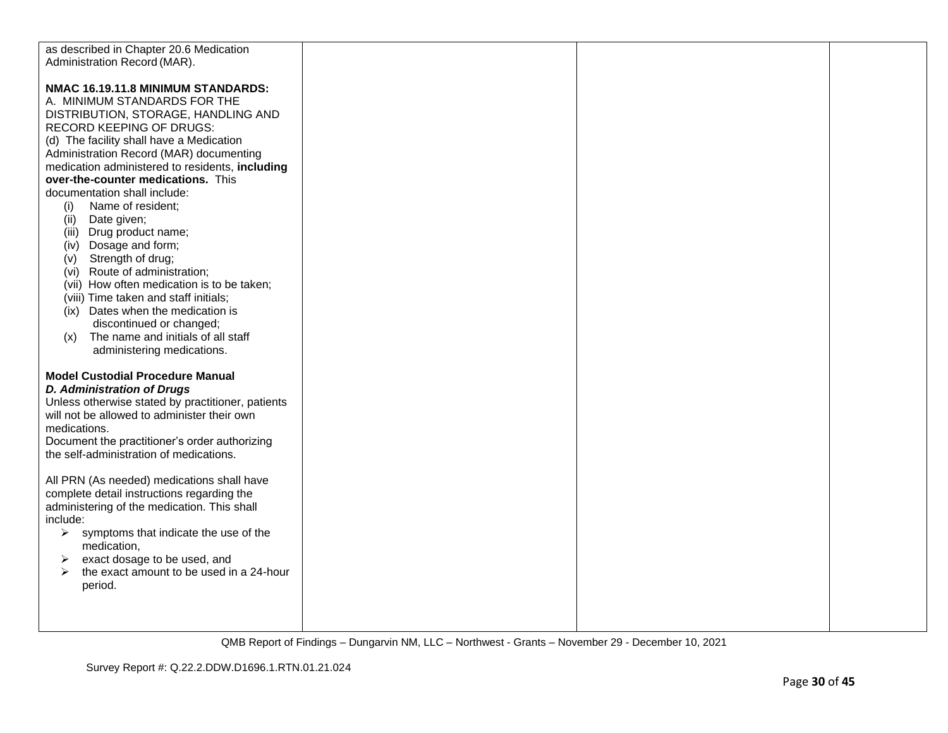| as described in Chapter 20.6 Medication                                                                                                                                                                                                                                                                                                                                                                                                                                                                                                                                                                                                                                                                                                                       |  |  |
|---------------------------------------------------------------------------------------------------------------------------------------------------------------------------------------------------------------------------------------------------------------------------------------------------------------------------------------------------------------------------------------------------------------------------------------------------------------------------------------------------------------------------------------------------------------------------------------------------------------------------------------------------------------------------------------------------------------------------------------------------------------|--|--|
| Administration Record (MAR).                                                                                                                                                                                                                                                                                                                                                                                                                                                                                                                                                                                                                                                                                                                                  |  |  |
| NMAC 16.19.11.8 MINIMUM STANDARDS:<br>A. MINIMUM STANDARDS FOR THE<br>DISTRIBUTION, STORAGE, HANDLING AND<br>RECORD KEEPING OF DRUGS:<br>(d) The facility shall have a Medication<br>Administration Record (MAR) documenting<br>medication administered to residents, including<br>over-the-counter medications. This<br>documentation shall include:<br>Name of resident;<br>(i)<br>(ii)<br>Date given;<br>(iii) Drug product name;<br>(iv) Dosage and form;<br>Strength of drug;<br>(v)<br>(vi) Route of administration;<br>(vii) How often medication is to be taken;<br>(viii) Time taken and staff initials;<br>(ix) Dates when the medication is<br>discontinued or changed;<br>The name and initials of all staff<br>(x)<br>administering medications. |  |  |
| <b>Model Custodial Procedure Manual</b><br><b>D. Administration of Drugs</b><br>Unless otherwise stated by practitioner, patients<br>will not be allowed to administer their own<br>medications.<br>Document the practitioner's order authorizing<br>the self-administration of medications.<br>All PRN (As needed) medications shall have<br>complete detail instructions regarding the<br>administering of the medication. This shall<br>include:<br>symptoms that indicate the use of the<br>≻<br>medication,<br>exact dosage to be used, and<br>➤<br>the exact amount to be used in a 24-hour<br>$\triangleright$<br>period.                                                                                                                              |  |  |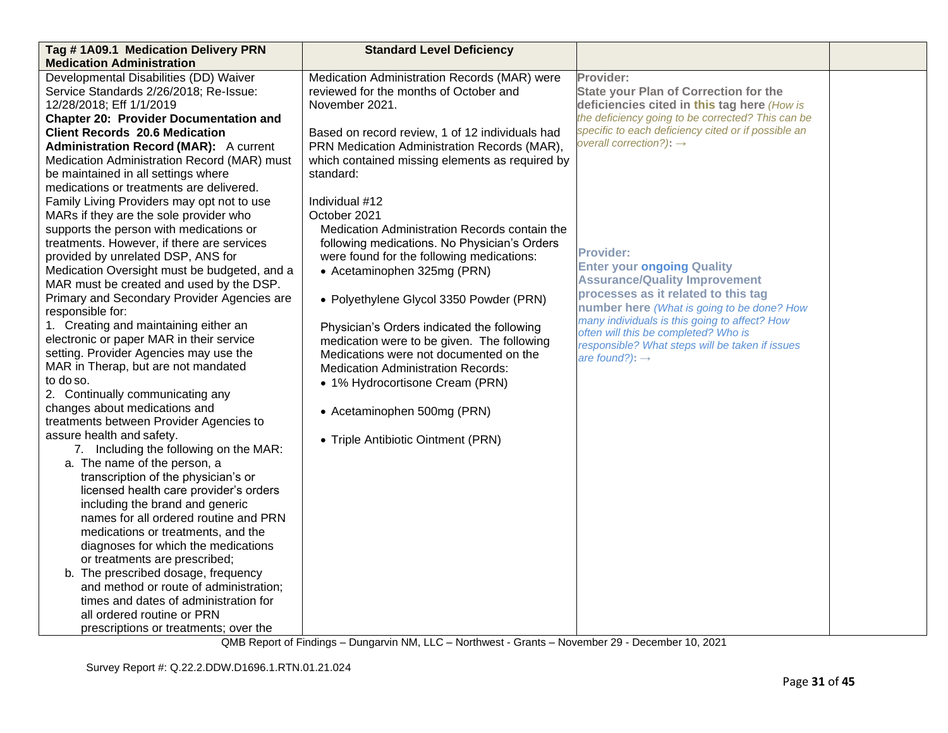| Tag #1A09.1 Medication Delivery PRN           | <b>Standard Level Deficiency</b>                |                                                                                       |  |
|-----------------------------------------------|-------------------------------------------------|---------------------------------------------------------------------------------------|--|
| <b>Medication Administration</b>              |                                                 |                                                                                       |  |
| Developmental Disabilities (DD) Waiver        | Medication Administration Records (MAR) were    | Provider:                                                                             |  |
| Service Standards 2/26/2018; Re-Issue:        | reviewed for the months of October and          | <b>State your Plan of Correction for the</b>                                          |  |
| 12/28/2018; Eff 1/1/2019                      | November 2021.                                  | deficiencies cited in this tag here (How is                                           |  |
| <b>Chapter 20: Provider Documentation and</b> |                                                 | the deficiency going to be corrected? This can be                                     |  |
| <b>Client Records 20.6 Medication</b>         | Based on record review, 1 of 12 individuals had | specific to each deficiency cited or if possible an                                   |  |
| <b>Administration Record (MAR):</b> A current | PRN Medication Administration Records (MAR),    | overall correction?): $\rightarrow$                                                   |  |
| Medication Administration Record (MAR) must   | which contained missing elements as required by |                                                                                       |  |
| be maintained in all settings where           | standard:                                       |                                                                                       |  |
| medications or treatments are delivered.      |                                                 |                                                                                       |  |
| Family Living Providers may opt not to use    | Individual #12                                  |                                                                                       |  |
| MARs if they are the sole provider who        | October 2021                                    |                                                                                       |  |
| supports the person with medications or       | Medication Administration Records contain the   |                                                                                       |  |
| treatments. However, if there are services    | following medications. No Physician's Orders    |                                                                                       |  |
| provided by unrelated DSP, ANS for            | were found for the following medications:       | <b>Provider:</b>                                                                      |  |
| Medication Oversight must be budgeted, and a  | • Acetaminophen 325mg (PRN)                     | <b>Enter your ongoing Quality</b>                                                     |  |
| MAR must be created and used by the DSP.      |                                                 | <b>Assurance/Quality Improvement</b>                                                  |  |
| Primary and Secondary Provider Agencies are   | • Polyethylene Glycol 3350 Powder (PRN)         | processes as it related to this tag                                                   |  |
| responsible for:                              |                                                 | number here (What is going to be done? How                                            |  |
| 1. Creating and maintaining either an         | Physician's Orders indicated the following      | many individuals is this going to affect? How<br>often will this be completed? Who is |  |
| electronic or paper MAR in their service      | medication were to be given. The following      | responsible? What steps will be taken if issues                                       |  |
| setting. Provider Agencies may use the        | Medications were not documented on the          | are found?): $\rightarrow$                                                            |  |
| MAR in Therap, but are not mandated           | <b>Medication Administration Records:</b>       |                                                                                       |  |
| to do so.                                     | • 1% Hydrocortisone Cream (PRN)                 |                                                                                       |  |
| 2. Continually communicating any              |                                                 |                                                                                       |  |
| changes about medications and                 | • Acetaminophen 500mg (PRN)                     |                                                                                       |  |
| treatments between Provider Agencies to       |                                                 |                                                                                       |  |
| assure health and safety.                     | • Triple Antibiotic Ointment (PRN)              |                                                                                       |  |
| 7. Including the following on the MAR:        |                                                 |                                                                                       |  |
| a. The name of the person, a                  |                                                 |                                                                                       |  |
| transcription of the physician's or           |                                                 |                                                                                       |  |
| licensed health care provider's orders        |                                                 |                                                                                       |  |
| including the brand and generic               |                                                 |                                                                                       |  |
| names for all ordered routine and PRN         |                                                 |                                                                                       |  |
| medications or treatments, and the            |                                                 |                                                                                       |  |
| diagnoses for which the medications           |                                                 |                                                                                       |  |
| or treatments are prescribed;                 |                                                 |                                                                                       |  |
| b. The prescribed dosage, frequency           |                                                 |                                                                                       |  |
| and method or route of administration;        |                                                 |                                                                                       |  |
| times and dates of administration for         |                                                 |                                                                                       |  |
| all ordered routine or PRN                    |                                                 |                                                                                       |  |
| prescriptions or treatments; over the         |                                                 |                                                                                       |  |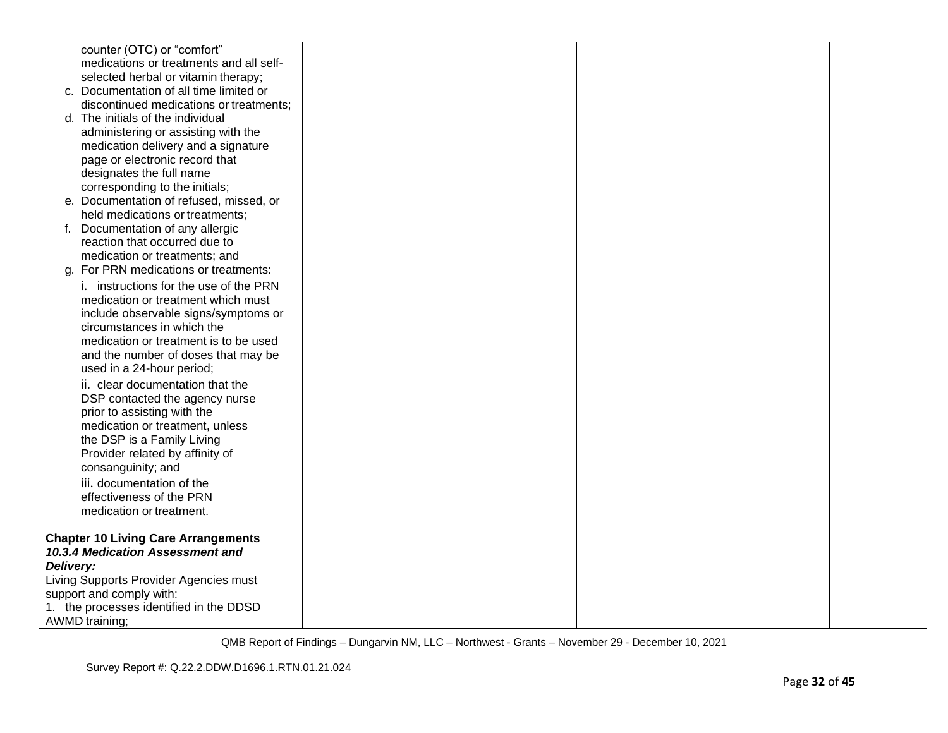| counter (OTC) or "comfort"                                         |  |  |
|--------------------------------------------------------------------|--|--|
| medications or treatments and all self-                            |  |  |
| selected herbal or vitamin therapy;                                |  |  |
| c. Documentation of all time limited or                            |  |  |
| discontinued medications or treatments;                            |  |  |
| d. The initials of the individual                                  |  |  |
| administering or assisting with the                                |  |  |
| medication delivery and a signature                                |  |  |
| page or electronic record that                                     |  |  |
| designates the full name                                           |  |  |
| corresponding to the initials;                                     |  |  |
| e. Documentation of refused, missed, or                            |  |  |
| held medications or treatments;                                    |  |  |
| f. Documentation of any allergic                                   |  |  |
| reaction that occurred due to                                      |  |  |
| medication or treatments; and                                      |  |  |
| g. For PRN medications or treatments:                              |  |  |
| i. instructions for the use of the PRN                             |  |  |
| medication or treatment which must                                 |  |  |
| include observable signs/symptoms or<br>circumstances in which the |  |  |
| medication or treatment is to be used                              |  |  |
| and the number of doses that may be                                |  |  |
| used in a 24-hour period;                                          |  |  |
| ii. clear documentation that the                                   |  |  |
| DSP contacted the agency nurse                                     |  |  |
| prior to assisting with the                                        |  |  |
| medication or treatment, unless                                    |  |  |
| the DSP is a Family Living                                         |  |  |
| Provider related by affinity of                                    |  |  |
| consanguinity; and                                                 |  |  |
| iii. documentation of the                                          |  |  |
| effectiveness of the PRN                                           |  |  |
| medication or treatment.                                           |  |  |
|                                                                    |  |  |
| <b>Chapter 10 Living Care Arrangements</b>                         |  |  |
| 10.3.4 Medication Assessment and                                   |  |  |
| Delivery:                                                          |  |  |
| Living Supports Provider Agencies must                             |  |  |
| support and comply with:                                           |  |  |
| 1. the processes identified in the DDSD                            |  |  |
| <b>AWMD</b> training;                                              |  |  |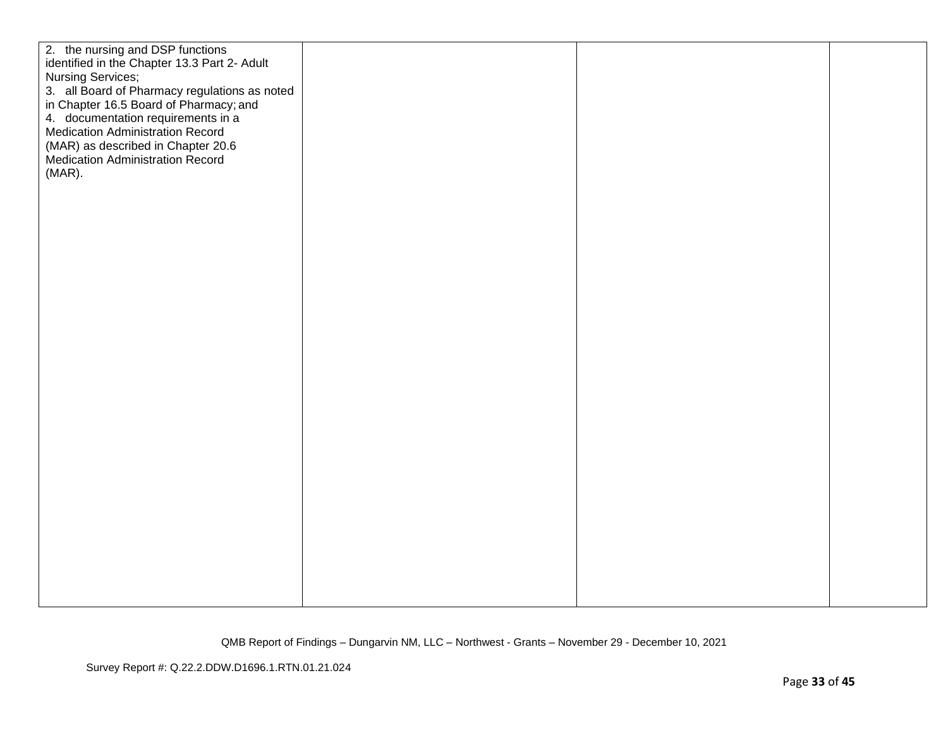| 2. the nursing and DSP functions<br>identified in the Chapter 13.3 Part 2- Adult<br><b>Nursing Services;</b><br>3. all Board of Pharmacy regulations as noted<br>in Chapter 16.5 Board of Pharmacy; and<br>4. documentation requirements in a<br><b>Medication Administration Record</b><br>(MAR) as described in Chapter 20.6<br><b>Medication Administration Record</b><br>(MAR). |  |  |
|-------------------------------------------------------------------------------------------------------------------------------------------------------------------------------------------------------------------------------------------------------------------------------------------------------------------------------------------------------------------------------------|--|--|
|                                                                                                                                                                                                                                                                                                                                                                                     |  |  |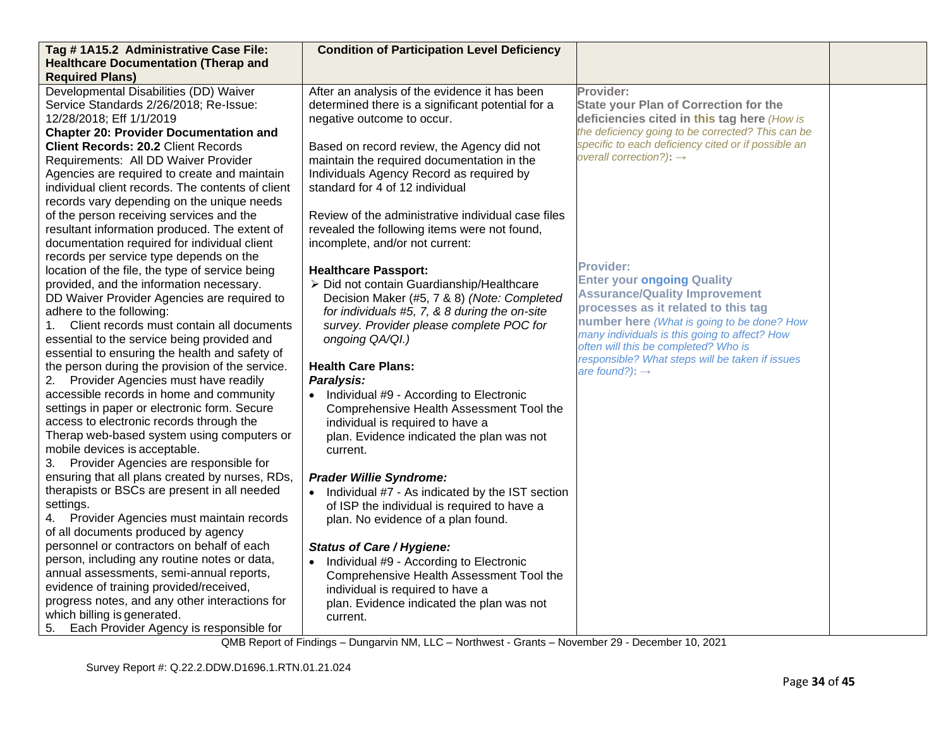| Tag #1A15.2 Administrative Case File:                                                                                          | <b>Condition of Participation Level Deficiency</b>    |                                                                                   |  |
|--------------------------------------------------------------------------------------------------------------------------------|-------------------------------------------------------|-----------------------------------------------------------------------------------|--|
| <b>Healthcare Documentation (Therap and</b>                                                                                    |                                                       |                                                                                   |  |
| <b>Required Plans)</b>                                                                                                         |                                                       |                                                                                   |  |
| Developmental Disabilities (DD) Waiver                                                                                         | After an analysis of the evidence it has been         | Provider:                                                                         |  |
| Service Standards 2/26/2018; Re-Issue:                                                                                         | determined there is a significant potential for a     | <b>State your Plan of Correction for the</b>                                      |  |
| 12/28/2018; Eff 1/1/2019                                                                                                       | negative outcome to occur.                            | deficiencies cited in this tag here (How is                                       |  |
| <b>Chapter 20: Provider Documentation and</b>                                                                                  |                                                       | the deficiency going to be corrected? This can be                                 |  |
| <b>Client Records: 20.2 Client Records</b>                                                                                     | Based on record review, the Agency did not            | specific to each deficiency cited or if possible an                               |  |
| Requirements: All DD Waiver Provider                                                                                           | maintain the required documentation in the            | overall correction?): $\rightarrow$                                               |  |
| Agencies are required to create and maintain                                                                                   | Individuals Agency Record as required by              |                                                                                   |  |
| individual client records. The contents of client                                                                              | standard for 4 of 12 individual                       |                                                                                   |  |
| records vary depending on the unique needs                                                                                     |                                                       |                                                                                   |  |
| of the person receiving services and the                                                                                       | Review of the administrative individual case files    |                                                                                   |  |
| resultant information produced. The extent of                                                                                  | revealed the following items were not found,          |                                                                                   |  |
| documentation required for individual client                                                                                   | incomplete, and/or not current:                       |                                                                                   |  |
| records per service type depends on the                                                                                        |                                                       |                                                                                   |  |
| location of the file, the type of service being                                                                                | <b>Healthcare Passport:</b>                           | <b>Provider:</b>                                                                  |  |
| provided, and the information necessary.                                                                                       | > Did not contain Guardianship/Healthcare             | <b>Enter your ongoing Quality</b>                                                 |  |
| DD Waiver Provider Agencies are required to                                                                                    | Decision Maker (#5, 7 & 8) (Note: Completed           | <b>Assurance/Quality Improvement</b>                                              |  |
| adhere to the following:                                                                                                       | for individuals #5, 7, & 8 during the on-site         | processes as it related to this tag<br>number here (What is going to be done? How |  |
| Client records must contain all documents<br>1.                                                                                | survey. Provider please complete POC for              | many individuals is this going to affect? How                                     |  |
| essential to the service being provided and                                                                                    | ongoing QA/QI.)                                       | often will this be completed? Who is                                              |  |
| essential to ensuring the health and safety of                                                                                 |                                                       | responsible? What steps will be taken if issues                                   |  |
| the person during the provision of the service.                                                                                | <b>Health Care Plans:</b>                             | are found?): $\rightarrow$                                                        |  |
| 2. Provider Agencies must have readily                                                                                         | Paralysis:                                            |                                                                                   |  |
| accessible records in home and community                                                                                       | • Individual #9 - According to Electronic             |                                                                                   |  |
| settings in paper or electronic form. Secure                                                                                   | Comprehensive Health Assessment Tool the              |                                                                                   |  |
| access to electronic records through the                                                                                       | individual is required to have a                      |                                                                                   |  |
| Therap web-based system using computers or                                                                                     | plan. Evidence indicated the plan was not             |                                                                                   |  |
| mobile devices is acceptable.                                                                                                  | current.                                              |                                                                                   |  |
| 3. Provider Agencies are responsible for                                                                                       |                                                       |                                                                                   |  |
| ensuring that all plans created by nurses, RDs,                                                                                | <b>Prader Willie Syndrome:</b>                        |                                                                                   |  |
| therapists or BSCs are present in all needed                                                                                   | • Individual #7 - As indicated by the IST section     |                                                                                   |  |
| settings.                                                                                                                      | of ISP the individual is required to have a           |                                                                                   |  |
| Provider Agencies must maintain records<br>4.                                                                                  | plan. No evidence of a plan found.                    |                                                                                   |  |
| of all documents produced by agency                                                                                            |                                                       |                                                                                   |  |
| personnel or contractors on behalf of each                                                                                     | <b>Status of Care / Hygiene:</b>                      |                                                                                   |  |
| person, including any routine notes or data,                                                                                   | • Individual #9 - According to Electronic             |                                                                                   |  |
| annual assessments, semi-annual reports,                                                                                       | Comprehensive Health Assessment Tool the              |                                                                                   |  |
| evidence of training provided/received,                                                                                        | individual is required to have a                      |                                                                                   |  |
|                                                                                                                                |                                                       |                                                                                   |  |
|                                                                                                                                |                                                       |                                                                                   |  |
| progress notes, and any other interactions for<br>which billing is generated.<br>Each Provider Agency is responsible for<br>5. | plan. Evidence indicated the plan was not<br>current. |                                                                                   |  |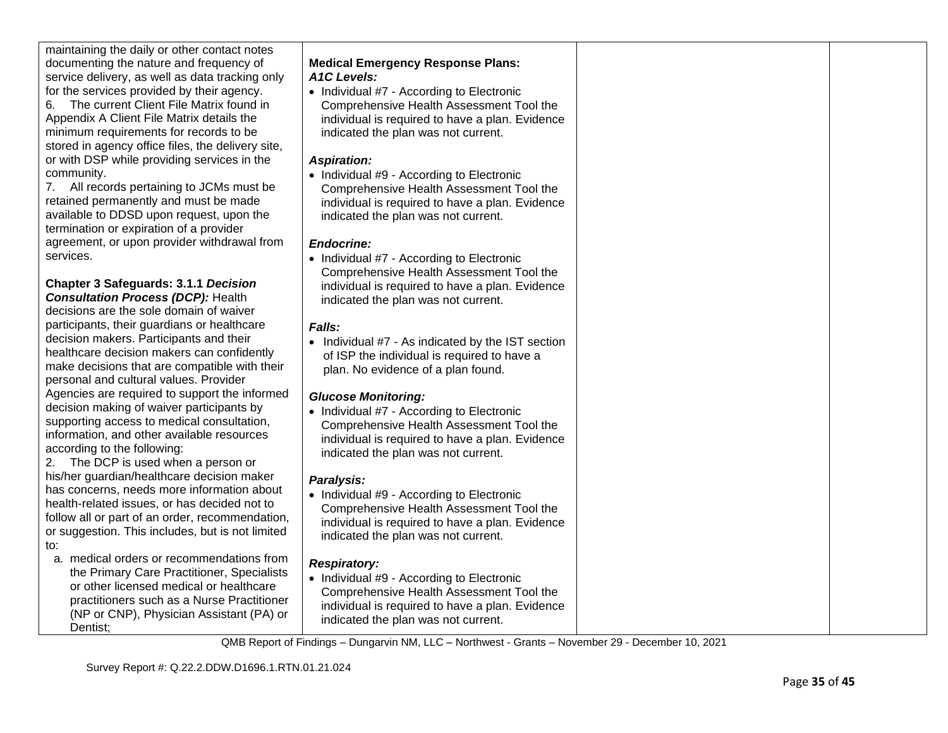maintaining the daily or other contact notes documenting the nature and frequency of service delivery, as well as data tracking only for the services provided by their agency.

6. The current Client File Matrix found in Appendix A Client File Matrix details the minimum requirements for records to be stored in agency office files, the delivery site, or with DSP while providing services in the community.

7. All records pertaining to JCMs must be retained permanently and must be made available to DDSD upon request, upon the termination or expiration of a provider agreement, or upon provider withdrawal from services.

**Chapter 3 Safeguards: 3.1.1** *Decision Consultation Process (DCP):* Health decisions are the sole domain of waiver participants, their guardians or healthcare decision makers. Participants and their healthcare decision makers can confidently make decisions that are compatible with their personal and cultural values. Provider Agencies are required to support the informed decision making of waiver participants by supporting access to medical consultation, information, and other available resources according to the following:

2. The DCP is used when a person or his/her guardian/healthcare decision maker has concerns, needs more information about health-related issues, or has decided not to follow all or part of an order, recommendation, or suggestion. This includes, but is not limited to:

a. medical orders or recommendations from the Primary Care Practitioner, Specialists or other licensed medical or healthcare practitioners such as a Nurse Practitioner (NP or CNP), Physician Assistant (PA) or Dentist;

# **Medical Emergency Response Plans:** *A1C Levels:*

• Individual #7 - According to Electronic Comprehensive Health Assessment Tool the individual is required to have a plan. Evidence indicated the plan was not current.

# *Aspiration:*

• Individual #9 - According to Electronic Comprehensive Health Assessment Tool the individual is required to have a plan. Evidence indicated the plan was not current.

# *Endocrine:*

• Individual #7 - According to Electronic Comprehensive Health Assessment Tool the individual is required to have a plan. Evidence indicated the plan was not current.

# *Falls:*

• Individual #7 - As indicated by the IST section of ISP the individual is required to have a plan. No evidence of a plan found.

# *Glucose Monitoring:*

• Individual #7 - According to Electronic Comprehensive Health Assessment Tool the individual is required to have a plan. Evidence indicated the plan was not current.

# *Paralysis:*

• Individual #9 - According to Electronic Comprehensive Health Assessment Tool the individual is required to have a plan. Evidence indicated the plan was not current.

# *Respiratory:*

• Individual #9 - According to Electronic Comprehensive Health Assessment Tool the individual is required to have a plan. Evidence indicated the plan was not current.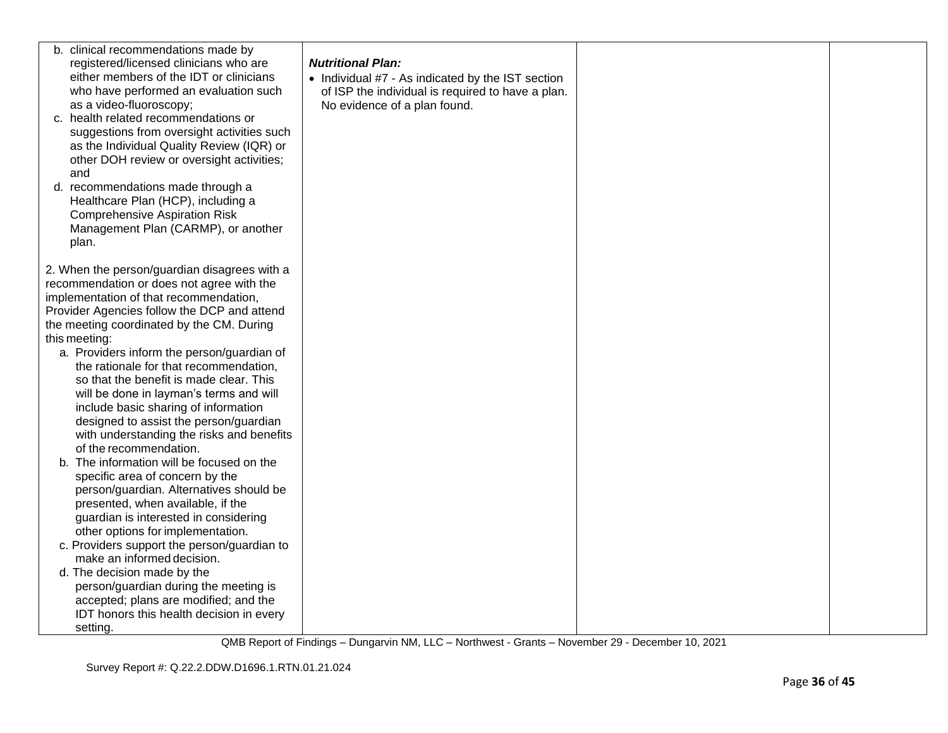| b. clinical recommendations made by<br>registered/licensed clinicians who are<br>either members of the IDT or clinicians<br>who have performed an evaluation such<br>as a video-fluoroscopy;<br>c. health related recommendations or<br>suggestions from oversight activities such<br>as the Individual Quality Review (IQR) or<br>other DOH review or oversight activities;<br>and<br>d. recommendations made through a<br>Healthcare Plan (HCP), including a<br><b>Comprehensive Aspiration Risk</b><br>Management Plan (CARMP), or another<br>plan. | <b>Nutritional Plan:</b><br>• Individual #7 - As indicated by the IST section<br>of ISP the individual is required to have a plan.<br>No evidence of a plan found. |  |
|--------------------------------------------------------------------------------------------------------------------------------------------------------------------------------------------------------------------------------------------------------------------------------------------------------------------------------------------------------------------------------------------------------------------------------------------------------------------------------------------------------------------------------------------------------|--------------------------------------------------------------------------------------------------------------------------------------------------------------------|--|
| 2. When the person/guardian disagrees with a<br>recommendation or does not agree with the<br>implementation of that recommendation,<br>Provider Agencies follow the DCP and attend<br>the meeting coordinated by the CM. During                                                                                                                                                                                                                                                                                                                        |                                                                                                                                                                    |  |
| this meeting:                                                                                                                                                                                                                                                                                                                                                                                                                                                                                                                                          |                                                                                                                                                                    |  |
| a. Providers inform the person/guardian of<br>the rationale for that recommendation,                                                                                                                                                                                                                                                                                                                                                                                                                                                                   |                                                                                                                                                                    |  |
| so that the benefit is made clear. This                                                                                                                                                                                                                                                                                                                                                                                                                                                                                                                |                                                                                                                                                                    |  |
| will be done in layman's terms and will                                                                                                                                                                                                                                                                                                                                                                                                                                                                                                                |                                                                                                                                                                    |  |
| include basic sharing of information                                                                                                                                                                                                                                                                                                                                                                                                                                                                                                                   |                                                                                                                                                                    |  |
| designed to assist the person/guardian                                                                                                                                                                                                                                                                                                                                                                                                                                                                                                                 |                                                                                                                                                                    |  |
| with understanding the risks and benefits<br>of the recommendation.                                                                                                                                                                                                                                                                                                                                                                                                                                                                                    |                                                                                                                                                                    |  |
| b. The information will be focused on the                                                                                                                                                                                                                                                                                                                                                                                                                                                                                                              |                                                                                                                                                                    |  |
| specific area of concern by the                                                                                                                                                                                                                                                                                                                                                                                                                                                                                                                        |                                                                                                                                                                    |  |
| person/guardian. Alternatives should be                                                                                                                                                                                                                                                                                                                                                                                                                                                                                                                |                                                                                                                                                                    |  |
| presented, when available, if the                                                                                                                                                                                                                                                                                                                                                                                                                                                                                                                      |                                                                                                                                                                    |  |
| guardian is interested in considering                                                                                                                                                                                                                                                                                                                                                                                                                                                                                                                  |                                                                                                                                                                    |  |
| other options for implementation.<br>c. Providers support the person/guardian to                                                                                                                                                                                                                                                                                                                                                                                                                                                                       |                                                                                                                                                                    |  |
| make an informed decision.                                                                                                                                                                                                                                                                                                                                                                                                                                                                                                                             |                                                                                                                                                                    |  |
| d. The decision made by the                                                                                                                                                                                                                                                                                                                                                                                                                                                                                                                            |                                                                                                                                                                    |  |
| person/guardian during the meeting is                                                                                                                                                                                                                                                                                                                                                                                                                                                                                                                  |                                                                                                                                                                    |  |
| accepted; plans are modified; and the                                                                                                                                                                                                                                                                                                                                                                                                                                                                                                                  |                                                                                                                                                                    |  |
| IDT honors this health decision in every                                                                                                                                                                                                                                                                                                                                                                                                                                                                                                               |                                                                                                                                                                    |  |
| setting.                                                                                                                                                                                                                                                                                                                                                                                                                                                                                                                                               |                                                                                                                                                                    |  |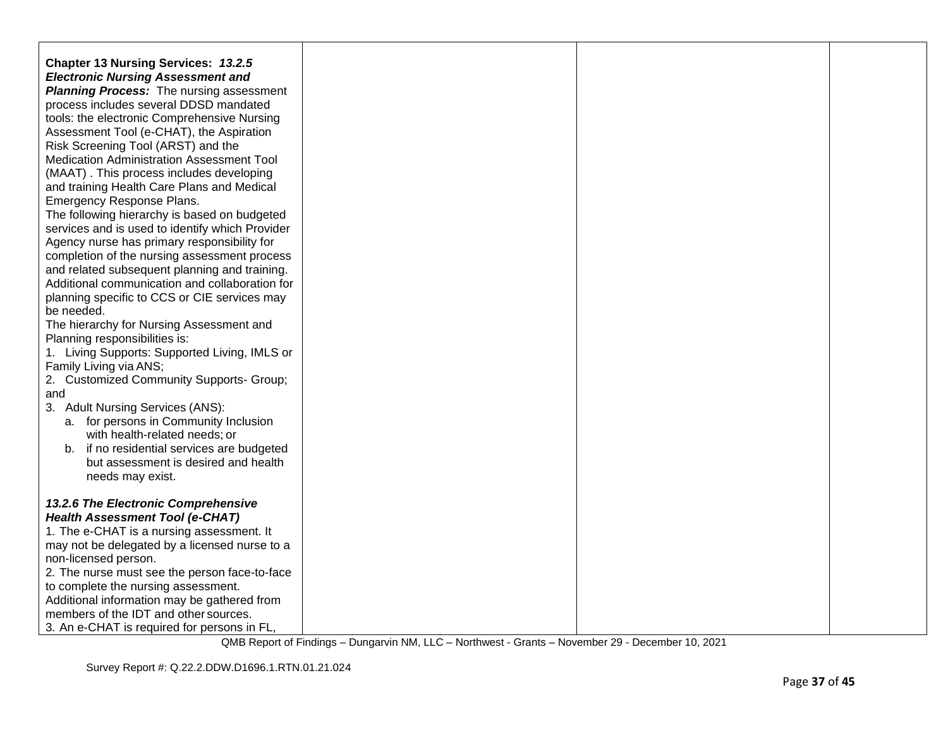| <b>Chapter 13 Nursing Services: 13.2.5</b>                                     |  |  |
|--------------------------------------------------------------------------------|--|--|
| <b>Electronic Nursing Assessment and</b>                                       |  |  |
| <b>Planning Process:</b> The nursing assessment                                |  |  |
| process includes several DDSD mandated                                         |  |  |
| tools: the electronic Comprehensive Nursing                                    |  |  |
| Assessment Tool (e-CHAT), the Aspiration                                       |  |  |
| Risk Screening Tool (ARST) and the                                             |  |  |
| Medication Administration Assessment Tool                                      |  |  |
| (MAAT). This process includes developing                                       |  |  |
| and training Health Care Plans and Medical                                     |  |  |
| Emergency Response Plans.                                                      |  |  |
| The following hierarchy is based on budgeted                                   |  |  |
| services and is used to identify which Provider                                |  |  |
| Agency nurse has primary responsibility for                                    |  |  |
| completion of the nursing assessment process                                   |  |  |
| and related subsequent planning and training.                                  |  |  |
| Additional communication and collaboration for                                 |  |  |
| planning specific to CCS or CIE services may                                   |  |  |
| be needed.                                                                     |  |  |
| The hierarchy for Nursing Assessment and                                       |  |  |
| Planning responsibilities is:<br>1. Living Supports: Supported Living, IMLS or |  |  |
| Family Living via ANS;                                                         |  |  |
| 2. Customized Community Supports- Group;                                       |  |  |
| and                                                                            |  |  |
| 3. Adult Nursing Services (ANS):                                               |  |  |
| a. for persons in Community Inclusion                                          |  |  |
| with health-related needs; or                                                  |  |  |
| if no residential services are budgeted<br>b.                                  |  |  |
| but assessment is desired and health                                           |  |  |
| needs may exist.                                                               |  |  |
|                                                                                |  |  |
| 13.2.6 The Electronic Comprehensive                                            |  |  |
| <b>Health Assessment Tool (e-CHAT)</b>                                         |  |  |
| 1. The e-CHAT is a nursing assessment. It                                      |  |  |
| may not be delegated by a licensed nurse to a                                  |  |  |
| non-licensed person.                                                           |  |  |
| 2. The nurse must see the person face-to-face                                  |  |  |
| to complete the nursing assessment.                                            |  |  |
| Additional information may be gathered from                                    |  |  |
| members of the IDT and other sources.                                          |  |  |
| 3. An e-CHAT is required for persons in FL,                                    |  |  |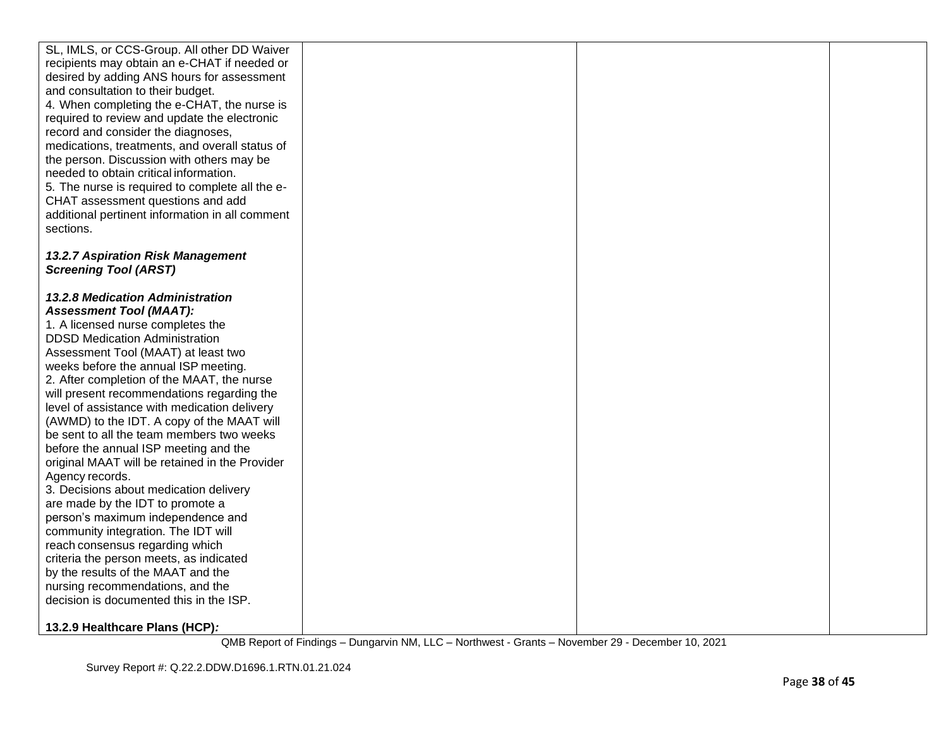| SL, IMLS, or CCS-Group. All other DD Waiver     |  |  |
|-------------------------------------------------|--|--|
| recipients may obtain an e-CHAT if needed or    |  |  |
| desired by adding ANS hours for assessment      |  |  |
| and consultation to their budget.               |  |  |
| 4. When completing the e-CHAT, the nurse is     |  |  |
| required to review and update the electronic    |  |  |
| record and consider the diagnoses,              |  |  |
| medications, treatments, and overall status of  |  |  |
| the person. Discussion with others may be       |  |  |
| needed to obtain critical information.          |  |  |
| 5. The nurse is required to complete all the e- |  |  |
| CHAT assessment questions and add               |  |  |
| additional pertinent information in all comment |  |  |
| sections.                                       |  |  |
|                                                 |  |  |
| 13.2.7 Aspiration Risk Management               |  |  |
| <b>Screening Tool (ARST)</b>                    |  |  |
|                                                 |  |  |
| <b>13.2.8 Medication Administration</b>         |  |  |
| <b>Assessment Tool (MAAT):</b>                  |  |  |
| 1. A licensed nurse completes the               |  |  |
| <b>DDSD Medication Administration</b>           |  |  |
| Assessment Tool (MAAT) at least two             |  |  |
| weeks before the annual ISP meeting.            |  |  |
| 2. After completion of the MAAT, the nurse      |  |  |
| will present recommendations regarding the      |  |  |
| level of assistance with medication delivery    |  |  |
| (AWMD) to the IDT. A copy of the MAAT will      |  |  |
| be sent to all the team members two weeks       |  |  |
| before the annual ISP meeting and the           |  |  |
| original MAAT will be retained in the Provider  |  |  |
| Agency records.                                 |  |  |
| 3. Decisions about medication delivery          |  |  |
| are made by the IDT to promote a                |  |  |
| person's maximum independence and               |  |  |
| community integration. The IDT will             |  |  |
| reach consensus regarding which                 |  |  |
| criteria the person meets, as indicated         |  |  |
| by the results of the MAAT and the              |  |  |
| nursing recommendations, and the                |  |  |
| decision is documented this in the ISP.         |  |  |
|                                                 |  |  |
| 13.2.9 Healthcare Plans (HCP):                  |  |  |
|                                                 |  |  |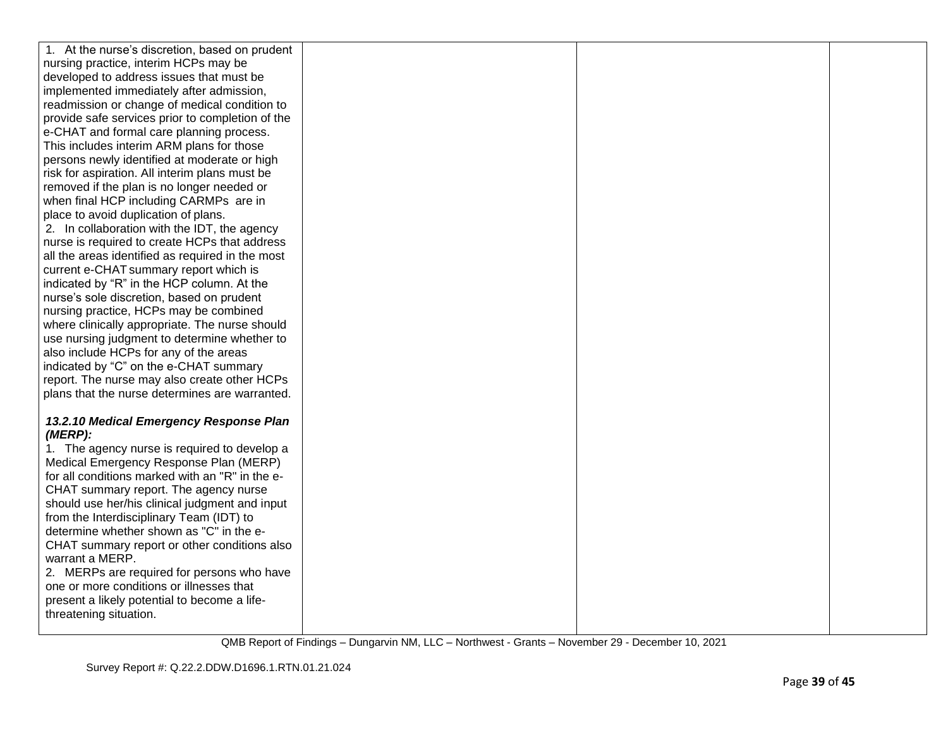| 1. At the nurse's discretion, based on prudent   |  |  |
|--------------------------------------------------|--|--|
| nursing practice, interim HCPs may be            |  |  |
| developed to address issues that must be         |  |  |
| implemented immediately after admission,         |  |  |
| readmission or change of medical condition to    |  |  |
| provide safe services prior to completion of the |  |  |
| e-CHAT and formal care planning process.         |  |  |
| This includes interim ARM plans for those        |  |  |
| persons newly identified at moderate or high     |  |  |
| risk for aspiration. All interim plans must be   |  |  |
| removed if the plan is no longer needed or       |  |  |
| when final HCP including CARMPs are in           |  |  |
| place to avoid duplication of plans.             |  |  |
| 2. In collaboration with the IDT, the agency     |  |  |
| nurse is required to create HCPs that address    |  |  |
| all the areas identified as required in the most |  |  |
| current e-CHAT summary report which is           |  |  |
| indicated by "R" in the HCP column. At the       |  |  |
| nurse's sole discretion, based on prudent        |  |  |
| nursing practice, HCPs may be combined           |  |  |
| where clinically appropriate. The nurse should   |  |  |
| use nursing judgment to determine whether to     |  |  |
| also include HCPs for any of the areas           |  |  |
| indicated by "C" on the e-CHAT summary           |  |  |
| report. The nurse may also create other HCPs     |  |  |
| plans that the nurse determines are warranted.   |  |  |
|                                                  |  |  |
| 13.2.10 Medical Emergency Response Plan          |  |  |
| (MERP):                                          |  |  |
| 1. The agency nurse is required to develop a     |  |  |
| Medical Emergency Response Plan (MERP)           |  |  |
| for all conditions marked with an "R" in the e-  |  |  |
| CHAT summary report. The agency nurse            |  |  |
| should use her/his clinical judgment and input   |  |  |
| from the Interdisciplinary Team (IDT) to         |  |  |
| determine whether shown as "C" in the e-         |  |  |
| CHAT summary report or other conditions also     |  |  |
| warrant a MERP.                                  |  |  |
| 2. MERPs are required for persons who have       |  |  |
| one or more conditions or illnesses that         |  |  |
| present a likely potential to become a life-     |  |  |
| threatening situation.                           |  |  |
|                                                  |  |  |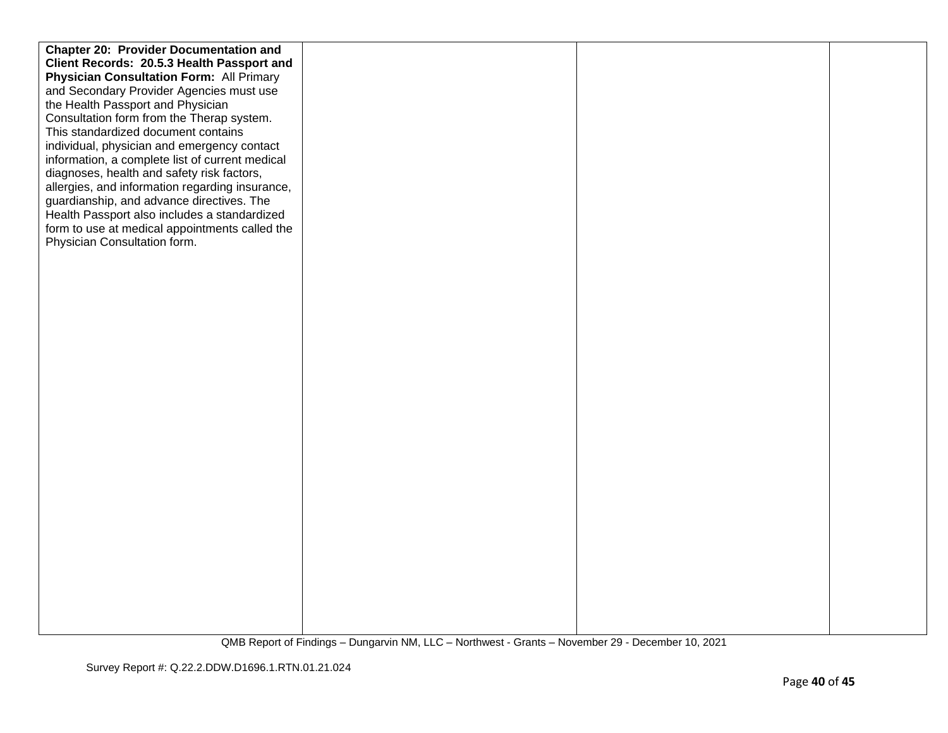| <b>Chapter 20: Provider Documentation and</b>   |  |  |
|-------------------------------------------------|--|--|
| Client Records: 20.5.3 Health Passport and      |  |  |
| <b>Physician Consultation Form: All Primary</b> |  |  |
| and Secondary Provider Agencies must use        |  |  |
| the Health Passport and Physician               |  |  |
| Consultation form from the Therap system.       |  |  |
| This standardized document contains             |  |  |
| individual, physician and emergency contact     |  |  |
| information, a complete list of current medical |  |  |
| diagnoses, health and safety risk factors,      |  |  |
| allergies, and information regarding insurance, |  |  |
| guardianship, and advance directives. The       |  |  |
| Health Passport also includes a standardized    |  |  |
| form to use at medical appointments called the  |  |  |
| Physician Consultation form.                    |  |  |
|                                                 |  |  |
|                                                 |  |  |
|                                                 |  |  |
|                                                 |  |  |
|                                                 |  |  |
|                                                 |  |  |
|                                                 |  |  |
|                                                 |  |  |
|                                                 |  |  |
|                                                 |  |  |
|                                                 |  |  |
|                                                 |  |  |
|                                                 |  |  |
|                                                 |  |  |
|                                                 |  |  |
|                                                 |  |  |
|                                                 |  |  |
|                                                 |  |  |
|                                                 |  |  |
|                                                 |  |  |
|                                                 |  |  |
|                                                 |  |  |
|                                                 |  |  |
|                                                 |  |  |
|                                                 |  |  |
|                                                 |  |  |
|                                                 |  |  |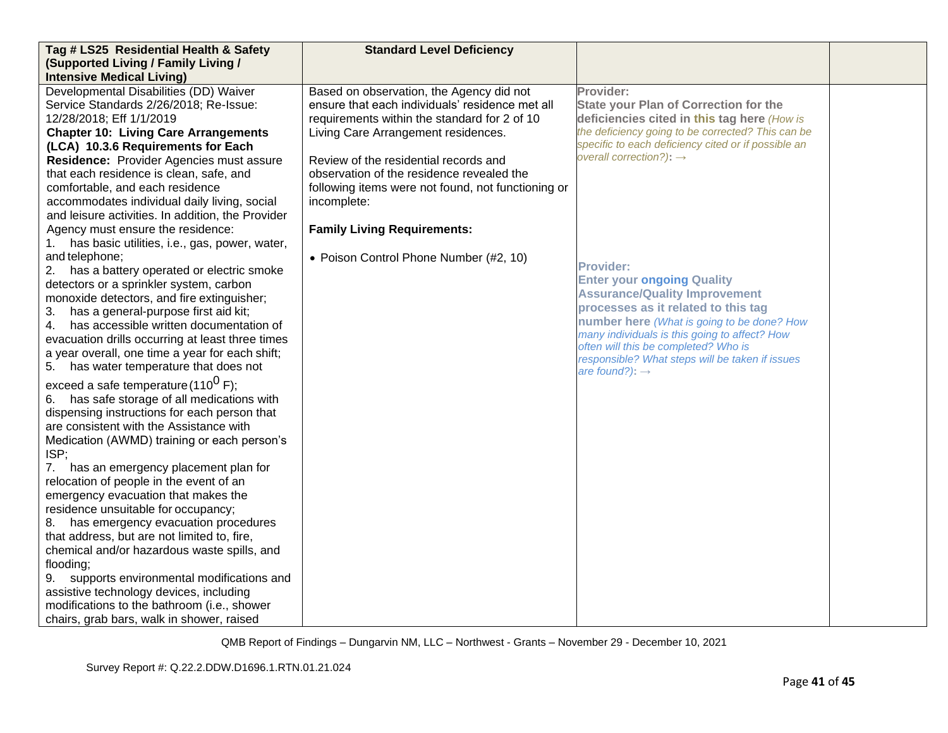| Tag # LS25 Residential Health & Safety<br>(Supported Living / Family Living /                                                                                                                                                                                                                                                                                                                                                                                                                                                                                                                                                                                                                                                                                  | <b>Standard Level Deficiency</b>                                                                                                                                                                                                                                                                                                                                                    |                                                                                                                                                                                                                                                                                                                                                              |  |
|----------------------------------------------------------------------------------------------------------------------------------------------------------------------------------------------------------------------------------------------------------------------------------------------------------------------------------------------------------------------------------------------------------------------------------------------------------------------------------------------------------------------------------------------------------------------------------------------------------------------------------------------------------------------------------------------------------------------------------------------------------------|-------------------------------------------------------------------------------------------------------------------------------------------------------------------------------------------------------------------------------------------------------------------------------------------------------------------------------------------------------------------------------------|--------------------------------------------------------------------------------------------------------------------------------------------------------------------------------------------------------------------------------------------------------------------------------------------------------------------------------------------------------------|--|
| <b>Intensive Medical Living)</b>                                                                                                                                                                                                                                                                                                                                                                                                                                                                                                                                                                                                                                                                                                                               |                                                                                                                                                                                                                                                                                                                                                                                     |                                                                                                                                                                                                                                                                                                                                                              |  |
| Developmental Disabilities (DD) Waiver<br>Service Standards 2/26/2018; Re-Issue:<br>12/28/2018; Eff 1/1/2019<br><b>Chapter 10: Living Care Arrangements</b><br>(LCA) 10.3.6 Requirements for Each<br>Residence: Provider Agencies must assure<br>that each residence is clean, safe, and<br>comfortable, and each residence<br>accommodates individual daily living, social<br>and leisure activities. In addition, the Provider<br>Agency must ensure the residence:<br>1. has basic utilities, i.e., gas, power, water,                                                                                                                                                                                                                                      | Based on observation, the Agency did not<br>ensure that each individuals' residence met all<br>requirements within the standard for 2 of 10<br>Living Care Arrangement residences.<br>Review of the residential records and<br>observation of the residence revealed the<br>following items were not found, not functioning or<br>incomplete:<br><b>Family Living Requirements:</b> | Provider:<br><b>State your Plan of Correction for the</b><br>deficiencies cited in this tag here (How is<br>the deficiency going to be corrected? This can be<br>specific to each deficiency cited or if possible an<br>overall correction?): $\rightarrow$                                                                                                  |  |
| and telephone;<br>2. has a battery operated or electric smoke<br>detectors or a sprinkler system, carbon<br>monoxide detectors, and fire extinguisher;<br>has a general-purpose first aid kit;<br>3.<br>has accessible written documentation of<br>4.<br>evacuation drills occurring at least three times<br>a year overall, one time a year for each shift;<br>5. has water temperature that does not                                                                                                                                                                                                                                                                                                                                                         | • Poison Control Phone Number (#2, 10)                                                                                                                                                                                                                                                                                                                                              | <b>Provider:</b><br><b>Enter your ongoing Quality</b><br><b>Assurance/Quality Improvement</b><br>processes as it related to this tag<br>number here (What is going to be done? How<br>many individuals is this going to affect? How<br>often will this be completed? Who is<br>responsible? What steps will be taken if issues<br>are found?): $\rightarrow$ |  |
| exceed a safe temperature (110 <sup>0</sup> F);<br>6. has safe storage of all medications with<br>dispensing instructions for each person that<br>are consistent with the Assistance with<br>Medication (AWMD) training or each person's<br>ISP;<br>7. has an emergency placement plan for<br>relocation of people in the event of an<br>emergency evacuation that makes the<br>residence unsuitable for occupancy;<br>8. has emergency evacuation procedures<br>that address, but are not limited to, fire,<br>chemical and/or hazardous waste spills, and<br>flooding;<br>9. supports environmental modifications and<br>assistive technology devices, including<br>modifications to the bathroom (i.e., shower<br>chairs, grab bars, walk in shower, raised |                                                                                                                                                                                                                                                                                                                                                                                     |                                                                                                                                                                                                                                                                                                                                                              |  |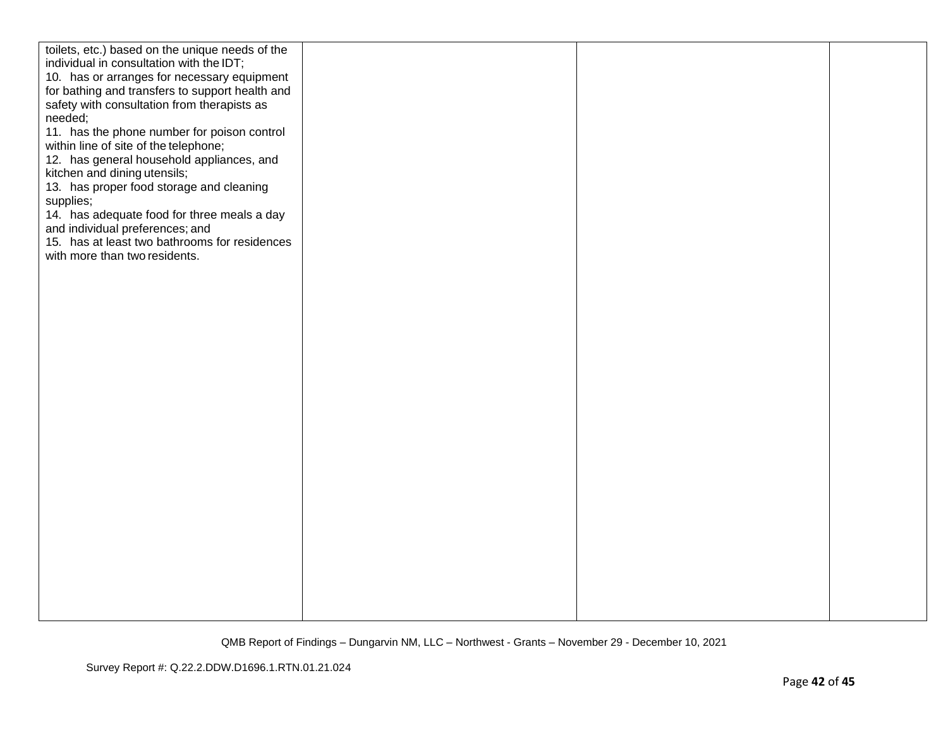| toilets, etc.) based on the unique needs of the<br>individual in consultation with the IDT;<br>10. has or arranges for necessary equipment<br>for bathing and transfers to support health and<br>safety with consultation from therapists as<br>needed;<br>11. has the phone number for poison control<br>within line of site of the telephone;<br>12. has general household appliances, and<br>kitchen and dining utensils;<br>13. has proper food storage and cleaning<br>supplies;<br>14. has adequate food for three meals a day<br>and individual preferences; and<br>15. has at least two bathrooms for residences<br>with more than two residents. |  |  |
|-----------------------------------------------------------------------------------------------------------------------------------------------------------------------------------------------------------------------------------------------------------------------------------------------------------------------------------------------------------------------------------------------------------------------------------------------------------------------------------------------------------------------------------------------------------------------------------------------------------------------------------------------------------|--|--|
|                                                                                                                                                                                                                                                                                                                                                                                                                                                                                                                                                                                                                                                           |  |  |
|                                                                                                                                                                                                                                                                                                                                                                                                                                                                                                                                                                                                                                                           |  |  |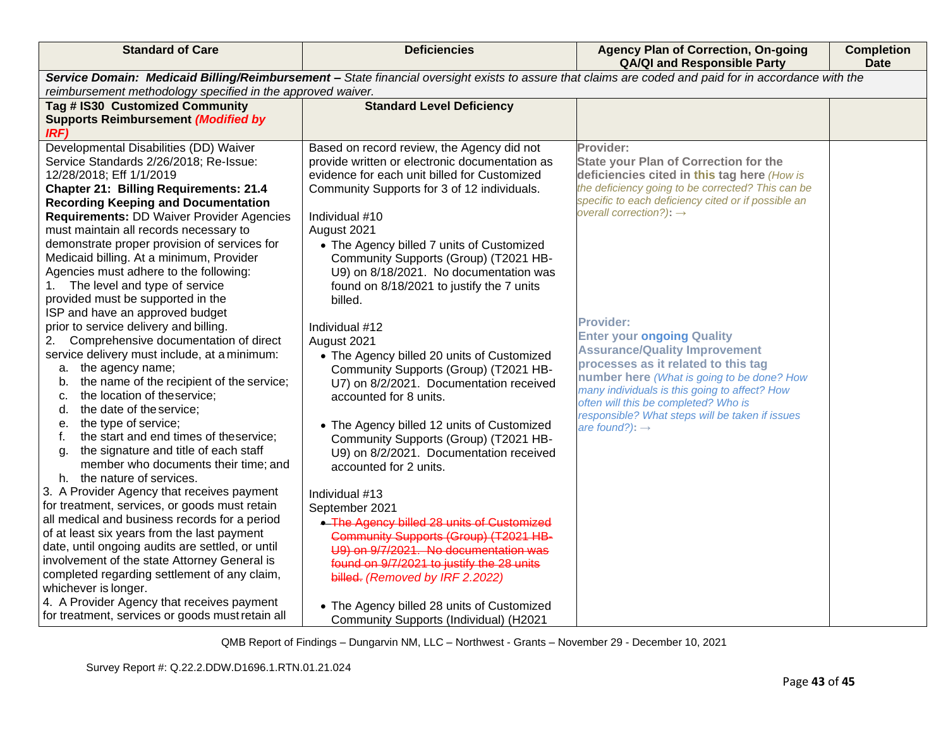| <b>Standard of Care</b>                                                                          | <b>Deficiencies</b>                                                                                                                                   | <b>Agency Plan of Correction, On-going</b><br><b>QA/QI and Responsible Party</b>                         | <b>Completion</b><br><b>Date</b> |
|--------------------------------------------------------------------------------------------------|-------------------------------------------------------------------------------------------------------------------------------------------------------|----------------------------------------------------------------------------------------------------------|----------------------------------|
|                                                                                                  | Service Domain: Medicaid Billing/Reimbursement - State financial oversight exists to assure that claims are coded and paid for in accordance with the |                                                                                                          |                                  |
| reimbursement methodology specified in the approved waiver.                                      |                                                                                                                                                       |                                                                                                          |                                  |
| Tag # IS30 Customized Community                                                                  | <b>Standard Level Deficiency</b>                                                                                                                      |                                                                                                          |                                  |
| <b>Supports Reimbursement (Modified by</b>                                                       |                                                                                                                                                       |                                                                                                          |                                  |
| IRF)                                                                                             |                                                                                                                                                       |                                                                                                          |                                  |
| Developmental Disabilities (DD) Waiver                                                           | Based on record review, the Agency did not                                                                                                            | Provider:                                                                                                |                                  |
| Service Standards 2/26/2018; Re-Issue:                                                           | provide written or electronic documentation as                                                                                                        | <b>State your Plan of Correction for the</b>                                                             |                                  |
| 12/28/2018; Eff 1/1/2019                                                                         | evidence for each unit billed for Customized                                                                                                          | deficiencies cited in this tag here (How is                                                              |                                  |
| <b>Chapter 21: Billing Requirements: 21.4</b>                                                    | Community Supports for 3 of 12 individuals.                                                                                                           | the deficiency going to be corrected? This can be<br>specific to each deficiency cited or if possible an |                                  |
| <b>Recording Keeping and Documentation</b>                                                       |                                                                                                                                                       | overall correction?): $\rightarrow$                                                                      |                                  |
| <b>Requirements: DD Waiver Provider Agencies</b>                                                 | Individual #10                                                                                                                                        |                                                                                                          |                                  |
| must maintain all records necessary to                                                           | August 2021                                                                                                                                           |                                                                                                          |                                  |
| demonstrate proper provision of services for<br>Medicaid billing. At a minimum, Provider         | • The Agency billed 7 units of Customized                                                                                                             |                                                                                                          |                                  |
| Agencies must adhere to the following:                                                           | Community Supports (Group) (T2021 HB-<br>U9) on 8/18/2021. No documentation was                                                                       |                                                                                                          |                                  |
| The level and type of service<br>1.                                                              | found on 8/18/2021 to justify the 7 units                                                                                                             |                                                                                                          |                                  |
| provided must be supported in the                                                                | billed.                                                                                                                                               |                                                                                                          |                                  |
| ISP and have an approved budget                                                                  |                                                                                                                                                       |                                                                                                          |                                  |
| prior to service delivery and billing.                                                           | Individual #12                                                                                                                                        | <b>Provider:</b>                                                                                         |                                  |
| Comprehensive documentation of direct<br>2.                                                      | August 2021                                                                                                                                           | <b>Enter your ongoing Quality</b>                                                                        |                                  |
| service delivery must include, at a minimum:                                                     | • The Agency billed 20 units of Customized                                                                                                            | <b>Assurance/Quality Improvement</b>                                                                     |                                  |
| a. the agency name;                                                                              | Community Supports (Group) (T2021 HB-                                                                                                                 | processes as it related to this tag                                                                      |                                  |
| the name of the recipient of the service;<br>b.                                                  | U7) on 8/2/2021. Documentation received                                                                                                               | number here (What is going to be done? How                                                               |                                  |
| the location of theservice;<br>c.                                                                | accounted for 8 units.                                                                                                                                | many individuals is this going to affect? How                                                            |                                  |
| the date of the service;<br>d.                                                                   |                                                                                                                                                       | often will this be completed? Who is<br>responsible? What steps will be taken if issues                  |                                  |
| the type of service;<br>е.                                                                       | • The Agency billed 12 units of Customized                                                                                                            | are found?): $\rightarrow$                                                                               |                                  |
| the start and end times of theservice;<br>t.                                                     | Community Supports (Group) (T2021 HB-                                                                                                                 |                                                                                                          |                                  |
| the signature and title of each staff<br>a.                                                      | U9) on 8/2/2021. Documentation received                                                                                                               |                                                                                                          |                                  |
| member who documents their time; and                                                             | accounted for 2 units.                                                                                                                                |                                                                                                          |                                  |
| h. the nature of services.                                                                       |                                                                                                                                                       |                                                                                                          |                                  |
| 3. A Provider Agency that receives payment                                                       | Individual #13                                                                                                                                        |                                                                                                          |                                  |
| for treatment, services, or goods must retain                                                    | September 2021                                                                                                                                        |                                                                                                          |                                  |
| all medical and business records for a period                                                    | • The Agency billed 28 units of Customized                                                                                                            |                                                                                                          |                                  |
| of at least six years from the last payment                                                      | Community Supports (Group) (T2021 HB-                                                                                                                 |                                                                                                          |                                  |
| date, until ongoing audits are settled, or until<br>involvement of the state Attorney General is | U9) on 9/7/2021. No documentation was                                                                                                                 |                                                                                                          |                                  |
| completed regarding settlement of any claim,                                                     | found on 9/7/2021 to justify the 28 units                                                                                                             |                                                                                                          |                                  |
| whichever is longer.                                                                             | billed. (Removed by IRF 2.2022)                                                                                                                       |                                                                                                          |                                  |
| 4. A Provider Agency that receives payment                                                       |                                                                                                                                                       |                                                                                                          |                                  |
| for treatment, services or goods must retain all                                                 | • The Agency billed 28 units of Customized                                                                                                            |                                                                                                          |                                  |
|                                                                                                  | Community Supports (Individual) (H2021                                                                                                                |                                                                                                          |                                  |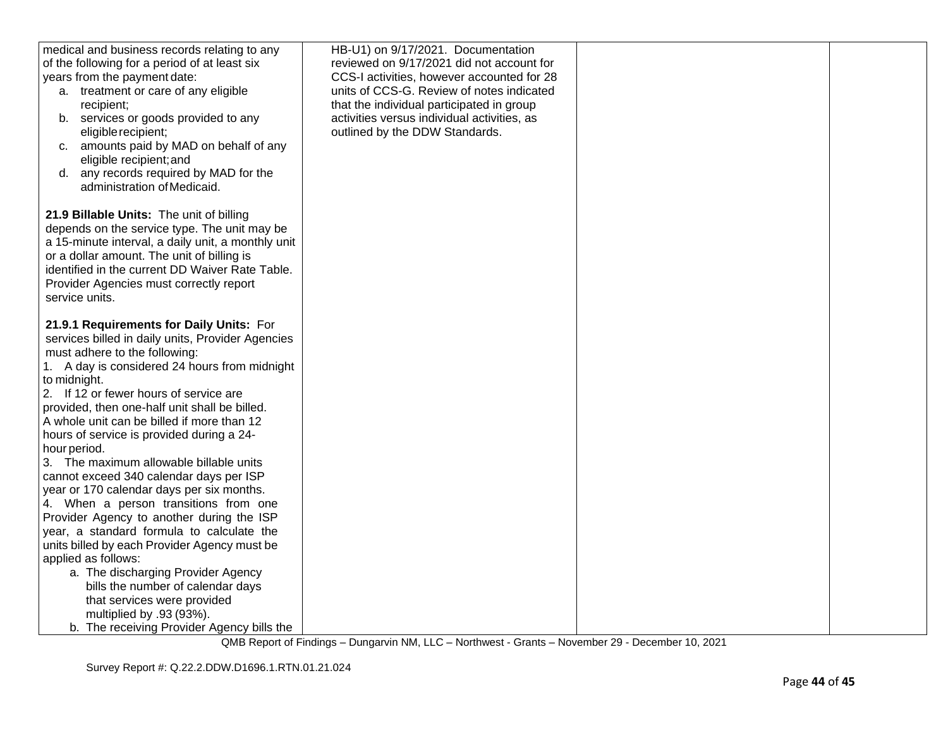| medical and business records relating to any<br>of the following for a period of at least six<br>years from the payment date:<br>a. treatment or care of any eligible<br>recipient;<br>b. services or goods provided to any<br>eligible recipient;<br>amounts paid by MAD on behalf of any<br>c.<br>eligible recipient; and<br>d. any records required by MAD for the<br>administration of Medicaid.                 | HB-U1) on 9/17/2021. Documentation<br>reviewed on 9/17/2021 did not account for<br>CCS-I activities, however accounted for 28<br>units of CCS-G. Review of notes indicated<br>that the individual participated in group<br>activities versus individual activities, as<br>outlined by the DDW Standards. |  |
|----------------------------------------------------------------------------------------------------------------------------------------------------------------------------------------------------------------------------------------------------------------------------------------------------------------------------------------------------------------------------------------------------------------------|----------------------------------------------------------------------------------------------------------------------------------------------------------------------------------------------------------------------------------------------------------------------------------------------------------|--|
| 21.9 Billable Units: The unit of billing<br>depends on the service type. The unit may be<br>a 15-minute interval, a daily unit, a monthly unit<br>or a dollar amount. The unit of billing is<br>identified in the current DD Waiver Rate Table.<br>Provider Agencies must correctly report<br>service units.                                                                                                         |                                                                                                                                                                                                                                                                                                          |  |
| 21.9.1 Requirements for Daily Units: For<br>services billed in daily units, Provider Agencies<br>must adhere to the following:<br>1. A day is considered 24 hours from midnight<br>to midnight.<br>2. If 12 or fewer hours of service are<br>provided, then one-half unit shall be billed.<br>A whole unit can be billed if more than 12<br>hours of service is provided during a 24-<br>hour period.                |                                                                                                                                                                                                                                                                                                          |  |
| 3. The maximum allowable billable units<br>cannot exceed 340 calendar days per ISP<br>year or 170 calendar days per six months.<br>4. When a person transitions from one<br>Provider Agency to another during the ISP<br>year, a standard formula to calculate the<br>units billed by each Provider Agency must be<br>applied as follows:<br>a. The discharging Provider Agency<br>bills the number of calendar days |                                                                                                                                                                                                                                                                                                          |  |
| that services were provided<br>multiplied by .93 (93%).<br>b. The receiving Provider Agency bills the                                                                                                                                                                                                                                                                                                                |                                                                                                                                                                                                                                                                                                          |  |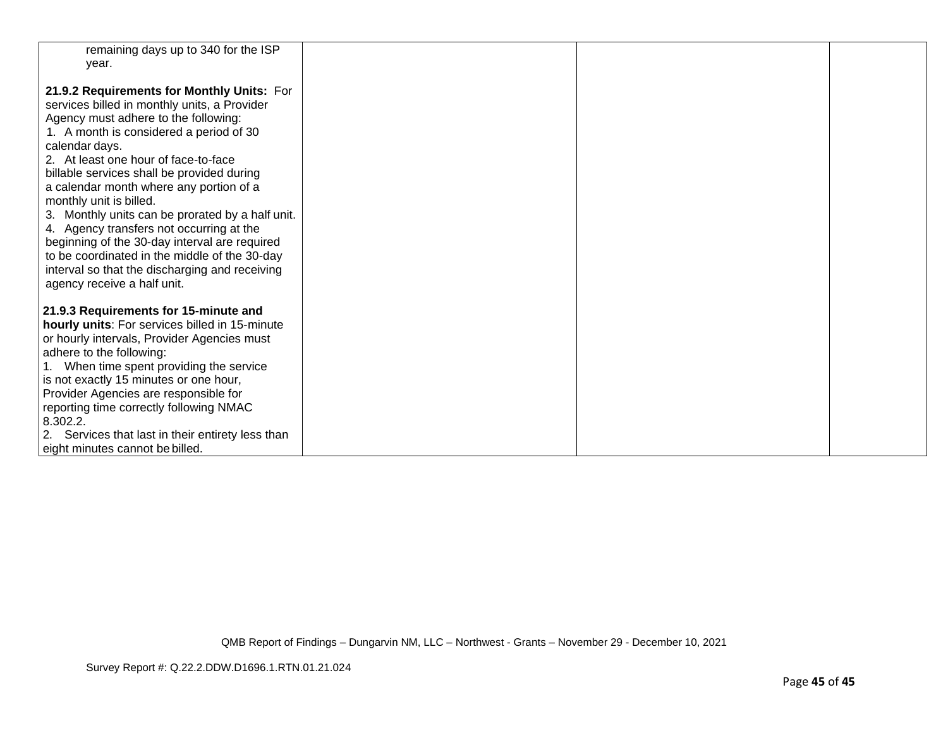| remaining days up to 340 for the ISP<br>year.                                                |  |  |
|----------------------------------------------------------------------------------------------|--|--|
|                                                                                              |  |  |
| 21.9.2 Requirements for Monthly Units: For                                                   |  |  |
| services billed in monthly units, a Provider                                                 |  |  |
| Agency must adhere to the following:                                                         |  |  |
| 1. A month is considered a period of 30                                                      |  |  |
| calendar days.                                                                               |  |  |
| 2. At least one hour of face-to-face                                                         |  |  |
| billable services shall be provided during                                                   |  |  |
| a calendar month where any portion of a                                                      |  |  |
| monthly unit is billed.                                                                      |  |  |
| 3. Monthly units can be prorated by a half unit.<br>4. Agency transfers not occurring at the |  |  |
| beginning of the 30-day interval are required                                                |  |  |
| to be coordinated in the middle of the 30-day                                                |  |  |
| interval so that the discharging and receiving                                               |  |  |
| agency receive a half unit.                                                                  |  |  |
|                                                                                              |  |  |
| 21.9.3 Requirements for 15-minute and                                                        |  |  |
| hourly units: For services billed in 15-minute                                               |  |  |
| or hourly intervals, Provider Agencies must                                                  |  |  |
| adhere to the following:                                                                     |  |  |
| 1. When time spent providing the service                                                     |  |  |
| is not exactly 15 minutes or one hour,                                                       |  |  |
| Provider Agencies are responsible for                                                        |  |  |
| reporting time correctly following NMAC                                                      |  |  |
| 8.302.2.                                                                                     |  |  |
| 2. Services that last in their entirety less than                                            |  |  |
| eight minutes cannot be billed.                                                              |  |  |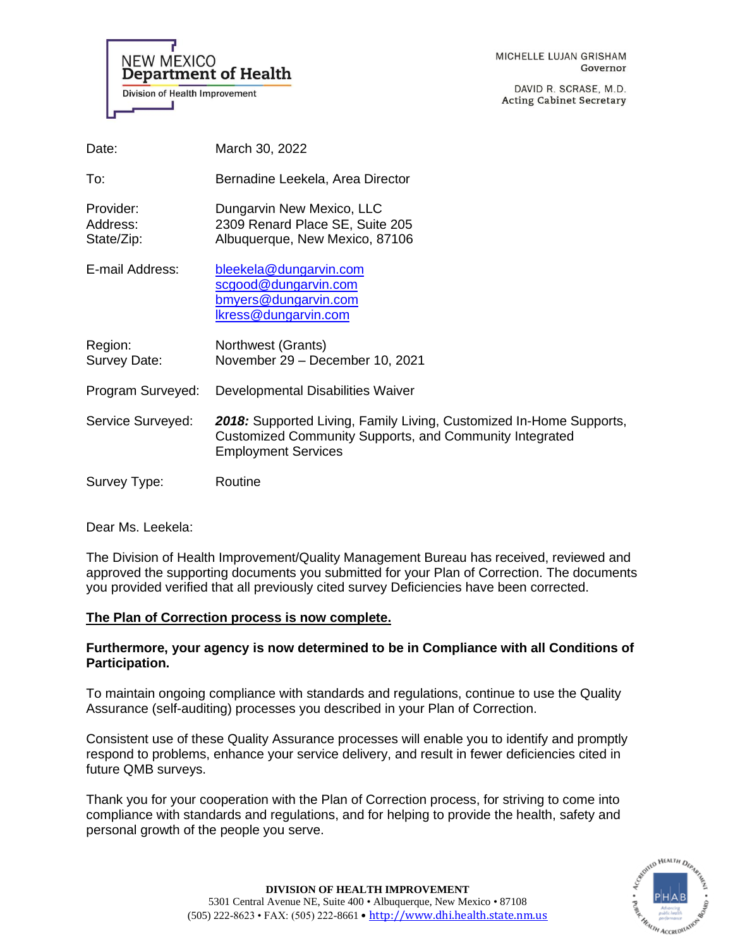**NEW MEXICO Department of Health Division of Health Improvement** 

DAVID R. SCRASE, M.D. **Acting Cabinet Secretary** 

| Date:                               | March 30, 2022                                                                                                                                               |
|-------------------------------------|--------------------------------------------------------------------------------------------------------------------------------------------------------------|
| To:                                 | Bernadine Leekela, Area Director                                                                                                                             |
| Provider:<br>Address:<br>State/Zip: | Dungarvin New Mexico, LLC<br>2309 Renard Place SE, Suite 205<br>Albuquerque, New Mexico, 87106                                                               |
| E-mail Address:                     | bleekela@dungarvin.com<br>scgood@dungarvin.com<br><u>bmyers@dungarvin.com</u><br>Ikress@dungarvin.com                                                        |
| Region:<br>Survey Date:             | Northwest (Grants)<br>November 29 - December 10, 2021                                                                                                        |
| Program Surveyed:                   | Developmental Disabilities Waiver                                                                                                                            |
| Service Surveyed:                   | 2018: Supported Living, Family Living, Customized In-Home Supports,<br>Customized Community Supports, and Community Integrated<br><b>Employment Services</b> |
| Survey Type:                        | Routine                                                                                                                                                      |

Dear Ms. Leekela:

The Division of Health Improvement/Quality Management Bureau has received, reviewed and approved the supporting documents you submitted for your Plan of Correction. The documents you provided verified that all previously cited survey Deficiencies have been corrected.

# **The Plan of Correction process is now complete.**

# **Furthermore, your agency is now determined to be in Compliance with all Conditions of Participation.**

To maintain ongoing compliance with standards and regulations, continue to use the Quality Assurance (self-auditing) processes you described in your Plan of Correction.

Consistent use of these Quality Assurance processes will enable you to identify and promptly respond to problems, enhance your service delivery, and result in fewer deficiencies cited in future QMB surveys.

Thank you for your cooperation with the Plan of Correction process, for striving to come into compliance with standards and regulations, and for helping to provide the health, safety and personal growth of the people you serve.